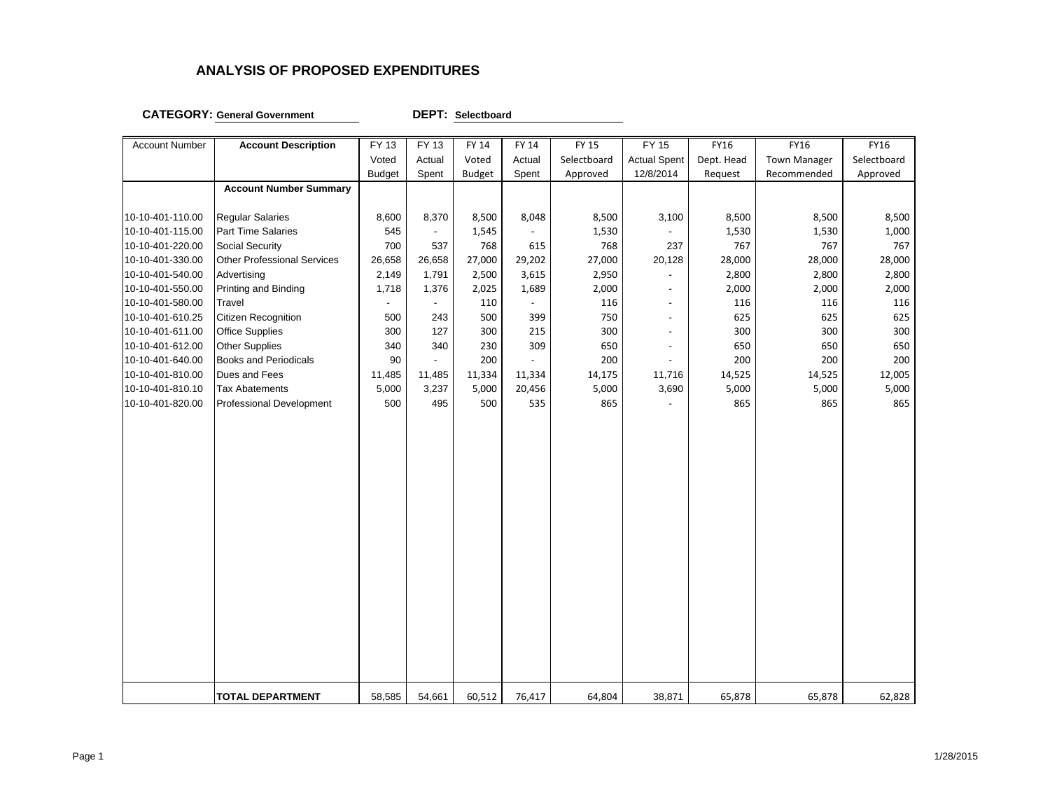#### **CATEGORY: General Government DEPT:**

**Selectboard**

| <b>Account Number</b> | <b>Account Description</b>    | FY 13                    | FY 13                    | <b>FY 14</b>  | FY 14          | <b>FY 15</b> | FY 15                    | FY16       | <b>FY16</b>         | FY16        |
|-----------------------|-------------------------------|--------------------------|--------------------------|---------------|----------------|--------------|--------------------------|------------|---------------------|-------------|
|                       |                               | Voted                    | Actual                   | Voted         | Actual         | Selectboard  | <b>Actual Spent</b>      | Dept. Head | <b>Town Manager</b> | Selectboard |
|                       |                               | <b>Budget</b>            | Spent                    | <b>Budget</b> | Spent          | Approved     | 12/8/2014                | Request    | Recommended         | Approved    |
|                       | <b>Account Number Summary</b> |                          |                          |               |                |              |                          |            |                     |             |
|                       |                               |                          |                          |               |                |              |                          |            |                     |             |
| 10-10-401-110.00      | <b>Regular Salaries</b>       | 8,600                    | 8,370                    | 8,500         | 8,048          | 8,500        | 3,100                    | 8,500      | 8,500               | 8,500       |
| 10-10-401-115.00      | Part Time Salaries            | 545                      | $\blacksquare$           | 1,545         |                | 1,530        |                          | 1,530      | 1,530               | 1,000       |
| 10-10-401-220.00      | Social Security               | 700                      | 537                      | 768           | 615            | 768          | 237                      | 767        | 767                 | 767         |
| 10-10-401-330.00      | Other Professional Services   | 26,658                   | 26,658                   | 27,000        | 29,202         | 27,000       | 20,128                   | 28,000     | 28,000              | 28,000      |
| 10-10-401-540.00      | Advertising                   | 2,149                    | 1,791                    | 2,500         | 3,615          | 2,950        |                          | 2,800      | 2,800               | 2,800       |
| 10-10-401-550.00      | Printing and Binding          | 1,718                    | 1,376                    | 2,025         | 1,689          | 2,000        | $\blacksquare$           | 2,000      | 2,000               | 2,000       |
| 10-10-401-580.00      | Travel                        | $\overline{\phantom{a}}$ | $\overline{\phantom{a}}$ | 110           | $\blacksquare$ | 116          | $\overline{\phantom{a}}$ | 116        | 116                 | 116         |
| 10-10-401-610.25      | Citizen Recognition           | 500                      | 243                      | 500           | 399            | 750          | $\overline{\phantom{a}}$ | 625        | 625                 | 625         |
| 10-10-401-611.00      | <b>Office Supplies</b>        | 300                      | 127                      | 300           | 215            | 300          | $\overline{a}$           | 300        | 300                 | 300         |
| 10-10-401-612.00      | Other Supplies                | 340                      | 340                      | 230           | 309            | 650          | $\blacksquare$           | 650        | 650                 | 650         |
| 10-10-401-640.00      | <b>Books and Periodicals</b>  | 90                       | $\blacksquare$           | 200           |                | 200          |                          | 200        | 200                 | 200         |
| 10-10-401-810.00      | Dues and Fees                 | 11,485                   | 11,485                   | 11,334        | 11,334         | 14,175       | 11,716                   | 14,525     | 14,525              | 12,005      |
| 10-10-401-810.10      | <b>Tax Abatements</b>         | 5,000                    | 3,237                    | 5,000         | 20,456         | 5,000        | 3,690                    | 5,000      | 5,000               | 5,000       |
| 10-10-401-820.00      | Professional Development      | 500                      | 495                      | 500           | 535            | 865          |                          | 865        | 865                 | 865         |
|                       |                               |                          |                          |               |                |              |                          |            |                     |             |
|                       |                               |                          |                          |               |                |              |                          |            |                     |             |
|                       |                               |                          |                          |               |                |              |                          |            |                     |             |
|                       |                               |                          |                          |               |                |              |                          |            |                     |             |
|                       |                               |                          |                          |               |                |              |                          |            |                     |             |
|                       |                               |                          |                          |               |                |              |                          |            |                     |             |
|                       |                               |                          |                          |               |                |              |                          |            |                     |             |
|                       |                               |                          |                          |               |                |              |                          |            |                     |             |
|                       |                               |                          |                          |               |                |              |                          |            |                     |             |
|                       |                               |                          |                          |               |                |              |                          |            |                     |             |
|                       |                               |                          |                          |               |                |              |                          |            |                     |             |
|                       |                               |                          |                          |               |                |              |                          |            |                     |             |
|                       |                               |                          |                          |               |                |              |                          |            |                     |             |
|                       |                               |                          |                          |               |                |              |                          |            |                     |             |
|                       |                               |                          |                          |               |                |              |                          |            |                     |             |
|                       |                               |                          |                          |               |                |              |                          |            |                     |             |
|                       |                               |                          |                          |               |                |              |                          |            |                     |             |
|                       |                               |                          |                          |               |                |              |                          |            |                     |             |
|                       |                               |                          |                          |               |                |              |                          |            |                     |             |
|                       |                               |                          |                          |               |                |              |                          |            |                     |             |
|                       | <b>TOTAL DEPARTMENT</b>       | 58,585                   | 54,661                   | 60,512        | 76,417         | 64,804       | 38,871                   | 65,878     | 65,878              | 62,828      |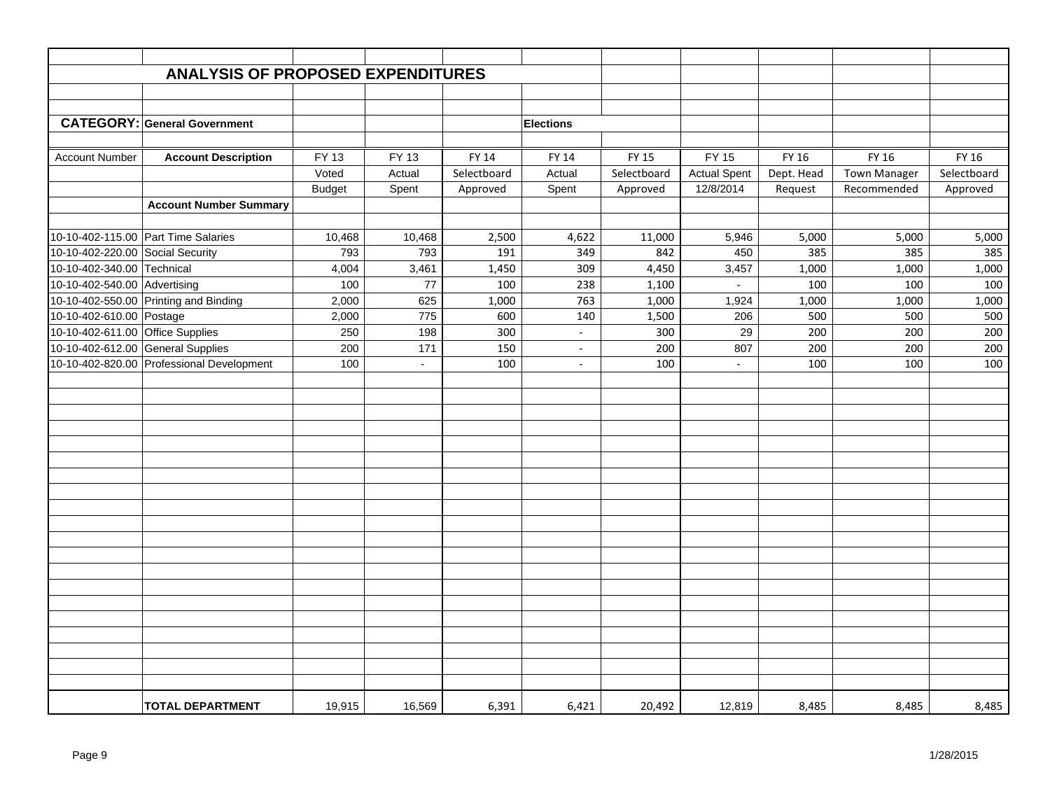|                                   | <b>ANALYSIS OF PROPOSED EXPENDITURES</b>  |               |        |              |                  |              |                     |            |              |             |
|-----------------------------------|-------------------------------------------|---------------|--------|--------------|------------------|--------------|---------------------|------------|--------------|-------------|
|                                   |                                           |               |        |              |                  |              |                     |            |              |             |
|                                   |                                           |               |        |              |                  |              |                     |            |              |             |
|                                   | <b>CATEGORY: General Government</b>       |               |        |              |                  |              |                     |            |              |             |
|                                   |                                           |               |        |              | <b>Elections</b> |              |                     |            |              |             |
|                                   |                                           |               |        |              |                  |              |                     |            |              |             |
| <b>Account Number</b>             | <b>Account Description</b>                | FY 13         | FY 13  | <b>FY 14</b> | <b>FY 14</b>     | <b>FY 15</b> | <b>FY 15</b>        | FY 16      | <b>FY 16</b> | FY 16       |
|                                   |                                           | Voted         | Actual | Selectboard  | Actual           | Selectboard  | <b>Actual Spent</b> | Dept. Head | Town Manager | Selectboard |
|                                   |                                           | <b>Budget</b> | Spent  | Approved     | Spent            | Approved     | 12/8/2014           | Request    | Recommended  | Approved    |
|                                   | <b>Account Number Summary</b>             |               |        |              |                  |              |                     |            |              |             |
|                                   |                                           |               |        |              |                  |              |                     |            |              |             |
|                                   | 10-10-402-115.00 Part Time Salaries       | 10,468        | 10,468 | 2,500        | 4,622            | 11,000       | 5,946               | 5,000      | 5,000        | 5,000       |
| 10-10-402-220.00                  | <b>Social Security</b>                    | 793           | 793    | 191          | 349              | 842          | 450                 | 385        | 385          | 385         |
| 10-10-402-340.00 Technical        |                                           | 4,004         | 3,461  | 1,450        | 309              | 4,450        | 3,457               | 1,000      | 1,000        | 1,000       |
| 10-10-402-540.00 Advertising      |                                           | 100           | 77     | 100          | 238              | 1,100        |                     | 100        | 100          | 100         |
|                                   | 10-10-402-550.00 Printing and Binding     | 2,000         | 625    | 1,000        | 763              | 1,000        | 1,924               | 1,000      | 1,000        | 1,000       |
| 10-10-402-610.00 Postage          |                                           | 2,000         | 775    | 600          | 140              | 1,500        | 206                 | 500        | 500          | 500         |
| 10-10-402-611.00 Office Supplies  |                                           | 250           | 198    | 300          | $\omega$         | 300          | 29                  | 200        | 200          | 200         |
| 10-10-402-612.00 General Supplies |                                           | 200           | 171    | 150          | $\sim$           | 200          | 807                 | 200        | 200          | 200         |
|                                   | 10-10-402-820.00 Professional Development | 100           | $\sim$ | 100          | $\blacksquare$   | 100          | $\blacksquare$      | 100        | 100          | 100         |
|                                   |                                           |               |        |              |                  |              |                     |            |              |             |
|                                   |                                           |               |        |              |                  |              |                     |            |              |             |
|                                   |                                           |               |        |              |                  |              |                     |            |              |             |
|                                   |                                           |               |        |              |                  |              |                     |            |              |             |
|                                   |                                           |               |        |              |                  |              |                     |            |              |             |
|                                   |                                           |               |        |              |                  |              |                     |            |              |             |
|                                   |                                           |               |        |              |                  |              |                     |            |              |             |
|                                   |                                           |               |        |              |                  |              |                     |            |              |             |
|                                   |                                           |               |        |              |                  |              |                     |            |              |             |
|                                   |                                           |               |        |              |                  |              |                     |            |              |             |
|                                   |                                           |               |        |              |                  |              |                     |            |              |             |
|                                   |                                           |               |        |              |                  |              |                     |            |              |             |
|                                   |                                           |               |        |              |                  |              |                     |            |              |             |
|                                   |                                           |               |        |              |                  |              |                     |            |              |             |
|                                   |                                           |               |        |              |                  |              |                     |            |              |             |
|                                   |                                           |               |        |              |                  |              |                     |            |              |             |
|                                   |                                           |               |        |              |                  |              |                     |            |              |             |
|                                   |                                           |               |        |              |                  |              |                     |            |              |             |
|                                   |                                           |               |        |              |                  |              |                     |            |              |             |
|                                   |                                           |               |        |              |                  |              |                     |            |              |             |
|                                   |                                           |               |        |              |                  |              |                     |            |              |             |
|                                   | <b>TOTAL DEPARTMENT</b>                   | 19,915        | 16,569 | 6,391        | 6,421            | 20,492       | 12,819              | 8,485      | 8,485        | 8,485       |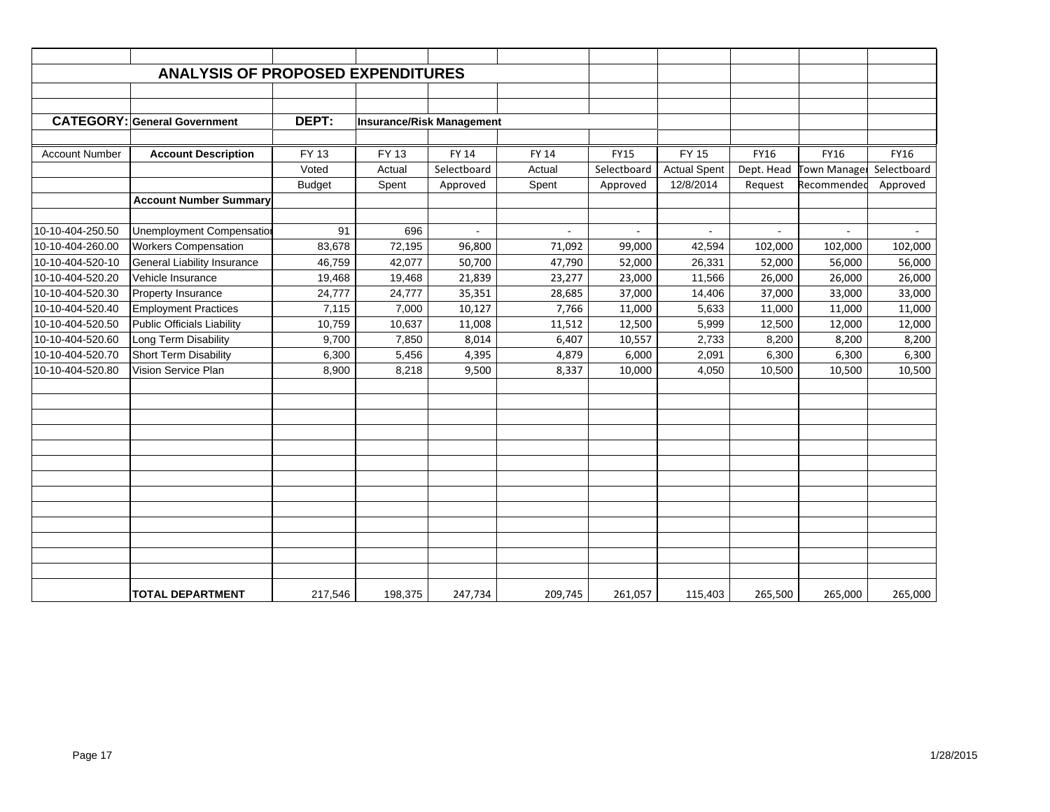|                       | <b>ANALYSIS OF PROPOSED EXPENDITURES</b> |               |                                  |             |         |             |                     |             |              |             |
|-----------------------|------------------------------------------|---------------|----------------------------------|-------------|---------|-------------|---------------------|-------------|--------------|-------------|
|                       |                                          |               |                                  |             |         |             |                     |             |              |             |
|                       |                                          |               |                                  |             |         |             |                     |             |              |             |
|                       | <b>CATEGORY: General Government</b>      | DEPT:         | <b>Insurance/Risk Management</b> |             |         |             |                     |             |              |             |
|                       |                                          |               |                                  |             |         |             |                     |             |              |             |
| <b>Account Number</b> | <b>Account Description</b>               | FY 13         | FY 13                            | FY 14       | FY 14   | <b>FY15</b> | <b>FY 15</b>        | <b>FY16</b> | <b>FY16</b>  | <b>FY16</b> |
|                       |                                          | Voted         | Actual                           | Selectboard | Actual  | Selectboard | <b>Actual Spent</b> | Dept. Head  | Town Manager | Selectboard |
|                       |                                          | <b>Budget</b> | Spent                            | Approved    | Spent   | Approved    | 12/8/2014           | Request     | Recommended  | Approved    |
|                       | <b>Account Number Summary</b>            |               |                                  |             |         |             |                     |             |              |             |
|                       |                                          |               |                                  |             |         |             |                     |             |              |             |
| 10-10-404-250.50      | <b>Unemployment Compensatior</b>         | 91            | 696                              |             |         |             |                     |             |              |             |
| 10-10-404-260.00      | <b>Workers Compensation</b>              | 83,678        | 72,195                           | 96,800      | 71,092  | 99,000      | 42,594              | 102,000     | 102,000      | 102,000     |
| 10-10-404-520-10      | <b>General Liability Insurance</b>       | 46,759        | 42,077                           | 50,700      | 47,790  | 52,000      | 26,331              | 52,000      | 56,000       | 56,000      |
| 10-10-404-520.20      | Vehicle Insurance                        | 19,468        | 19,468                           | 21,839      | 23,277  | 23,000      | 11,566              | 26,000      | 26,000       | 26,000      |
| 10-10-404-520.30      | Property Insurance                       | 24,777        | 24,777                           | 35,351      | 28,685  | 37,000      | 14,406              | 37,000      | 33,000       | 33,000      |
| 10-10-404-520.40      | <b>Employment Practices</b>              | 7,115         | 7,000                            | 10,127      | 7,766   | 11,000      | 5,633               | 11,000      | 11,000       | 11,000      |
| 10-10-404-520.50      | <b>Public Officials Liability</b>        | 10,759        | 10,637                           | 11,008      | 11,512  | 12,500      | 5,999               | 12,500      | 12,000       | 12,000      |
| 10-10-404-520.60      | Long Term Disability                     | 9,700         | 7,850                            | 8,014       | 6,407   | 10,557      | 2,733               | 8,200       | 8,200        | 8,200       |
| 10-10-404-520.70      | <b>Short Term Disability</b>             | 6,300         | 5,456                            | 4,395       | 4,879   | 6,000       | 2,091               | 6,300       | 6,300        | 6,300       |
| 10-10-404-520.80      | Vision Service Plan                      | 8,900         | 8,218                            | 9,500       | 8,337   | 10,000      | 4,050               | 10,500      | 10,500       | 10,500      |
|                       |                                          |               |                                  |             |         |             |                     |             |              |             |
|                       |                                          |               |                                  |             |         |             |                     |             |              |             |
|                       |                                          |               |                                  |             |         |             |                     |             |              |             |
|                       |                                          |               |                                  |             |         |             |                     |             |              |             |
|                       |                                          |               |                                  |             |         |             |                     |             |              |             |
|                       |                                          |               |                                  |             |         |             |                     |             |              |             |
|                       |                                          |               |                                  |             |         |             |                     |             |              |             |
|                       |                                          |               |                                  |             |         |             |                     |             |              |             |
|                       |                                          |               |                                  |             |         |             |                     |             |              |             |
|                       |                                          |               |                                  |             |         |             |                     |             |              |             |
|                       |                                          |               |                                  |             |         |             |                     |             |              |             |
|                       |                                          |               |                                  |             |         |             |                     |             |              |             |
|                       |                                          |               |                                  |             |         |             |                     |             |              |             |
|                       | <b>TOTAL DEPARTMENT</b>                  | 217,546       | 198,375                          | 247,734     | 209,745 | 261,057     | 115,403             | 265,500     | 265,000      | 265,000     |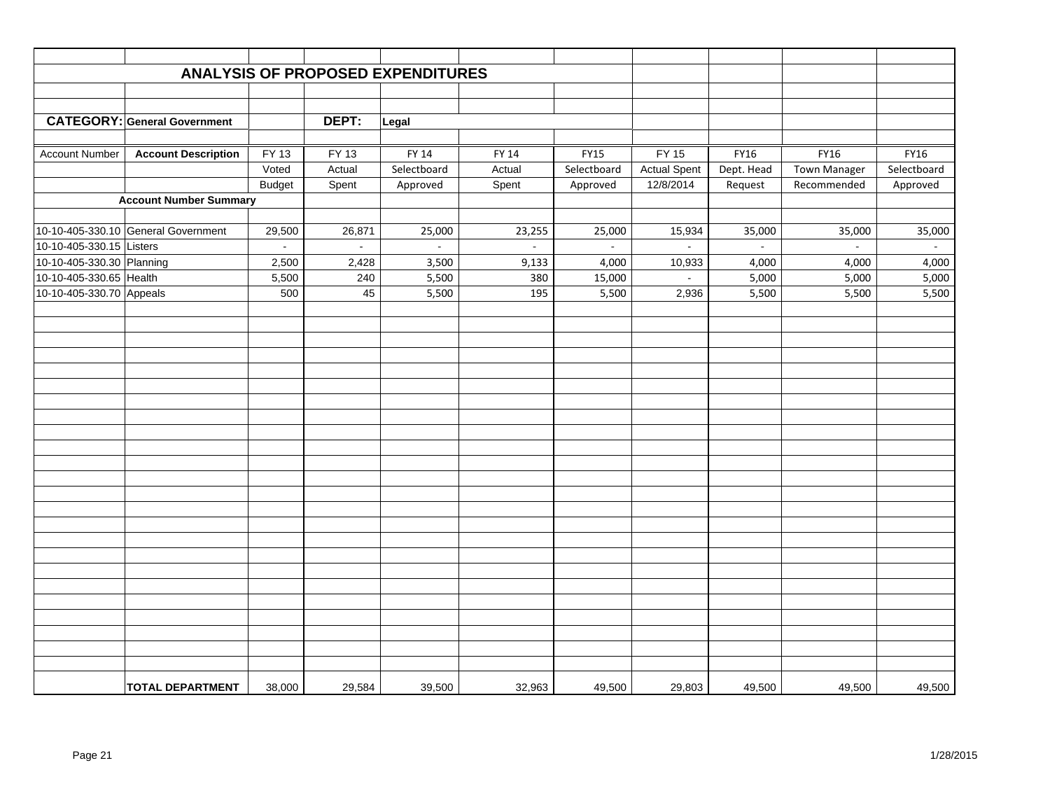|                           |                                     |               |                    | <b>ANALYSIS OF PROPOSED EXPENDITURES</b> |                |             |                     |            |                     |             |
|---------------------------|-------------------------------------|---------------|--------------------|------------------------------------------|----------------|-------------|---------------------|------------|---------------------|-------------|
|                           |                                     |               |                    |                                          |                |             |                     |            |                     |             |
|                           |                                     |               |                    |                                          |                |             |                     |            |                     |             |
|                           | <b>CATEGORY: General Government</b> |               | DEPT:              | Legal                                    |                |             |                     |            |                     |             |
|                           |                                     |               |                    |                                          |                |             |                     |            |                     |             |
| <b>Account Number</b>     | <b>Account Description</b>          | FY 13         | $\overline{FY}$ 13 | FY 14                                    | FY 14          | <b>FY15</b> | <b>FY 15</b>        | FY16       | FY16                | FY16        |
|                           |                                     | Voted         | Actual             | Selectboard                              | Actual         | Selectboard | <b>Actual Spent</b> | Dept. Head | <b>Town Manager</b> | Selectboard |
|                           |                                     | <b>Budget</b> | Spent              | Approved                                 | Spent          | Approved    | 12/8/2014           | Request    | Recommended         | Approved    |
|                           | <b>Account Number Summary</b>       |               |                    |                                          |                |             |                     |            |                     |             |
|                           | 10-10-405-330.10 General Government | 29,500        | 26,871             | 25,000                                   | 23,255         | 25,000      | 15,934              | 35,000     | 35,000              | 35,000      |
| 10-10-405-330.15 Listers  |                                     | $\sim$        | $\sim$             | $\sim$                                   | $\overline{a}$ | $\sim$      | $\sim$              | $\sim$     | $\sim$              | $\sim$      |
| 10-10-405-330.30 Planning |                                     | 2,500         | 2,428              | 3,500                                    | 9,133          | 4,000       | 10,933              | 4,000      | 4,000               | 4,000       |
| 10-10-405-330.65 Health   |                                     | 5,500         | 240                | 5,500                                    | 380            | 15,000      | $\omega$            | 5,000      | 5,000               | 5,000       |
| 10-10-405-330.70 Appeals  |                                     | 500           | 45                 | 5,500                                    | 195            | 5,500       | 2,936               | 5,500      | 5,500               | 5,500       |
|                           |                                     |               |                    |                                          |                |             |                     |            |                     |             |
|                           |                                     |               |                    |                                          |                |             |                     |            |                     |             |
|                           |                                     |               |                    |                                          |                |             |                     |            |                     |             |
|                           |                                     |               |                    |                                          |                |             |                     |            |                     |             |
|                           |                                     |               |                    |                                          |                |             |                     |            |                     |             |
|                           |                                     |               |                    |                                          |                |             |                     |            |                     |             |
|                           |                                     |               |                    |                                          |                |             |                     |            |                     |             |
|                           |                                     |               |                    |                                          |                |             |                     |            |                     |             |
|                           |                                     |               |                    |                                          |                |             |                     |            |                     |             |
|                           |                                     |               |                    |                                          |                |             |                     |            |                     |             |
|                           |                                     |               |                    |                                          |                |             |                     |            |                     |             |
|                           |                                     |               |                    |                                          |                |             |                     |            |                     |             |
|                           |                                     |               |                    |                                          |                |             |                     |            |                     |             |
|                           |                                     |               |                    |                                          |                |             |                     |            |                     |             |
|                           |                                     |               |                    |                                          |                |             |                     |            |                     |             |
|                           |                                     |               |                    |                                          |                |             |                     |            |                     |             |
|                           |                                     |               |                    |                                          |                |             |                     |            |                     |             |
|                           |                                     |               |                    |                                          |                |             |                     |            |                     |             |
|                           |                                     |               |                    |                                          |                |             |                     |            |                     |             |
|                           |                                     |               |                    |                                          |                |             |                     |            |                     |             |
|                           |                                     |               |                    |                                          |                |             |                     |            |                     |             |
|                           |                                     |               |                    |                                          |                |             |                     |            |                     |             |
|                           |                                     |               |                    |                                          |                |             |                     |            |                     |             |
|                           | <b>TOTAL DEPARTMENT</b>             | 38,000        | 29,584             | 39,500                                   | 32,963         | 49,500      | 29,803              | 49,500     | 49,500              | 49,500      |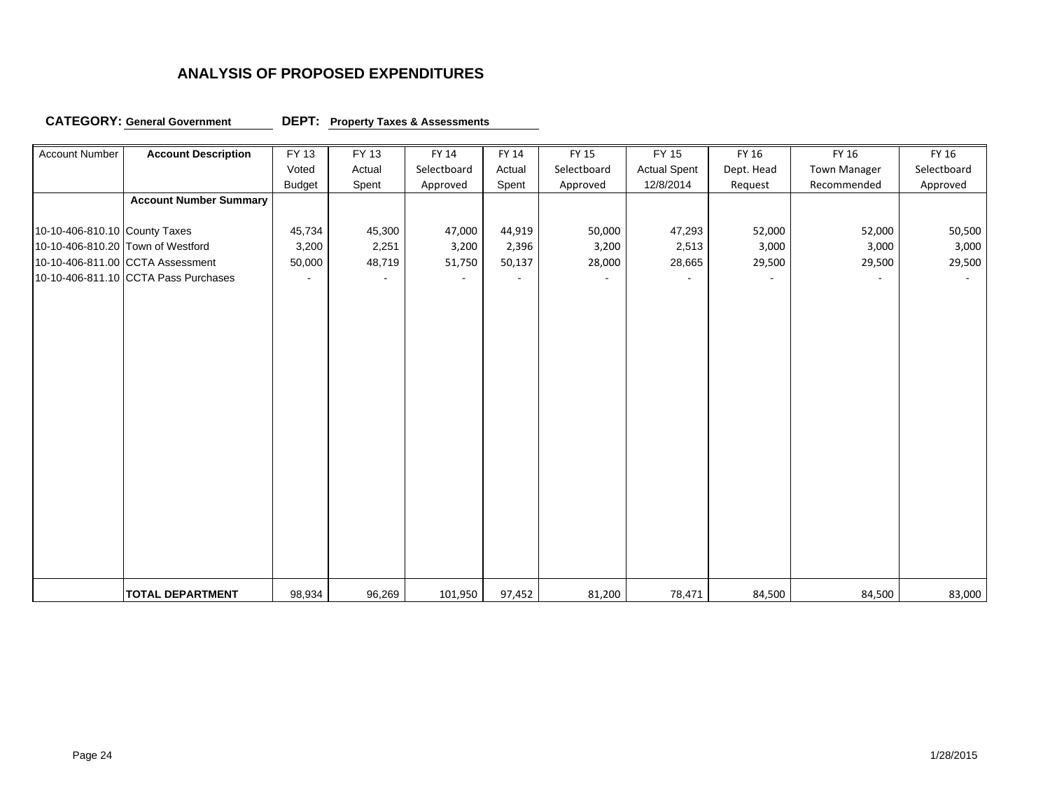### **CATEGORY: General Government DEPT:**

### **DEPT:** Property Taxes & Assessments

| <b>Account Number</b>         | <b>Account Description</b>           | FY 13         | FY 13  | FY 14       | FY 14          | FY 15       | FY 15               | FY 16      | FY 16               | FY 16       |
|-------------------------------|--------------------------------------|---------------|--------|-------------|----------------|-------------|---------------------|------------|---------------------|-------------|
|                               |                                      | Voted         | Actual | Selectboard | Actual         | Selectboard | <b>Actual Spent</b> | Dept. Head | <b>Town Manager</b> | Selectboard |
|                               |                                      | <b>Budget</b> | Spent  | Approved    | Spent          | Approved    | 12/8/2014           | Request    | Recommended         | Approved    |
|                               | <b>Account Number Summary</b>        |               |        |             |                |             |                     |            |                     |             |
|                               |                                      |               |        |             |                |             |                     |            |                     |             |
| 10-10-406-810.10 County Taxes |                                      | 45,734        | 45,300 | 47,000      | 44,919         | 50,000      | 47,293              | 52,000     | 52,000              | 50,500      |
|                               | 10-10-406-810.20 Town of Westford    | 3,200         | 2,251  | 3,200       | 2,396          | 3,200       | 2,513               | 3,000      | 3,000               | 3,000       |
|                               | 10-10-406-811.00 CCTA Assessment     | 50,000        | 48,719 | 51,750      | 50,137         | 28,000      | 28,665              | 29,500     | 29,500              | 29,500      |
|                               | 10-10-406-811.10 CCTA Pass Purchases |               |        |             | $\overline{a}$ |             | $\blacksquare$      |            |                     | $\sim$      |
|                               |                                      |               |        |             |                |             |                     |            |                     |             |
|                               |                                      |               |        |             |                |             |                     |            |                     |             |
|                               |                                      |               |        |             |                |             |                     |            |                     |             |
|                               |                                      |               |        |             |                |             |                     |            |                     |             |
|                               |                                      |               |        |             |                |             |                     |            |                     |             |
|                               |                                      |               |        |             |                |             |                     |            |                     |             |
|                               |                                      |               |        |             |                |             |                     |            |                     |             |
|                               |                                      |               |        |             |                |             |                     |            |                     |             |
|                               |                                      |               |        |             |                |             |                     |            |                     |             |
|                               |                                      |               |        |             |                |             |                     |            |                     |             |
|                               |                                      |               |        |             |                |             |                     |            |                     |             |
|                               |                                      |               |        |             |                |             |                     |            |                     |             |
|                               |                                      |               |        |             |                |             |                     |            |                     |             |
|                               |                                      |               |        |             |                |             |                     |            |                     |             |
|                               |                                      |               |        |             |                |             |                     |            |                     |             |
|                               |                                      |               |        |             |                |             |                     |            |                     |             |
|                               |                                      |               |        |             |                |             |                     |            |                     |             |
|                               |                                      |               |        |             |                |             |                     |            |                     |             |
|                               |                                      |               |        |             |                |             |                     |            |                     |             |
|                               | <b>TOTAL DEPARTMENT</b>              | 98,934        | 96,269 | 101,950     | 97,452         | 81,200      | 78,471              | 84,500     | 84,500              | 83,000      |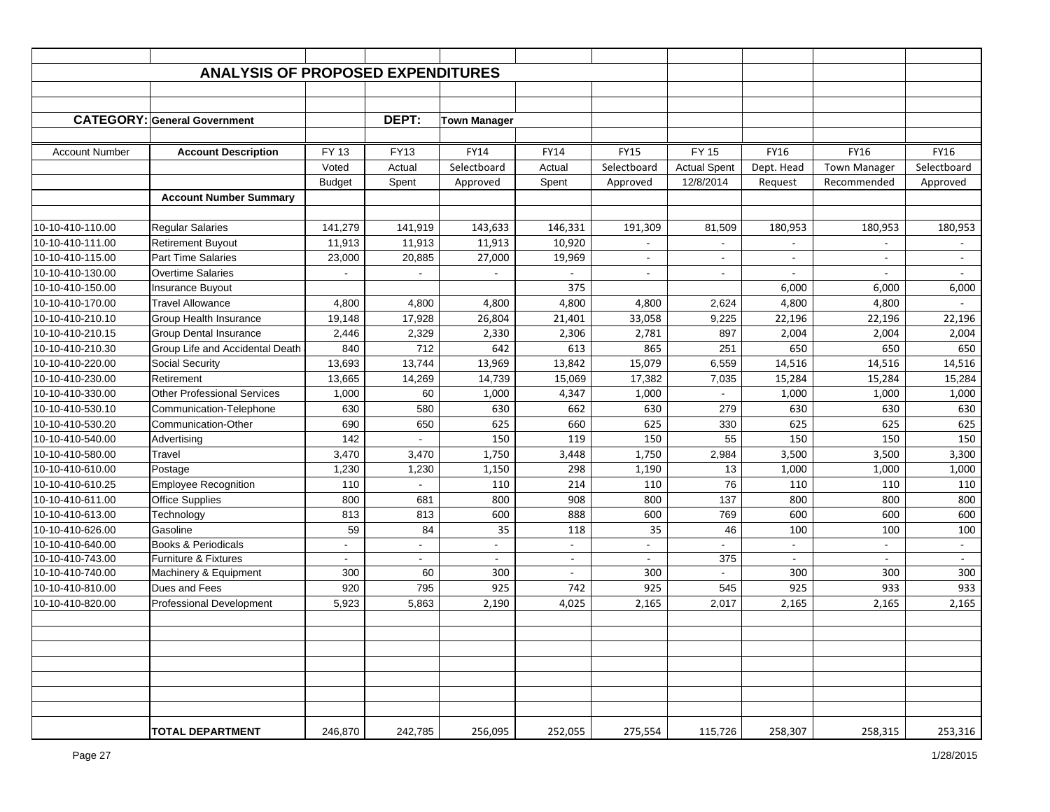|                       | <b>ANALYSIS OF PROPOSED EXPENDITURES</b> |                |                |                     |                          |                |                          |            |                          |                |
|-----------------------|------------------------------------------|----------------|----------------|---------------------|--------------------------|----------------|--------------------------|------------|--------------------------|----------------|
|                       |                                          |                |                |                     |                          |                |                          |            |                          |                |
|                       |                                          |                |                |                     |                          |                |                          |            |                          |                |
|                       | <b>CATEGORY: General Government</b>      |                | DEPT:          | <b>Town Manager</b> |                          |                |                          |            |                          |                |
|                       |                                          |                |                |                     |                          |                |                          |            |                          |                |
| <b>Account Number</b> | <b>Account Description</b>               | FY 13          | <b>FY13</b>    | <b>FY14</b>         | <b>FY14</b>              | <b>FY15</b>    | <b>FY 15</b>             | FY16       | <b>FY16</b>              | <b>FY16</b>    |
|                       |                                          | Voted          | Actual         | Selectboard         | Actual                   | Selectboard    | <b>Actual Spent</b>      | Dept. Head | <b>Town Manager</b>      | Selectboard    |
|                       |                                          | <b>Budget</b>  | Spent          | Approved            | Spent                    | Approved       | 12/8/2014                | Request    | Recommended              | Approved       |
|                       | <b>Account Number Summary</b>            |                |                |                     |                          |                |                          |            |                          |                |
|                       |                                          |                |                |                     |                          |                |                          |            |                          |                |
| 10-10-410-110.00      | <b>Regular Salaries</b>                  | 141,279        | 141,919        | 143,633             | 146,331                  | 191,309        | 81,509                   | 180,953    | 180,953                  | 180,953        |
| 10-10-410-111.00      | <b>Retirement Buyout</b>                 | 11,913         | 11,913         | 11,913              | 10,920                   |                |                          |            |                          |                |
| 10-10-410-115.00      | <b>Part Time Salaries</b>                | 23,000         | 20,885         | 27,000              | 19,969                   |                | $\overline{\phantom{a}}$ |            |                          |                |
| 10-10-410-130.00      | <b>Overtime Salaries</b>                 |                | $\blacksquare$ | $\blacksquare$      | $\blacksquare$           | $\blacksquare$ | $\blacksquare$           | $\sim$     | $\overline{\phantom{a}}$ | $\overline{a}$ |
| 10-10-410-150.00      | <b>Insurance Buyout</b>                  |                |                |                     | 375                      |                |                          | 6,000      | 6,000                    | 6,000          |
| 10-10-410-170.00      | <b>Travel Allowance</b>                  | 4,800          | 4,800          | 4,800               | 4,800                    | 4,800          | 2,624                    | 4,800      | 4,800                    | $\sim$         |
| 10-10-410-210.10      | <b>Group Health Insurance</b>            | 19,148         | 17,928         | 26,804              | 21,401                   | 33,058         | 9,225                    | 22,196     | 22,196                   | 22,196         |
| 10-10-410-210.15      | <b>Group Dental Insurance</b>            | 2,446          | 2,329          | 2,330               | 2,306                    | 2,781          | 897                      | 2,004      | 2,004                    | 2,004          |
| 10-10-410-210.30      | Group Life and Accidental Death          | 840            | 712            | 642                 | 613                      | 865            | 251                      | 650        | 650                      | 650            |
| 10-10-410-220.00      | Social Security                          | 13,693         | 13,744         | 13,969              | 13,842                   | 15,079         | 6,559                    | 14,516     | 14,516                   | 14,516         |
| 10-10-410-230.00      | Retirement                               | 13,665         | 14,269         | 14,739              | 15,069                   | 17,382         | 7,035                    | 15,284     | 15,284                   | 15,284         |
| 10-10-410-330.00      | <b>Other Professional Services</b>       | 1,000          | 60             | 1,000               | 4,347                    | 1,000          |                          | 1,000      | 1,000                    | 1,000          |
| 10-10-410-530.10      | Communication-Telephone                  | 630            | 580            | 630                 | 662                      | 630            | 279                      | 630        | 630                      | 630            |
| 10-10-410-530.20      | Communication-Other                      | 690            | 650            | 625                 | 660                      | 625            | 330                      | 625        | 625                      | 625            |
| 10-10-410-540.00      | Advertising                              | 142            | $\blacksquare$ | 150                 | 119                      | 150            | 55                       | 150        | 150                      | 150            |
| 10-10-410-580.00      | Travel                                   | 3,470          | 3,470          | 1,750               | 3,448                    | 1,750          | 2,984                    | 3,500      | 3,500                    | 3,300          |
| 10-10-410-610.00      | Postage                                  | 1,230          | 1,230          | 1,150               | 298                      | 1,190          | 13                       | 1,000      | 1,000                    | 1,000          |
| 10-10-410-610.25      | <b>Employee Recognition</b>              | 110            |                | 110                 | 214                      | 110            | 76                       | 110        | 110                      | 110            |
| 10-10-410-611.00      | <b>Office Supplies</b>                   | 800            | 681            | 800                 | 908                      | 800            | 137                      | 800        | 800                      | 800            |
| 10-10-410-613.00      | Technology                               | 813            | 813            | 600                 | 888                      | 600            | 769                      | 600        | 600                      | 600            |
| 10-10-410-626.00      | Gasoline                                 | 59             | 84             | 35                  | 118                      | 35             | 46                       | 100        | 100                      | 100            |
| 10-10-410-640.00      | Books & Periodicals                      |                |                |                     |                          |                |                          |            |                          |                |
| 10-10-410-743.00      | <b>Furniture &amp; Fixtures</b>          | $\blacksquare$ | $\blacksquare$ | $\blacksquare$      | $\sim$                   | $\blacksquare$ | 375                      | $\sim$     | $\sim$                   | $\sim$         |
| 10-10-410-740.00      | Machinery & Equipment                    | 300            | 60             | 300                 | $\overline{\phantom{a}}$ | 300            | $\overline{\phantom{a}}$ | 300        | 300                      | 300            |
| 10-10-410-810.00      | Dues and Fees                            | 920            | 795            | 925                 | 742                      | 925            | 545                      | 925        | 933                      | 933            |
| 10-10-410-820.00      | <b>Professional Development</b>          | 5,923          | 5,863          | 2,190               | 4,025                    | 2,165          | 2,017                    | 2,165      | 2,165                    | 2,165          |
|                       |                                          |                |                |                     |                          |                |                          |            |                          |                |
|                       |                                          |                |                |                     |                          |                |                          |            |                          |                |
|                       |                                          |                |                |                     |                          |                |                          |            |                          |                |
|                       |                                          |                |                |                     |                          |                |                          |            |                          |                |
|                       |                                          |                |                |                     |                          |                |                          |            |                          |                |
|                       |                                          |                |                |                     |                          |                |                          |            |                          |                |
|                       |                                          |                |                |                     |                          |                |                          |            |                          |                |
|                       | <b>TOTAL DEPARTMENT</b>                  | 246,870        | 242,785        | 256,095             | 252,055                  | 275,554        | 115,726                  | 258,307    | 258,315                  | 253,316        |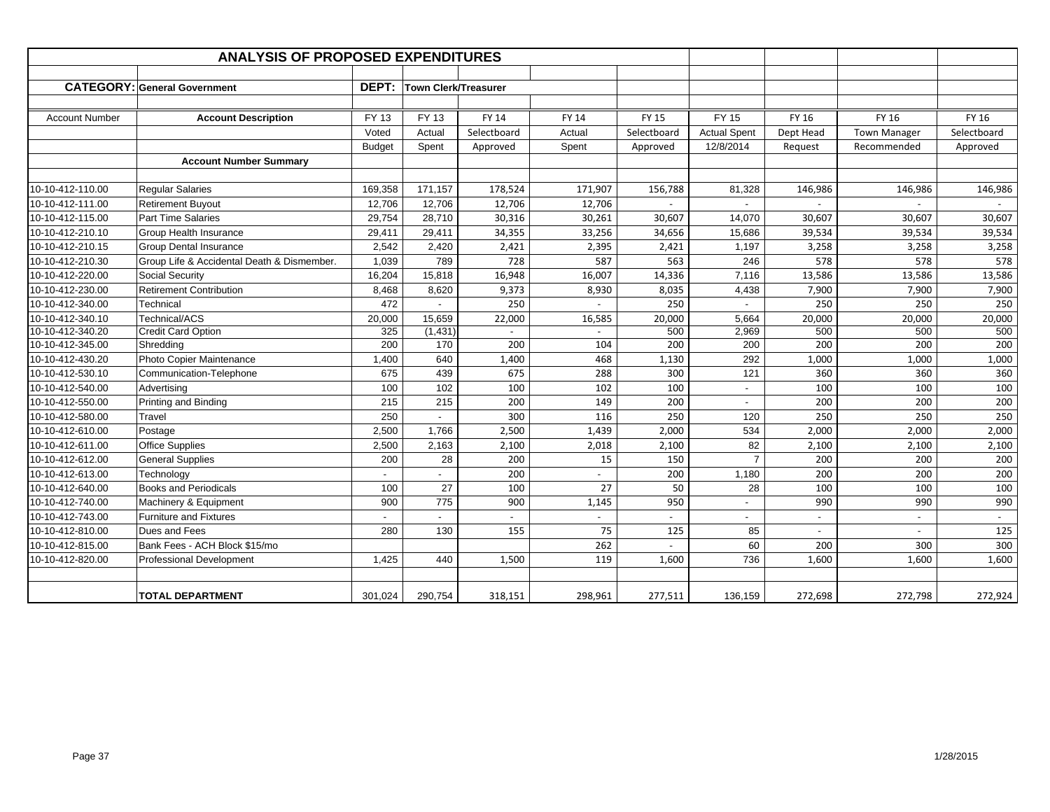|                       | <b>ANALYSIS OF PROPOSED EXPENDITURES</b>   |               |                             |              |                          |              |                          |           |                     |             |
|-----------------------|--------------------------------------------|---------------|-----------------------------|--------------|--------------------------|--------------|--------------------------|-----------|---------------------|-------------|
|                       |                                            |               |                             |              |                          |              |                          |           |                     |             |
|                       | <b>CATEGORY: General Government</b>        | <b>DEPT:</b>  | <b>Town Clerk/Treasurer</b> |              |                          |              |                          |           |                     |             |
|                       |                                            |               |                             |              |                          |              |                          |           |                     |             |
| <b>Account Number</b> | <b>Account Description</b>                 | FY 13         | FY 13                       | <b>FY 14</b> | FY 14                    | <b>FY 15</b> | <b>FY 15</b>             | FY 16     | FY 16               | FY 16       |
|                       |                                            | Voted         | Actual                      | Selectboard  | Actual                   | Selectboard  | <b>Actual Spent</b>      | Dept Head | <b>Town Manager</b> | Selectboard |
|                       |                                            | <b>Budget</b> | Spent                       | Approved     | Spent                    | Approved     | 12/8/2014                | Request   | Recommended         | Approved    |
|                       | <b>Account Number Summary</b>              |               |                             |              |                          |              |                          |           |                     |             |
|                       |                                            |               |                             |              |                          |              |                          |           |                     |             |
| 10-10-412-110.00      | <b>Regular Salaries</b>                    | 169,358       | 171,157                     | 178,524      | 171,907                  | 156,788      | 81,328                   | 146,986   | 146,986             | 146,986     |
| 10-10-412-111.00      | <b>Retirement Buyout</b>                   | 12,706        | 12,706                      | 12,706       | 12,706                   |              |                          |           |                     |             |
| 10-10-412-115.00      | <b>Part Time Salaries</b>                  | 29,754        | 28,710                      | 30,316       | 30,261                   | 30,607       | 14,070                   | 30,607    | 30,607              | 30,607      |
| 10-10-412-210.10      | Group Health Insurance                     | 29,411        | 29,411                      | 34,355       | 33,256                   | 34,656       | 15,686                   | 39,534    | 39,534              | 39,534      |
| 10-10-412-210.15      | <b>Group Dental Insurance</b>              | 2,542         | 2,420                       | 2,421        | 2,395                    | 2,421        | 1,197                    | 3,258     | 3,258               | 3,258       |
| 10-10-412-210.30      | Group Life & Accidental Death & Dismember. | 1,039         | 789                         | 728          | 587                      | 563          | 246                      | 578       | 578                 | 578         |
| 10-10-412-220.00      | <b>Social Security</b>                     | 16,204        | 15,818                      | 16,948       | 16,007                   | 14,336       | 7,116                    | 13,586    | 13,586              | 13,586      |
| 10-10-412-230.00      | <b>Retirement Contribution</b>             | 8,468         | 8,620                       | 9,373        | 8,930                    | 8,035        | 4,438                    | 7,900     | 7,900               | 7,900       |
| 10-10-412-340.00      | Technical                                  | 472           | $\blacksquare$              | 250          | $\overline{a}$           | 250          |                          | 250       | 250                 | 250         |
| 10-10-412-340.10      | Technical/ACS                              | 20,000        | 15,659                      | 22,000       | 16,585                   | 20,000       | 5,664                    | 20,000    | 20,000              | 20,000      |
| 10-10-412-340.20      | <b>Credit Card Option</b>                  | 325           | (1,431)                     |              | $\overline{\phantom{a}}$ | 500          | 2,969                    | 500       | 500                 | 500         |
| 10-10-412-345.00      | Shredding                                  | 200           | 170                         | 200          | 104                      | 200          | 200                      | 200       | 200                 | 200         |
| 10-10-412-430.20      | Photo Copier Maintenance                   | 1,400         | 640                         | 1,400        | 468                      | 1,130        | 292                      | 1,000     | 1,000               | 1,000       |
| 10-10-412-530.10      | Communication-Telephone                    | 675           | 439                         | 675          | 288                      | 300          | 121                      | 360       | 360                 | 360         |
| 10-10-412-540.00      | Advertising                                | 100           | 102                         | 100          | 102                      | 100          | $\overline{\phantom{a}}$ | 100       | 100                 | 100         |
| 10-10-412-550.00      | Printing and Binding                       | 215           | 215                         | 200          | 149                      | 200          | $\sim$                   | 200       | 200                 | 200         |
| 10-10-412-580.00      | Travel                                     | 250           |                             | 300          | 116                      | 250          | 120                      | 250       | 250                 | 250         |
| 10-10-412-610.00      | Postage                                    | 2,500         | 1,766                       | 2,500        | 1,439                    | 2,000        | 534                      | 2,000     | 2,000               | 2,000       |
| 10-10-412-611.00      | <b>Office Supplies</b>                     | 2,500         | 2,163                       | 2,100        | 2,018                    | 2,100        | 82                       | 2,100     | 2,100               | 2,100       |
| 10-10-412-612.00      | <b>General Supplies</b>                    | 200           | 28                          | 200          | 15                       | 150          | $\overline{7}$           | 200       | 200                 | 200         |
| 10-10-412-613.00      | Technology                                 |               |                             | 200          |                          | 200          | 1,180                    | 200       | 200                 | 200         |
| 10-10-412-640.00      | <b>Books and Periodicals</b>               | 100           | 27                          | 100          | 27                       | 50           | 28                       | 100       | 100                 | 100         |
| 10-10-412-740.00      | Machinery & Equipment                      | 900           | 775                         | 900          | 1,145                    | 950          |                          | 990       | 990                 | 990         |
| 10-10-412-743.00      | <b>Furniture and Fixtures</b>              |               |                             |              |                          |              | $\overline{\phantom{a}}$ |           |                     |             |
| 10-10-412-810.00      | Dues and Fees                              | 280           | 130                         | 155          | 75                       | 125          | 85                       |           |                     | 125         |
| 10-10-412-815.00      | Bank Fees - ACH Block \$15/mo              |               |                             |              | 262                      |              | 60                       | 200       | 300                 | 300         |
| 10-10-412-820.00      | <b>Professional Development</b>            | 1,425         | 440                         | 1,500        | 119                      | 1,600        | 736                      | 1,600     | 1,600               | 1,600       |
|                       |                                            |               |                             |              |                          |              |                          |           |                     |             |
|                       | TOTAL DEPARTMENT                           | 301.024       | 290,754                     | 318,151      | 298,961                  | 277,511      | 136,159                  | 272,698   | 272,798             | 272,924     |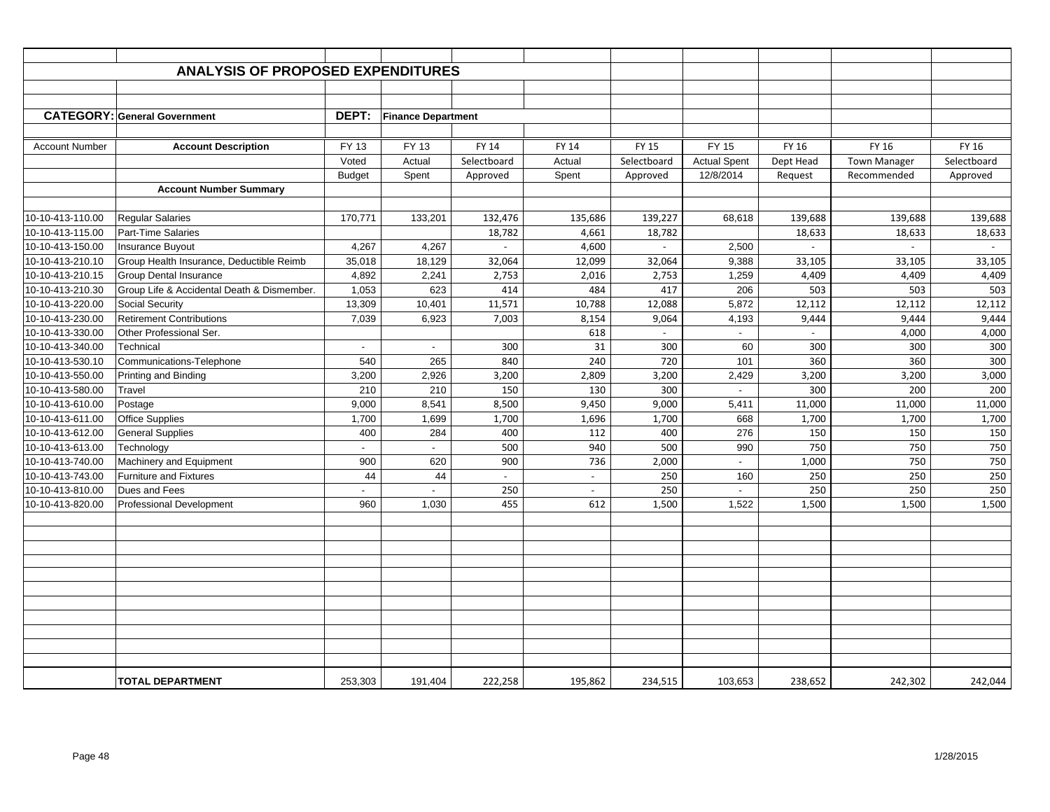|                       | <b>ANALYSIS OF PROPOSED EXPENDITURES</b>   |                |                           |                          |              |                |                     |           |                     |             |
|-----------------------|--------------------------------------------|----------------|---------------------------|--------------------------|--------------|----------------|---------------------|-----------|---------------------|-------------|
|                       |                                            |                |                           |                          |              |                |                     |           |                     |             |
|                       |                                            |                |                           |                          |              |                |                     |           |                     |             |
|                       | <b>CATEGORY: General Government</b>        | DEPT:          | <b>Finance Department</b> |                          |              |                |                     |           |                     |             |
|                       |                                            |                |                           |                          |              |                |                     |           |                     |             |
| <b>Account Number</b> | <b>Account Description</b>                 | FY 13          | FY 13                     | <b>FY 14</b>             | <b>FY 14</b> | <b>FY 15</b>   | <b>FY 15</b>        | FY 16     | FY 16               | FY 16       |
|                       |                                            | Voted          | Actual                    | Selectboard              | Actual       | Selectboard    | <b>Actual Spent</b> | Dept Head | <b>Town Manager</b> | Selectboard |
|                       |                                            | <b>Budget</b>  | Spent                     | Approved                 | Spent        | Approved       | 12/8/2014           | Request   | Recommended         | Approved    |
|                       | <b>Account Number Summary</b>              |                |                           |                          |              |                |                     |           |                     |             |
|                       |                                            |                |                           |                          |              |                |                     |           |                     |             |
| 10-10-413-110.00      | <b>Regular Salaries</b>                    | 170,771        | 133,201                   | 132,476                  | 135,686      | 139,227        | 68,618              | 139,688   | 139,688             | 139,688     |
| 10-10-413-115.00      | Part-Time Salaries                         |                |                           | 18,782                   | 4,661        | 18,782         |                     | 18,633    | 18,633              | 18,633      |
| 10-10-413-150.00      | Insurance Buyout                           | 4,267          | 4,267                     |                          | 4,600        |                | 2,500               |           |                     |             |
| 10-10-413-210.10      | Group Health Insurance, Deductible Reimb   | 35,018         | 18,129                    | 32,064                   | 12,099       | 32,064         | 9,388               | 33,105    | 33,105              | 33,105      |
| 10-10-413-210.15      | <b>Group Dental Insurance</b>              | 4,892          | 2,241                     | 2,753                    | 2,016        | 2,753          | 1,259               | 4,409     | 4,409               | 4,409       |
| 10-10-413-210.30      | Group Life & Accidental Death & Dismember. | 1,053          | 623                       | 414                      | 484          | 417            | 206                 | 503       | 503                 | 503         |
| 10-10-413-220.00      | <b>Social Security</b>                     | 13,309         | 10,401                    | 11,571                   | 10,788       | 12,088         | 5,872               | 12,112    | 12,112              | 12,112      |
| 10-10-413-230.00      | <b>Retirement Contributions</b>            | 7,039          | 6,923                     | 7,003                    | 8,154        | 9,064          | 4,193               | 9,444     | 9,444               | 9,444       |
| 10-10-413-330.00      | Other Professional Ser.                    |                |                           |                          | 618          | $\blacksquare$ | $\blacksquare$      |           | 4,000               | 4,000       |
| 10-10-413-340.00      | Technical                                  | $\overline{a}$ | $\overline{\phantom{a}}$  | 300                      | 31           | 300            | 60                  | 300       | 300                 | 300         |
| 10-10-413-530.10      | Communications-Telephone                   | 540            | 265                       | 840                      | 240          | 720            | 101                 | 360       | 360                 | 300         |
| 10-10-413-550.00      | Printing and Binding                       | 3,200          | 2,926                     | 3,200                    | 2,809        | 3,200          | 2,429               | 3,200     | 3,200               | 3,000       |
| 10-10-413-580.00      | Travel                                     | 210            | 210                       | 150                      | 130          | 300            | $\sim$              | 300       | 200                 | 200         |
| 10-10-413-610.00      | Postage                                    | 9,000          | 8,541                     | 8,500                    | 9,450        | 9,000          | 5,411               | 11,000    | 11,000              | 11,000      |
| 10-10-413-611.00      | <b>Office Supplies</b>                     | 1,700          | 1,699                     | 1,700                    | 1,696        | 1,700          | 668                 | 1,700     | 1,700               | 1,700       |
| 10-10-413-612.00      | <b>General Supplies</b>                    | 400            | 284                       | 400                      | 112          | 400            | 276                 | 150       | 150                 | 150         |
| 10-10-413-613.00      | Technology                                 | $\blacksquare$ | $\mathbf{r}$              | 500                      | 940          | 500            | 990                 | 750       | 750                 | 750         |
| 10-10-413-740.00      | Machinery and Equipment                    | 900            | 620                       | 900                      | 736          | 2,000          | $\sim$              | 1,000     | 750                 | 750         |
| 10-10-413-743.00      | <b>Furniture and Fixtures</b>              | 44             | 44                        | $\overline{\phantom{a}}$ | $\sim$       | 250            | 160                 | 250       | 250                 | 250         |
| 10-10-413-810.00      | Dues and Fees                              | $\overline{a}$ | $\overline{a}$            | 250                      | $\sim$       | 250            | $\mathbf{r}$        | 250       | 250                 | 250         |
| 10-10-413-820.00      | Professional Development                   | 960            | 1,030                     | 455                      | 612          | 1,500          | 1,522               | 1,500     | 1,500               | 1,500       |
|                       |                                            |                |                           |                          |              |                |                     |           |                     |             |
|                       |                                            |                |                           |                          |              |                |                     |           |                     |             |
|                       |                                            |                |                           |                          |              |                |                     |           |                     |             |
|                       |                                            |                |                           |                          |              |                |                     |           |                     |             |
|                       |                                            |                |                           |                          |              |                |                     |           |                     |             |
|                       |                                            |                |                           |                          |              |                |                     |           |                     |             |
|                       |                                            |                |                           |                          |              |                |                     |           |                     |             |
|                       |                                            |                |                           |                          |              |                |                     |           |                     |             |
|                       |                                            |                |                           |                          |              |                |                     |           |                     |             |
|                       |                                            |                |                           |                          |              |                |                     |           |                     |             |
|                       |                                            |                |                           |                          |              |                |                     |           |                     |             |
|                       | <b>TOTAL DEPARTMENT</b>                    | 253,303        | 191.404                   | 222,258                  | 195,862      | 234,515        | 103,653             | 238,652   | 242,302             | 242,044     |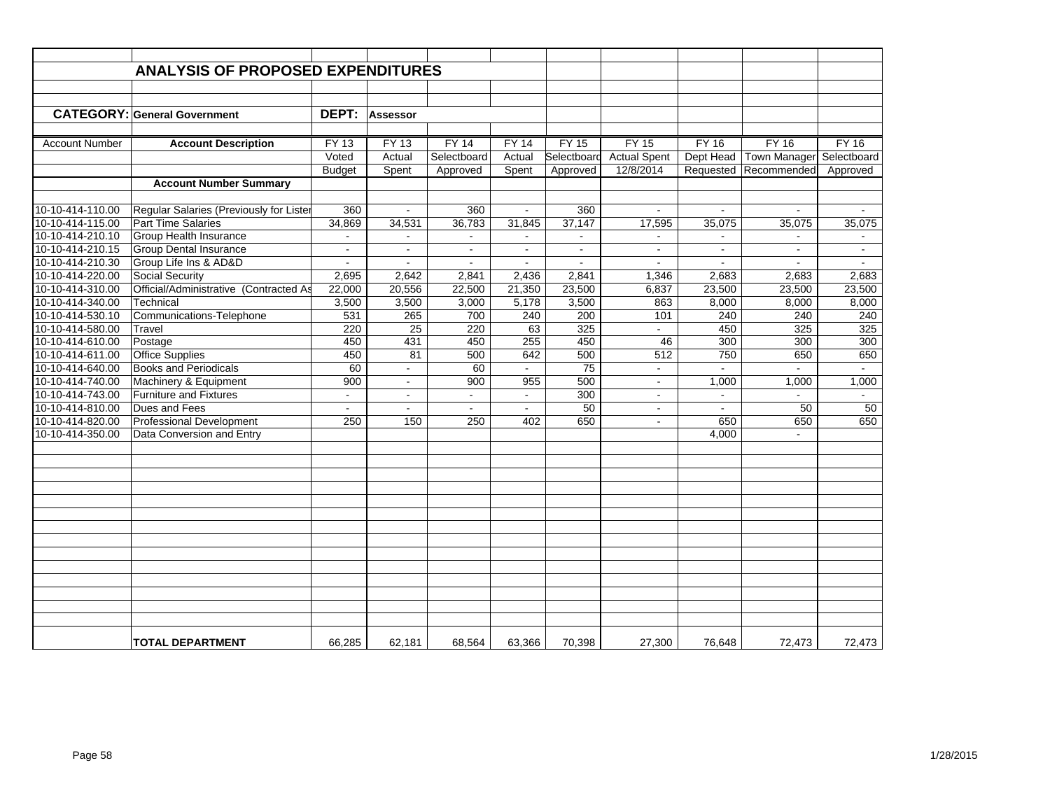|                       | <b>ANALYSIS OF PROPOSED EXPENDITURES</b> |                |                          |                |                |                |                     |                |                     |                |
|-----------------------|------------------------------------------|----------------|--------------------------|----------------|----------------|----------------|---------------------|----------------|---------------------|----------------|
|                       |                                          |                |                          |                |                |                |                     |                |                     |                |
|                       |                                          |                |                          |                |                |                |                     |                |                     |                |
|                       | <b>CATEGORY: General Government</b>      | DEPT:          | Assessor                 |                |                |                |                     |                |                     |                |
|                       |                                          |                |                          |                |                |                |                     |                |                     |                |
|                       |                                          | <b>FY 13</b>   |                          | <b>FY 14</b>   | <b>FY 14</b>   | <b>FY 15</b>   | <b>FY 15</b>        | <b>FY 16</b>   | <b>FY 16</b>        | <b>FY 16</b>   |
| <b>Account Number</b> | <b>Account Description</b>               |                | <b>FY 13</b>             |                |                |                |                     |                |                     |                |
|                       |                                          | Voted          | Actual                   | Selectboard    | Actual         | Selectboard    | <b>Actual Spent</b> | Dept Head      | <b>Town Manager</b> | Selectboard    |
|                       |                                          | <b>Budget</b>  | Spent                    | Approved       | Spent          | Approved       | 12/8/2014           | Requested      | Recommended         | Approved       |
|                       | <b>Account Number Summary</b>            |                |                          |                |                |                |                     |                |                     |                |
| 10-10-414-110.00      | Regular Salaries (Previously for Lister  | 360            | $\blacksquare$           | 360            | $\sim$         | 360            | $\mathbf{r}$        | $\sim$         | $\mathbf{r}$        |                |
| 10-10-414-115.00      | <b>Part Time Salaries</b>                | 34,869         | 34,531                   | 36,783         | 31,845         | 37,147         | 17,595              | 35,075         | 35,075              | 35,075         |
| 10-10-414-210.10      | <b>Group Health Insurance</b>            | $\blacksquare$ | $\sim$                   | $\blacksquare$ |                | $\sim$         | $\sim$              | $\sim$         | ä,                  |                |
| 10-10-414-210.15      | <b>Group Dental Insurance</b>            | $\blacksquare$ | $\blacksquare$           | $\blacksquare$ | $\blacksquare$ | $\blacksquare$ | $\blacksquare$      | $\blacksquare$ | $\blacksquare$      | $\blacksquare$ |
| 10-10-414-210.30      | Group Life Ins & AD&D                    |                | $\overline{a}$           | $\overline{a}$ |                | $\overline{a}$ | $\overline{a}$      |                | ÷.                  |                |
| 10-10-414-220.00      | <b>Social Security</b>                   | 2,695          | 2,642                    | 2,841          | 2.436          | 2,841          | 1,346               | 2,683          | 2,683               | 2.683          |
| 10-10-414-310.00      | Official/Administrative (Contracted As   | 22,000         | 20,556                   | 22,500         | 21,350         | 23,500         | 6,837               | 23,500         | 23,500              | 23,500         |
|                       |                                          |                |                          |                |                |                |                     |                |                     |                |
| 10-10-414-340.00      | Technical                                | 3,500          | 3,500                    | 3,000          | 5,178          | 3,500          | 863                 | 8,000          | 8,000               | 8,000          |
| 10-10-414-530.10      | Communications-Telephone                 | 531            | 265                      | 700            | 240            | 200            | 101                 | 240            | 240                 | 240            |
| 10-10-414-580.00      | Travel                                   | 220            | 25                       | 220            | 63             | 325            | $\mathbf{r}$        | 450            | 325                 | 325            |
| 10-10-414-610.00      | Postage                                  | 450            | 431                      | 450            | 255            | 450            | 46                  | 300            | $\overline{300}$    | 300            |
| 10-10-414-611.00      | <b>Office Supplies</b>                   | 450            | 81                       | 500            | 642            | 500            | 512                 | 750            | 650                 | 650            |
| 10-10-414-640.00      | <b>Books and Periodicals</b>             | 60             | $\overline{\phantom{a}}$ | 60             |                | 75             | $\omega$            |                |                     | $\sim$         |
| 10-10-414-740.00      | Machinery & Equipment                    | 900            | $\omega$                 | 900            | 955            | 500            | $\sim$              | 1,000          | 1,000               | 1,000          |
| 10-10-414-743.00      | <b>Furniture and Fixtures</b>            | $\blacksquare$ | $\sim$                   | $\blacksquare$ | $\sim$         | 300            | $\blacksquare$      | $\blacksquare$ |                     |                |
| 10-10-414-810.00      | Dues and Fees                            |                | $\mathbf{r}$             | $\mathbf{r}$   |                | 50             | $\blacksquare$      |                | 50                  | 50             |
| 10-10-414-820.00      | <b>Professional Development</b>          | 250            | 150                      | 250            | 402            | 650            | $\sim$              | 650            | 650                 | 650            |
| 10-10-414-350.00      | Data Conversion and Entry                |                |                          |                |                |                |                     | 4.000          | ÷.                  |                |
|                       |                                          |                |                          |                |                |                |                     |                |                     |                |
|                       |                                          |                |                          |                |                |                |                     |                |                     |                |
|                       |                                          |                |                          |                |                |                |                     |                |                     |                |
|                       |                                          |                |                          |                |                |                |                     |                |                     |                |
|                       |                                          |                |                          |                |                |                |                     |                |                     |                |
|                       |                                          |                |                          |                |                |                |                     |                |                     |                |
|                       |                                          |                |                          |                |                |                |                     |                |                     |                |
|                       |                                          |                |                          |                |                |                |                     |                |                     |                |
|                       |                                          |                |                          |                |                |                |                     |                |                     |                |
|                       |                                          |                |                          |                |                |                |                     |                |                     |                |
|                       |                                          |                |                          |                |                |                |                     |                |                     |                |
|                       |                                          |                |                          |                |                |                |                     |                |                     |                |
|                       |                                          |                |                          |                |                |                |                     |                |                     |                |
|                       |                                          |                |                          |                |                |                |                     |                |                     |                |
|                       |                                          |                |                          |                |                |                |                     |                |                     |                |
|                       | <b>TOTAL DEPARTMENT</b>                  | 66,285         | 62,181                   | 68,564         | 63,366         | 70,398         | 27,300              | 76,648         | 72,473              | 72,473         |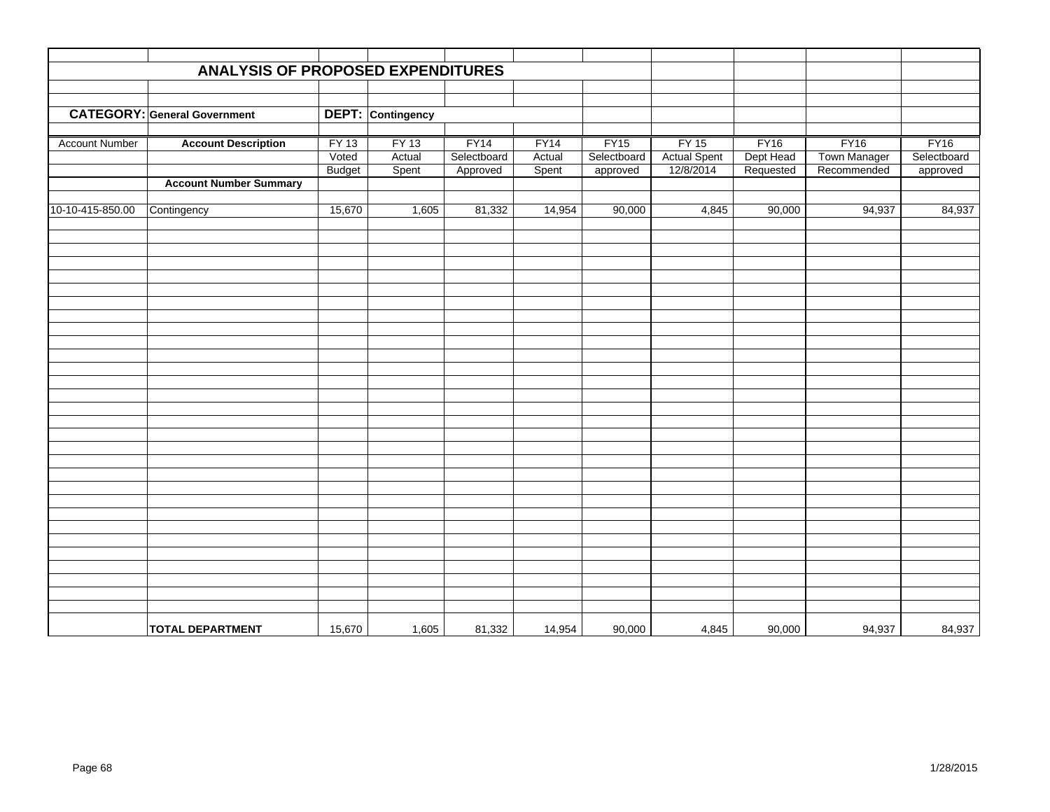|                       | ANALYSIS OF PROPOSED EXPENDITURES   |               |                          |             |        |             |                     |             |                     |             |
|-----------------------|-------------------------------------|---------------|--------------------------|-------------|--------|-------------|---------------------|-------------|---------------------|-------------|
|                       |                                     |               |                          |             |        |             |                     |             |                     |             |
|                       | <b>CATEGORY: General Government</b> |               |                          |             |        |             |                     |             |                     |             |
|                       |                                     |               | <b>DEPT:</b> Contingency |             |        |             |                     |             |                     |             |
| <b>Account Number</b> | <b>Account Description</b>          | <b>FY 13</b>  | <b>FY 13</b>             | FY14        | FY14   | FY15        | <b>FY 15</b>        | <b>FY16</b> | <b>FY16</b>         | <b>FY16</b> |
|                       |                                     | Voted         | Actual                   | Selectboard | Actual | Selectboard | <b>Actual Spent</b> | Dept Head   | <b>Town Manager</b> | Selectboard |
|                       |                                     | <b>Budget</b> | Spent                    | Approved    | Spent  | approved    | 12/8/2014           | Requested   | Recommended         | approved    |
|                       | <b>Account Number Summary</b>       |               |                          |             |        |             |                     |             |                     |             |
|                       |                                     |               |                          |             |        |             |                     |             |                     |             |
| 10-10-415-850.00      | Contingency                         | 15,670        | 1,605                    | 81,332      | 14,954 | 90,000      | 4,845               | 90,000      | 94,937              | 84,937      |
|                       |                                     |               |                          |             |        |             |                     |             |                     |             |
|                       |                                     |               |                          |             |        |             |                     |             |                     |             |
|                       |                                     |               |                          |             |        |             |                     |             |                     |             |
|                       |                                     |               |                          |             |        |             |                     |             |                     |             |
|                       |                                     |               |                          |             |        |             |                     |             |                     |             |
|                       |                                     |               |                          |             |        |             |                     |             |                     |             |
|                       |                                     |               |                          |             |        |             |                     |             |                     |             |
|                       |                                     |               |                          |             |        |             |                     |             |                     |             |
|                       |                                     |               |                          |             |        |             |                     |             |                     |             |
|                       |                                     |               |                          |             |        |             |                     |             |                     |             |
|                       |                                     |               |                          |             |        |             |                     |             |                     |             |
|                       |                                     |               |                          |             |        |             |                     |             |                     |             |
|                       |                                     |               |                          |             |        |             |                     |             |                     |             |
|                       |                                     |               |                          |             |        |             |                     |             |                     |             |
|                       |                                     |               |                          |             |        |             |                     |             |                     |             |
|                       |                                     |               |                          |             |        |             |                     |             |                     |             |
|                       |                                     |               |                          |             |        |             |                     |             |                     |             |
|                       |                                     |               |                          |             |        |             |                     |             |                     |             |
|                       |                                     |               |                          |             |        |             |                     |             |                     |             |
|                       |                                     |               |                          |             |        |             |                     |             |                     |             |
|                       |                                     |               |                          |             |        |             |                     |             |                     |             |
|                       |                                     |               |                          |             |        |             |                     |             |                     |             |
|                       |                                     |               |                          |             |        |             |                     |             |                     |             |
|                       |                                     |               |                          |             |        |             |                     |             |                     |             |
|                       |                                     |               |                          |             |        |             |                     |             |                     |             |
|                       |                                     |               |                          |             |        |             |                     |             |                     |             |
|                       | <b>TOTAL DEPARTMENT</b>             | 15,670        | 1,605                    | 81,332      | 14,954 | 90,000      | 4,845               | 90,000      | 94,937              | 84,937      |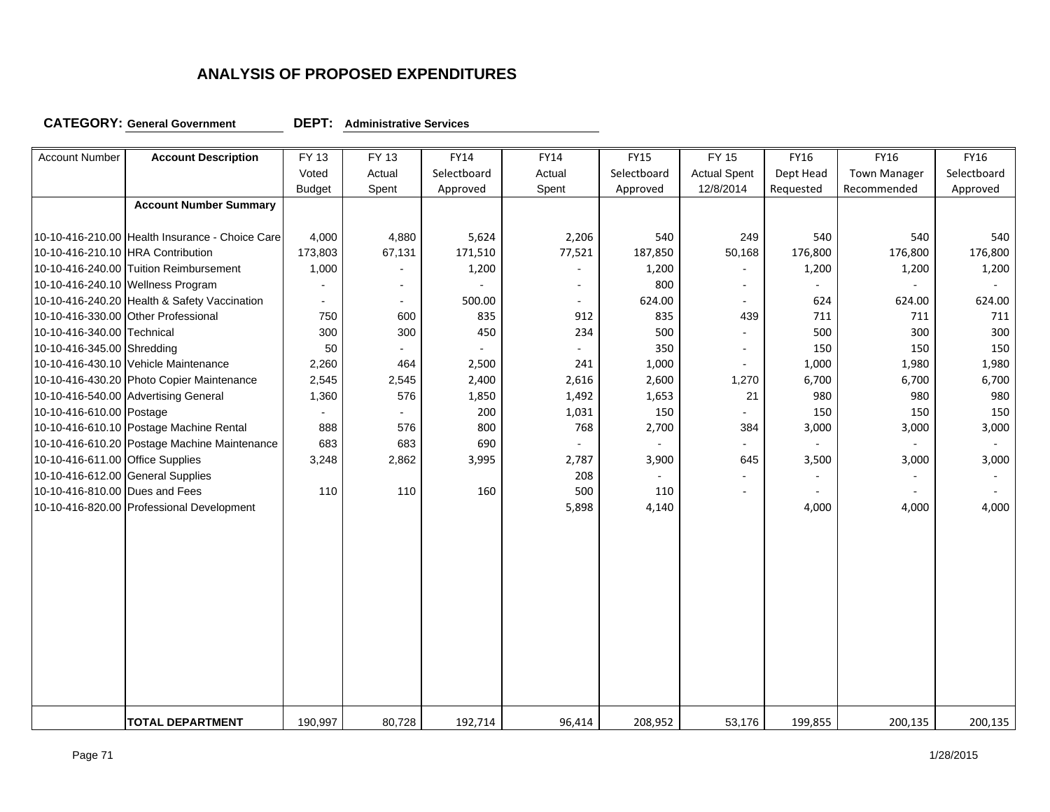**CATEGORY: General Government DEPT:**

**Administrative Services**

| <b>Account Number</b>             | <b>Account Description</b>                      | FY 13          | FY 13                    | <b>FY14</b> | FY14                     | <b>FY15</b> | <b>FY 15</b>             | FY16                        | <b>FY16</b>         | <b>FY16</b> |
|-----------------------------------|-------------------------------------------------|----------------|--------------------------|-------------|--------------------------|-------------|--------------------------|-----------------------------|---------------------|-------------|
|                                   |                                                 | Voted          | Actual                   | Selectboard | Actual                   | Selectboard | <b>Actual Spent</b>      | Dept Head                   | <b>Town Manager</b> | Selectboard |
|                                   |                                                 | <b>Budget</b>  | Spent                    | Approved    | Spent                    | Approved    | 12/8/2014                | Requested                   | Recommended         | Approved    |
|                                   | <b>Account Number Summary</b>                   |                |                          |             |                          |             |                          |                             |                     |             |
|                                   |                                                 |                |                          |             |                          |             |                          |                             |                     |             |
|                                   | 10-10-416-210.00 Health Insurance - Choice Care | 4,000          | 4,880                    | 5,624       | 2,206                    | 540         | 249                      | 540                         | 540                 | 540         |
| 10-10-416-210.10 HRA Contribution |                                                 | 173,803        | 67,131                   | 171,510     | 77,521                   | 187,850     | 50,168                   | 176,800                     | 176,800             | 176,800     |
|                                   | 10-10-416-240.00 Tuition Reimbursement          | 1,000          | $\overline{\phantom{a}}$ | 1,200       | ÷                        | 1,200       | $\overline{\phantom{a}}$ | 1,200                       | 1,200               | 1,200       |
|                                   | 10-10-416-240.10 Wellness Program               | $\overline{a}$ | $\blacksquare$           |             | $\overline{\phantom{a}}$ | 800         | $\blacksquare$           |                             | ä,                  | $\sim$      |
|                                   | 10-10-416-240.20 Health & Safety Vaccination    | $\blacksquare$ | $\sim$                   | 500.00      | ÷.                       | 624.00      | $\blacksquare$           | 624                         | 624.00              | 624.00      |
|                                   | 10-10-416-330.00 Other Professional             | 750            | 600                      | 835         | 912                      | 835         | 439                      | 711                         | 711                 | 711         |
| 10-10-416-340.00 Technical        |                                                 | 300            | 300                      | 450         | 234                      | 500         |                          | 500                         | 300                 | 300         |
| 10-10-416-345.00 Shredding        |                                                 | 50             | $\overline{\phantom{a}}$ |             |                          | 350         | $\blacksquare$           | 150                         | 150                 | 150         |
|                                   | 10-10-416-430.10 Vehicle Maintenance            | 2,260          | 464                      | 2,500       | 241                      | 1,000       | $\blacksquare$           | 1,000                       | 1,980               | 1,980       |
|                                   | 10-10-416-430.20 Photo Copier Maintenance       | 2,545          | 2,545                    | 2,400       | 2,616                    | 2,600       | 1,270                    | 6,700                       | 6,700               | 6,700       |
|                                   | 10-10-416-540.00 Advertising General            | 1,360          | 576                      | 1,850       | 1,492                    | 1,653       | 21                       | 980                         | 980                 | 980         |
| 10-10-416-610.00 Postage          |                                                 | $\blacksquare$ | $\blacksquare$           | 200         | 1,031                    | 150         |                          | 150                         | 150                 | 150         |
|                                   | 10-10-416-610.10 Postage Machine Rental         | 888            | 576                      | 800         | 768                      | 2,700       | 384                      | 3,000                       | 3,000               | 3,000       |
|                                   | 10-10-416-610.20 Postage Machine Maintenance    | 683            | 683                      | 690         | $\bar{a}$                |             | $\blacksquare$           | $\mathcal{L}_{\mathcal{A}}$ | $\sim$              | $\sim$      |
| 10-10-416-611.00 Office Supplies  |                                                 | 3,248          | 2,862                    | 3,995       | 2,787                    | 3,900       | 645                      | 3,500                       | 3,000               | 3,000       |
| 10-10-416-612.00 General Supplies |                                                 |                |                          |             | 208                      | $\sim$      | ٠                        |                             |                     |             |
| 10-10-416-810.00 Dues and Fees    |                                                 | 110            | 110                      | 160         | 500                      | 110         | $\blacksquare$           | $\sim$                      | ÷.                  |             |
|                                   | 10-10-416-820.00 Professional Development       |                |                          |             | 5,898                    | 4,140       |                          | 4,000                       | 4,000               | 4,000       |
|                                   |                                                 |                |                          |             |                          |             |                          |                             |                     |             |
|                                   |                                                 |                |                          |             |                          |             |                          |                             |                     |             |
|                                   |                                                 |                |                          |             |                          |             |                          |                             |                     |             |
|                                   |                                                 |                |                          |             |                          |             |                          |                             |                     |             |
|                                   |                                                 |                |                          |             |                          |             |                          |                             |                     |             |
|                                   |                                                 |                |                          |             |                          |             |                          |                             |                     |             |
|                                   |                                                 |                |                          |             |                          |             |                          |                             |                     |             |
|                                   |                                                 |                |                          |             |                          |             |                          |                             |                     |             |
|                                   |                                                 |                |                          |             |                          |             |                          |                             |                     |             |
|                                   |                                                 |                |                          |             |                          |             |                          |                             |                     |             |
|                                   |                                                 |                |                          |             |                          |             |                          |                             |                     |             |
|                                   |                                                 |                |                          |             |                          |             |                          |                             |                     |             |
|                                   | <b>TOTAL DEPARTMENT</b>                         | 190,997        | 80,728                   | 192,714     | 96,414                   | 208,952     | 53,176                   | 199,855                     | 200,135             | 200,135     |
|                                   |                                                 |                |                          |             |                          |             |                          |                             |                     |             |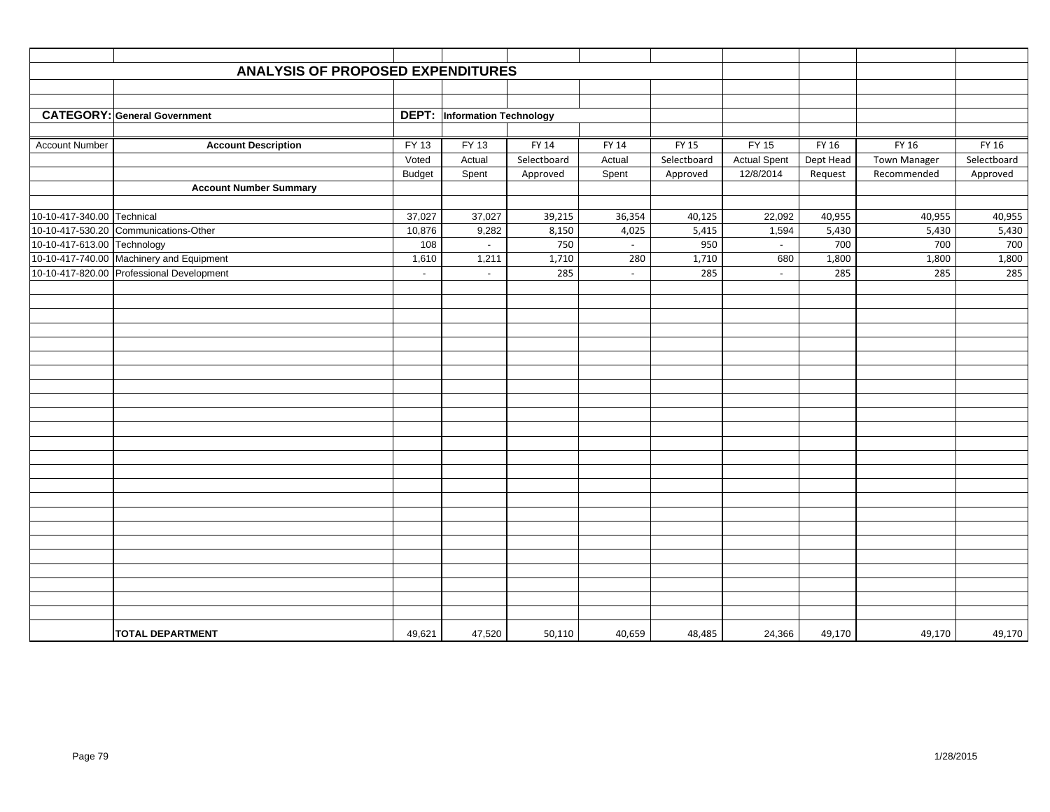|                             | <b>ANALYSIS OF PROPOSED EXPENDITURES</b>  |                          |                                     |              |                 |              |                     |              |              |              |
|-----------------------------|-------------------------------------------|--------------------------|-------------------------------------|--------------|-----------------|--------------|---------------------|--------------|--------------|--------------|
|                             |                                           |                          |                                     |              |                 |              |                     |              |              |              |
|                             |                                           |                          |                                     |              |                 |              |                     |              |              |              |
|                             | <b>CATEGORY: General Government</b>       |                          | <b>DEPT:</b> Information Technology |              |                 |              |                     |              |              |              |
|                             |                                           |                          |                                     |              |                 |              |                     |              |              |              |
| <b>Account Number</b>       | <b>Account Description</b>                | FY 13                    | FY 13                               | FY 14        | FY 14           | FY 15        | FY 15               | FY 16        | FY 16        | FY 16        |
|                             |                                           | Voted                    | Actual                              | Selectboard  | Actual          | Selectboard  | <b>Actual Spent</b> | Dept Head    | Town Manager | Selectboard  |
|                             |                                           | <b>Budget</b>            | Spent                               | Approved     | Spent           | Approved     | 12/8/2014           | Request      | Recommended  | Approved     |
|                             | <b>Account Number Summary</b>             |                          |                                     |              |                 |              |                     |              |              |              |
|                             |                                           |                          |                                     |              |                 |              |                     |              |              |              |
| 10-10-417-340.00 Technical  |                                           | 37,027                   | 37,027                              | 39,215       | 36,354          | 40,125       | 22,092              | 40,955       | 40,955       | 40,955       |
| 10-10-417-613.00 Technology | 10-10-417-530.20 Communications-Other     | 10,876<br>108            | 9,282                               | 8,150<br>750 | 4,025<br>$\sim$ | 5,415<br>950 | 1,594               | 5,430<br>700 | 5,430<br>700 | 5,430<br>700 |
|                             | 10-10-417-740.00 Machinery and Equipment  | 1,610                    | $\sim$<br>1,211                     | 1,710        | 280             | 1,710        | $\sim$<br>680       | 1,800        | 1,800        | 1,800        |
|                             | 10-10-417-820.00 Professional Development | $\overline{\phantom{a}}$ | $\sim$                              | 285          | $\omega$        | 285          | $\sim$              | 285          | 285          | 285          |
|                             |                                           |                          |                                     |              |                 |              |                     |              |              |              |
|                             |                                           |                          |                                     |              |                 |              |                     |              |              |              |
|                             |                                           |                          |                                     |              |                 |              |                     |              |              |              |
|                             |                                           |                          |                                     |              |                 |              |                     |              |              |              |
|                             |                                           |                          |                                     |              |                 |              |                     |              |              |              |
|                             |                                           |                          |                                     |              |                 |              |                     |              |              |              |
|                             |                                           |                          |                                     |              |                 |              |                     |              |              |              |
|                             |                                           |                          |                                     |              |                 |              |                     |              |              |              |
|                             |                                           |                          |                                     |              |                 |              |                     |              |              |              |
|                             |                                           |                          |                                     |              |                 |              |                     |              |              |              |
|                             |                                           |                          |                                     |              |                 |              |                     |              |              |              |
|                             |                                           |                          |                                     |              |                 |              |                     |              |              |              |
|                             |                                           |                          |                                     |              |                 |              |                     |              |              |              |
|                             |                                           |                          |                                     |              |                 |              |                     |              |              |              |
|                             |                                           |                          |                                     |              |                 |              |                     |              |              |              |
|                             |                                           |                          |                                     |              |                 |              |                     |              |              |              |
|                             |                                           |                          |                                     |              |                 |              |                     |              |              |              |
|                             |                                           |                          |                                     |              |                 |              |                     |              |              |              |
|                             |                                           |                          |                                     |              |                 |              |                     |              |              |              |
|                             |                                           |                          |                                     |              |                 |              |                     |              |              |              |
|                             |                                           |                          |                                     |              |                 |              |                     |              |              |              |
|                             |                                           |                          |                                     |              |                 |              |                     |              |              |              |
|                             |                                           |                          |                                     |              |                 |              |                     |              |              |              |
|                             | <b>TOTAL DEPARTMENT</b>                   | 49,621                   | 47,520                              | 50,110       | 40,659          | 48,485       | 24,366              | 49,170       | 49,170       | 49,170       |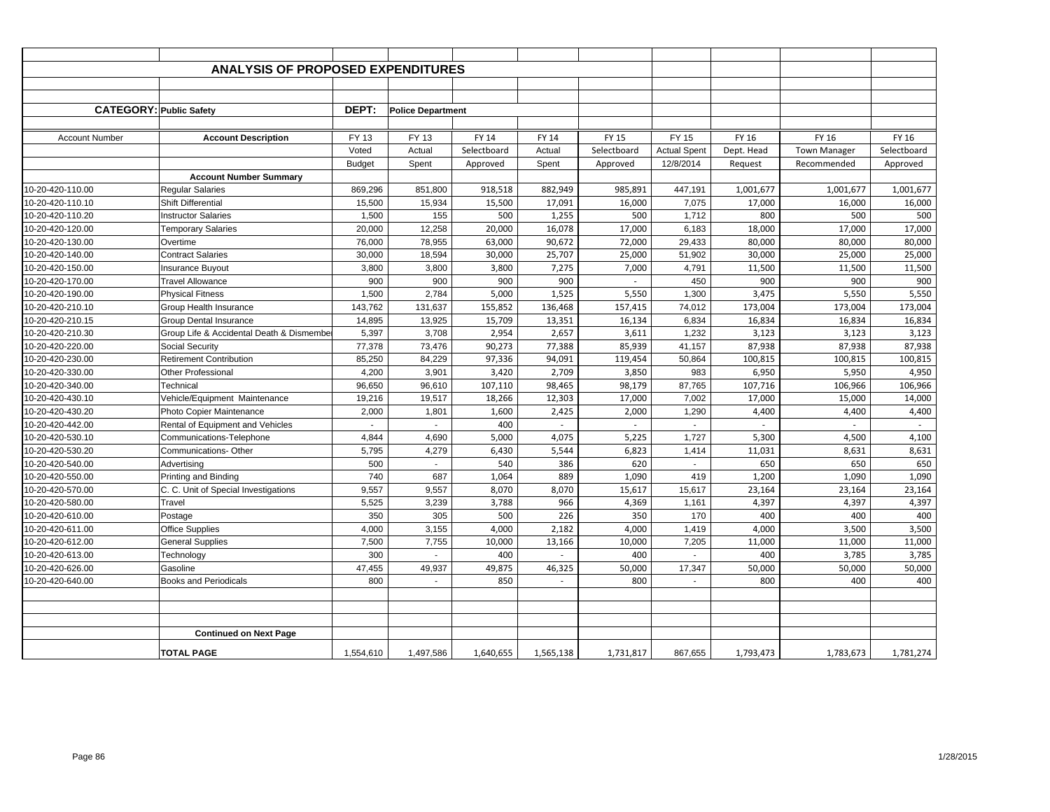|                                | <b>ANALYSIS OF PROPOSED EXPENDITURES</b> |               |                          |             |           |              |                     |            |                     |             |
|--------------------------------|------------------------------------------|---------------|--------------------------|-------------|-----------|--------------|---------------------|------------|---------------------|-------------|
|                                |                                          |               |                          |             |           |              |                     |            |                     |             |
|                                |                                          |               |                          |             |           |              |                     |            |                     |             |
| <b>CATEGORY: Public Safety</b> |                                          | DEPT:         | <b>Police Department</b> |             |           |              |                     |            |                     |             |
|                                |                                          |               |                          |             |           |              |                     |            |                     |             |
| <b>Account Number</b>          | <b>Account Description</b>               | FY 13         | FY 13                    | FY 14       | FY 14     | <b>FY 15</b> | FY 15               | FY 16      | FY 16               | FY 16       |
|                                |                                          | Voted         | Actual                   | Selectboard | Actual    | Selectboard  | <b>Actual Spent</b> | Dept. Head | <b>Town Manager</b> | Selectboard |
|                                |                                          | <b>Budget</b> | Spent                    | Approved    | Spent     | Approved     | 12/8/2014           | Request    | Recommended         | Approved    |
|                                | <b>Account Number Summary</b>            |               |                          |             |           |              |                     |            |                     |             |
| 10-20-420-110.00               | <b>Regular Salaries</b>                  | 869,296       | 851,800                  | 918,518     | 882,949   | 985,891      | 447,191             | 1,001,677  | 1,001,677           | 1,001,677   |
| 10-20-420-110.10               | Shift Differential                       | 15,500        | 15,934                   | 15,500      | 17,091    | 16,000       | 7,075               | 17,000     | 16,000              | 16,000      |
| 10-20-420-110.20               | <b>Instructor Salaries</b>               | 1,500         | 155                      | 500         | 1,255     | 500          | 1,712               | 800        | 500                 | 500         |
| 10-20-420-120.00               | <b>Temporary Salaries</b>                | 20,000        | 12,258                   | 20,000      | 16,078    | 17,000       | 6,183               | 18,000     | 17,000              | 17,000      |
| 10-20-420-130.00               | Overtime                                 | 76,000        | 78,955                   | 63,000      | 90,672    | 72,000       | 29,433              | 80,000     | 80,000              | 80,000      |
| 10-20-420-140.00               | <b>Contract Salaries</b>                 | 30,000        | 18,594                   | 30,000      | 25,707    | 25,000       | 51,902              | 30,000     | 25,000              | 25,000      |
| 10-20-420-150.00               | <b>Insurance Buyout</b>                  | 3,800         | 3,800                    | 3,800       | 7,275     | 7,000        | 4,791               | 11,500     | 11,500              | 11,500      |
| 10-20-420-170.00               | <b>Travel Allowance</b>                  | 900           | 900                      | 900         | 900       | $\sim$       | 450                 | 900        | 900                 | 900         |
| 10-20-420-190.00               | <b>Physical Fitness</b>                  | 1,500         | 2,784                    | 5,000       | 1,525     | 5,550        | 1,300               | 3,475      | 5,550               | 5,550       |
| 10-20-420-210.10               | Group Health Insurance                   | 143,762       | 131,637                  | 155,852     | 136,468   | 157,415      | 74,012              | 173,004    | 173,004             | 173,004     |
| 10-20-420-210.15               | <b>Group Dental Insurance</b>            | 14,895        | 13,925                   | 15,709      | 13,351    | 16,134       | 6,834               | 16,834     | 16,834              | 16,834      |
| 10-20-420-210.30               | Group Life & Accidental Death & Dismembe | 5,397         | 3,708                    | 2,954       | 2,657     | 3,611        | 1,232               | 3,123      | 3,123               | 3,123       |
| 10-20-420-220.00               | <b>Social Security</b>                   | 77,378        | 73,476                   | 90,273      | 77,388    | 85,939       | 41,157              | 87,938     | 87,938              | 87,938      |
| 10-20-420-230.00               | <b>Retirement Contribution</b>           | 85,250        | 84,229                   | 97,336      | 94,091    | 119,454      | 50,864              | 100,815    | 100,815             | 100,815     |
| 10-20-420-330.00               | Other Professional                       | 4,200         | 3,901                    | 3,420       | 2,709     | 3,850        | 983                 | 6,950      | 5,950               | 4,950       |
| 10-20-420-340.00               | Technical                                | 96,650        | 96,610                   | 107,110     | 98,465    | 98,179       | 87,765              | 107,716    | 106,966             | 106,966     |
| 10-20-420-430.10               | Vehicle/Equipment Maintenance            | 19,216        | 19,517                   | 18,266      | 12,303    | 17,000       | 7,002               | 17,000     | 15,000              | 14,000      |
| 10-20-420-430.20               | Photo Copier Maintenance                 | 2,000         | 1,801                    | 1,600       | 2,425     | 2,000        | 1,290               | 4,400      | 4,400               | 4,400       |
| 10-20-420-442.00               | Rental of Equipment and Vehicles         | $\sim$        | $\sim$                   | 400         | $\sim$    | $\sim$       | $\sim$              | $\sim$     | $\sim$              | $\sim$      |
| 10-20-420-530.10               | Communications-Telephone                 | 4,844         | 4,690                    | 5,000       | 4,075     | 5,225        | 1,727               | 5,300      | 4,500               | 4,100       |
| 10-20-420-530.20               | Communications-Other                     | 5,795         | 4,279                    | 6,430       | 5,544     | 6,823        | 1,414               | 11,031     | 8,631               | 8,631       |
| 10-20-420-540.00               | Advertising                              | 500           |                          | 540         | 386       | 620          |                     | 650        | 650                 | 650         |
| 10-20-420-550.00               | Printing and Binding                     | 740           | 687                      | 1,064       | 889       | 1,090        | 419                 | 1,200      | 1,090               | 1,090       |
| 10-20-420-570.00               | C. C. Unit of Special Investigations     | 9,557         | 9,557                    | 8,070       | 8,070     | 15,617       | 15,617              | 23,164     | 23,164              | 23,164      |
| 10-20-420-580.00               | Travel                                   | 5,525         | 3,239                    | 3,788       | 966       | 4,369        | 1,161               | 4,397      | 4,397               | 4,397       |
| 10-20-420-610.00               | Postage                                  | 350           | 305                      | 500         | 226       | 350          | 170                 | 400        | 400                 | 400         |
| 10-20-420-611.00               | <b>Office Supplies</b>                   | 4,000         | 3,155                    | 4,000       | 2,182     | 4,000        | 1,419               | 4,000      | 3,500               | 3,500       |
| 10-20-420-612.00               | <b>General Supplies</b>                  | 7,500         | 7,755                    | 10,000      | 13,166    | 10,000       | 7,205               | 11,000     | 11,000              | 11,000      |
| 10-20-420-613.00               | Technology                               | 300           | $\sim$                   | 400         | $\sim$    | 400          | $\sim$              | 400        | 3,785               | 3,785       |
| 10-20-420-626.00               | Gasoline                                 | 47,455        | 49,937                   | 49,875      | 46,325    | 50,000       | 17,347              | 50,000     | 50,000              | 50,000      |
| 10-20-420-640.00               | <b>Books and Periodicals</b>             | 800           | $\sim$                   | 850         | ÷.        | 800          | ÷.                  | 800        | 400                 | 400         |
|                                |                                          |               |                          |             |           |              |                     |            |                     |             |
|                                |                                          |               |                          |             |           |              |                     |            |                     |             |
|                                |                                          |               |                          |             |           |              |                     |            |                     |             |
|                                | <b>Continued on Next Page</b>            |               |                          |             |           |              |                     |            |                     |             |
|                                | <b>TOTAL PAGE</b>                        | 1,554,610     | 1,497,586                | 1,640,655   | 1,565,138 | 1,731,817    | 867,655             | 1,793,473  | 1,783,673           | 1,781,274   |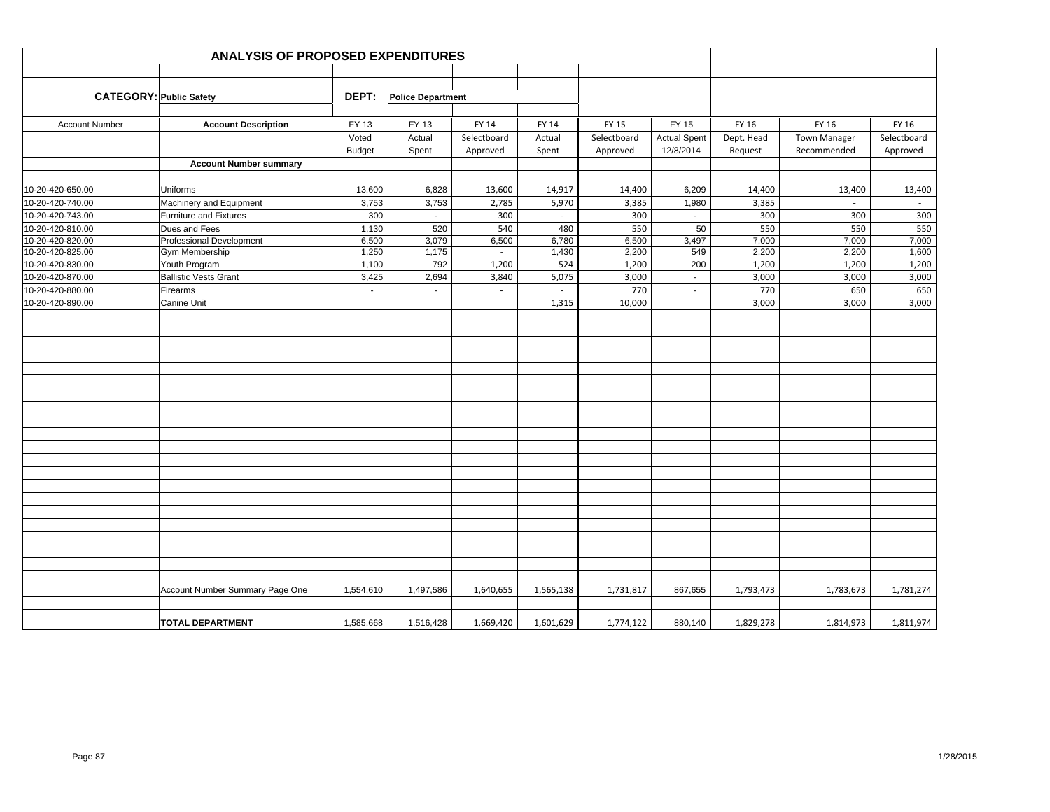|                                | <b>ANALYSIS OF PROPOSED EXPENDITURES</b> |                |                          |             |           |             |                           |            |              |             |
|--------------------------------|------------------------------------------|----------------|--------------------------|-------------|-----------|-------------|---------------------------|------------|--------------|-------------|
|                                |                                          |                |                          |             |           |             |                           |            |              |             |
|                                |                                          |                |                          |             |           |             |                           |            |              |             |
| <b>CATEGORY: Public Safety</b> |                                          | DEPT:          | <b>Police Department</b> |             |           |             |                           |            |              |             |
|                                |                                          |                |                          |             |           |             |                           |            |              |             |
| <b>Account Number</b>          | <b>Account Description</b>               | FY 13          | FY 13                    | FY 14       | FY 14     | FY 15       | FY 15                     | FY 16      | FY 16        | FY 16       |
|                                |                                          | Voted          | Actual                   | Selectboard | Actual    | Selectboard | <b>Actual Spent</b>       | Dept. Head | Town Manager | Selectboard |
|                                |                                          | <b>Budget</b>  | Spent                    | Approved    | Spent     | Approved    | 12/8/2014                 | Request    | Recommended  | Approved    |
|                                | <b>Account Number summary</b>            |                |                          |             |           |             |                           |            |              |             |
|                                |                                          |                |                          |             |           |             |                           |            |              |             |
| 10-20-420-650.00               | Uniforms                                 | 13,600         | 6,828                    | 13,600      | 14,917    | 14,400      | 6,209                     | 14,400     | 13,400       | 13,400      |
| 10-20-420-740.00               | Machinery and Equipment                  | 3,753          | 3,753                    | 2,785       | 5,970     | 3,385       | 1,980                     | 3,385      |              |             |
| 10-20-420-743.00               | <b>Furniture and Fixtures</b>            | 300            | $\sim$                   | 300         | $\sim$    | 300         | $\sim$                    | 300        | 300          | 300         |
| 10-20-420-810.00               | Dues and Fees                            | 1,130          | 520                      | 540         | 480       | 550         | 50                        | 550        | 550          | 550         |
| 10-20-420-820.00               | Professional Development                 | 6,500          | 3,079                    | 6,500       | 6,780     | 6,500       | 3,497                     | 7,000      | 7,000        | 7,000       |
| 10-20-420-825.00               | Gym Membership                           | 1,250          | 1,175                    | $\sim$      | 1,430     | 2,200       | 549                       | 2,200      | 2,200        | 1,600       |
| 10-20-420-830.00               | Youth Program                            | 1,100          | 792                      | 1,200       | 524       | 1,200       | 200                       | 1,200      | 1,200        | 1,200       |
| 10-20-420-870.00               | <b>Ballistic Vests Grant</b>             | 3,425          | 2,694                    | 3,840       | 5,075     | 3,000       | $\mathbb{Z}^{\mathbb{Z}}$ | 3,000      | 3,000        | 3,000       |
| 10-20-420-880.00               | Firearms                                 | $\blacksquare$ | $\sim$                   | $\sim$      | $\sim$    | 770         | $\sim$                    | 770        | 650          | 650         |
| 10-20-420-890.00               | Canine Unit                              |                |                          |             | 1,315     | 10,000      |                           | 3,000      | 3,000        | 3,000       |
|                                |                                          |                |                          |             |           |             |                           |            |              |             |
|                                |                                          |                |                          |             |           |             |                           |            |              |             |
|                                |                                          |                |                          |             |           |             |                           |            |              |             |
|                                |                                          |                |                          |             |           |             |                           |            |              |             |
|                                |                                          |                |                          |             |           |             |                           |            |              |             |
|                                |                                          |                |                          |             |           |             |                           |            |              |             |
|                                |                                          |                |                          |             |           |             |                           |            |              |             |
|                                |                                          |                |                          |             |           |             |                           |            |              |             |
|                                |                                          |                |                          |             |           |             |                           |            |              |             |
|                                |                                          |                |                          |             |           |             |                           |            |              |             |
|                                |                                          |                |                          |             |           |             |                           |            |              |             |
|                                |                                          |                |                          |             |           |             |                           |            |              |             |
|                                |                                          |                |                          |             |           |             |                           |            |              |             |
|                                |                                          |                |                          |             |           |             |                           |            |              |             |
|                                |                                          |                |                          |             |           |             |                           |            |              |             |
|                                |                                          |                |                          |             |           |             |                           |            |              |             |
|                                |                                          |                |                          |             |           |             |                           |            |              |             |
|                                |                                          |                |                          |             |           |             |                           |            |              |             |
|                                |                                          |                |                          |             |           |             |                           |            |              |             |
|                                |                                          |                |                          |             |           |             |                           |            |              |             |
|                                |                                          |                |                          |             |           |             |                           |            |              |             |
|                                | Account Number Summary Page One          | 1,554,610      | 1,497,586                | 1,640,655   | 1,565,138 | 1,731,817   | 867,655                   | 1,793,473  | 1,783,673    | 1,781,274   |
|                                |                                          |                |                          |             |           |             |                           |            |              |             |
|                                | <b>TOTAL DEPARTMENT</b>                  | 1,585,668      |                          | 1,669,420   | 1,601,629 | 1,774,122   |                           | 1,829,278  | 1,814,973    | 1,811,974   |
|                                |                                          |                | 1,516,428                |             |           |             | 880,140                   |            |              |             |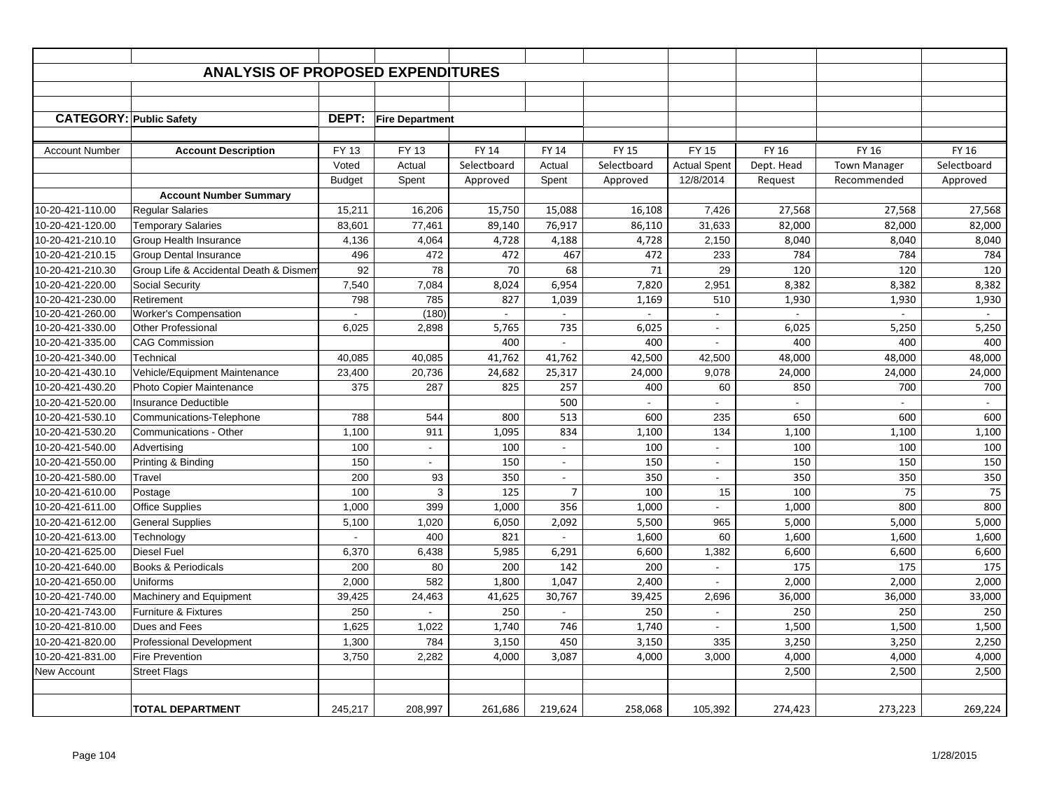|                                | <b>ANALYSIS OF PROPOSED EXPENDITURES</b> |               |                           |              |                          |              |                          |                |                     |             |
|--------------------------------|------------------------------------------|---------------|---------------------------|--------------|--------------------------|--------------|--------------------------|----------------|---------------------|-------------|
|                                |                                          |               |                           |              |                          |              |                          |                |                     |             |
|                                |                                          |               |                           |              |                          |              |                          |                |                     |             |
| <b>CATEGORY: Public Safety</b> |                                          | DEPT:         | <b>Fire Department</b>    |              |                          |              |                          |                |                     |             |
|                                |                                          |               |                           |              |                          |              |                          |                |                     |             |
| <b>Account Number</b>          | <b>Account Description</b>               | FY 13         | <b>FY 13</b>              | <b>FY 14</b> | <b>FY 14</b>             | <b>FY 15</b> | <b>FY 15</b>             | FY 16          | FY 16               | FY 16       |
|                                |                                          | Voted         | Actual                    | Selectboard  | Actual                   | Selectboard  | <b>Actual Spent</b>      | Dept. Head     | <b>Town Manager</b> | Selectboard |
|                                |                                          | <b>Budget</b> | Spent                     | Approved     | Spent                    | Approved     | 12/8/2014                | Request        | Recommended         | Approved    |
|                                | <b>Account Number Summary</b>            |               |                           |              |                          |              |                          |                |                     |             |
| 10-20-421-110.00               | <b>Regular Salaries</b>                  | 15,211        | 16,206                    | 15,750       | 15,088                   | 16,108       | 7,426                    | 27,568         | 27,568              | 27,568      |
| 10-20-421-120.00               | <b>Temporary Salaries</b>                | 83,601        | 77,461                    | 89,140       | 76,917                   | 86,110       | 31,633                   | 82,000         | 82,000              | 82,000      |
| 10-20-421-210.10               | Group Health Insurance                   | 4,136         | 4,064                     | 4,728        | 4,188                    | 4,728        | 2,150                    | 8,040          | 8,040               | 8,040       |
| 10-20-421-210.15               | <b>Group Dental Insurance</b>            | 496           | 472                       | 472          | 467                      | 472          | 233                      | 784            | 784                 | 784         |
| 10-20-421-210.30               | Group Life & Accidental Death & Dismem   | 92            | 78                        | 70           | 68                       | 71           | 29                       | 120            | 120                 | 120         |
| 10-20-421-220.00               | Social Security                          | 7,540         | 7,084                     | 8,024        | 6,954                    | 7,820        | 2,951                    | 8,382          | 8,382               | 8,382       |
| 10-20-421-230.00               | Retirement                               | 798           | 785                       | 827          | 1,039                    | 1,169        | 510                      | 1,930          | 1,930               | 1,930       |
| 10-20-421-260.00               | <b>Worker's Compensation</b>             | $\sim$        | (180)                     | $\sim$       | $\sim$                   | $\omega$     | $\omega$                 | $\sim$         | $\sim$              | $\sim$      |
| 10-20-421-330.00               | Other Professional                       | 6,025         | 2,898                     | 5,765        | 735                      | 6,025        | $\sim$                   | 6,025          | 5,250               | 5,250       |
| 10-20-421-335.00               | <b>CAG Commission</b>                    |               |                           | 400          | $\overline{\phantom{a}}$ | 400          | $\sim$                   | 400            | 400                 | 400         |
| 10-20-421-340.00               | Technical                                | 40,085        | 40,085                    | 41,762       | 41,762                   | 42,500       | 42,500                   | 48,000         | 48,000              | 48,000      |
| 10-20-421-430.10               | Vehicle/Equipment Maintenance            | 23,400        | 20,736                    | 24,682       | 25,317                   | 24,000       | 9,078                    | 24,000         | 24,000              | 24,000      |
| 10-20-421-430.20               | <b>Photo Copier Maintenance</b>          | 375           | 287                       | 825          | 257                      | 400          | 60                       | 850            | 700                 | 700         |
| 10-20-421-520.00               | <b>Insurance Deductible</b>              |               |                           |              | 500                      | $\sim$       | $\overline{a}$           | $\blacksquare$ | $\overline{a}$      | $\sim$      |
| 10-20-421-530.10               | Communications-Telephone                 | 788           | 544                       | 800          | 513                      | 600          | 235                      | 650            | 600                 | 600         |
| 10-20-421-530.20               | <b>Communications - Other</b>            | 1,100         | 911                       | 1,095        | 834                      | 1,100        | 134                      | 1,100          | 1,100               | 1,100       |
| 10-20-421-540.00               | Advertising                              | 100           | $\mathbb{Z}^{\mathbb{Z}}$ | 100          | $\overline{\phantom{a}}$ | 100          | $\blacksquare$           | 100            | 100                 | 100         |
| 10-20-421-550.00               | Printing & Binding                       | 150           | $\overline{\phantom{a}}$  | 150          | $\overline{\phantom{a}}$ | 150          | $\overline{\phantom{a}}$ | 150            | 150                 | 150         |
| 10-20-421-580.00               | Travel                                   | 200           | 93                        | 350          | $\overline{\phantom{a}}$ | 350          | $\sim$                   | 350            | 350                 | 350         |
| 10-20-421-610.00               | Postage                                  | 100           | 3                         | 125          | $\overline{7}$           | 100          | 15                       | 100            | 75                  | 75          |
| 10-20-421-611.00               | <b>Office Supplies</b>                   | 1,000         | 399                       | 1,000        | 356                      | 1,000        |                          | 1,000          | 800                 | 800         |
| 10-20-421-612.00               | <b>General Supplies</b>                  | 5,100         | 1,020                     | 6,050        | 2,092                    | 5,500        | 965                      | 5,000          | 5,000               | 5,000       |
| 10-20-421-613.00               | Technology                               |               | 400                       | 821          |                          | 1,600        | 60                       | 1,600          | 1,600               | 1,600       |
| 10-20-421-625.00               | Diesel Fuel                              | 6,370         | 6,438                     | 5,985        | 6,291                    | 6,600        | 1,382                    | 6,600          | 6,600               | 6,600       |
| 10-20-421-640.00               | Books & Periodicals                      | 200           | 80                        | 200          | 142                      | 200          | $\blacksquare$           | 175            | 175                 | 175         |
| 10-20-421-650.00               | Uniforms                                 | 2,000         | 582                       | 1,800        | 1,047                    | 2,400        | $\blacksquare$           | 2,000          | 2,000               | 2,000       |
| 10-20-421-740.00               | Machinery and Equipment                  | 39,425        | 24,463                    | 41,625       | 30,767                   | 39,425       | 2,696                    | 36,000         | 36,000              | 33,000      |
| 10-20-421-743.00               | Furniture & Fixtures                     | 250           |                           | 250          | $\sim$                   | 250          | $\blacksquare$           | 250            | 250                 | 250         |
| 10-20-421-810.00               | Dues and Fees                            | 1,625         | 1,022                     | 1,740        | 746                      | 1,740        | $\blacksquare$           | 1,500          | 1,500               | 1,500       |
| 10-20-421-820.00               | <b>Professional Development</b>          | 1,300         | 784                       | 3,150        | 450                      | 3,150        | 335                      | 3,250          | 3,250               | 2,250       |
| 10-20-421-831.00               | Fire Prevention                          | 3,750         | 2,282                     | 4,000        | 3,087                    | 4,000        | 3,000                    | 4,000          | 4,000               | 4,000       |
| <b>New Account</b>             | <b>Street Flags</b>                      |               |                           |              |                          |              |                          | 2,500          | 2,500               | 2,500       |
|                                |                                          |               |                           |              |                          |              |                          |                |                     |             |
|                                | <b>TOTAL DEPARTMENT</b>                  | 245.217       | 208,997                   | 261.686      | 219,624                  | 258,068      | 105,392                  | 274,423        | 273,223             | 269,224     |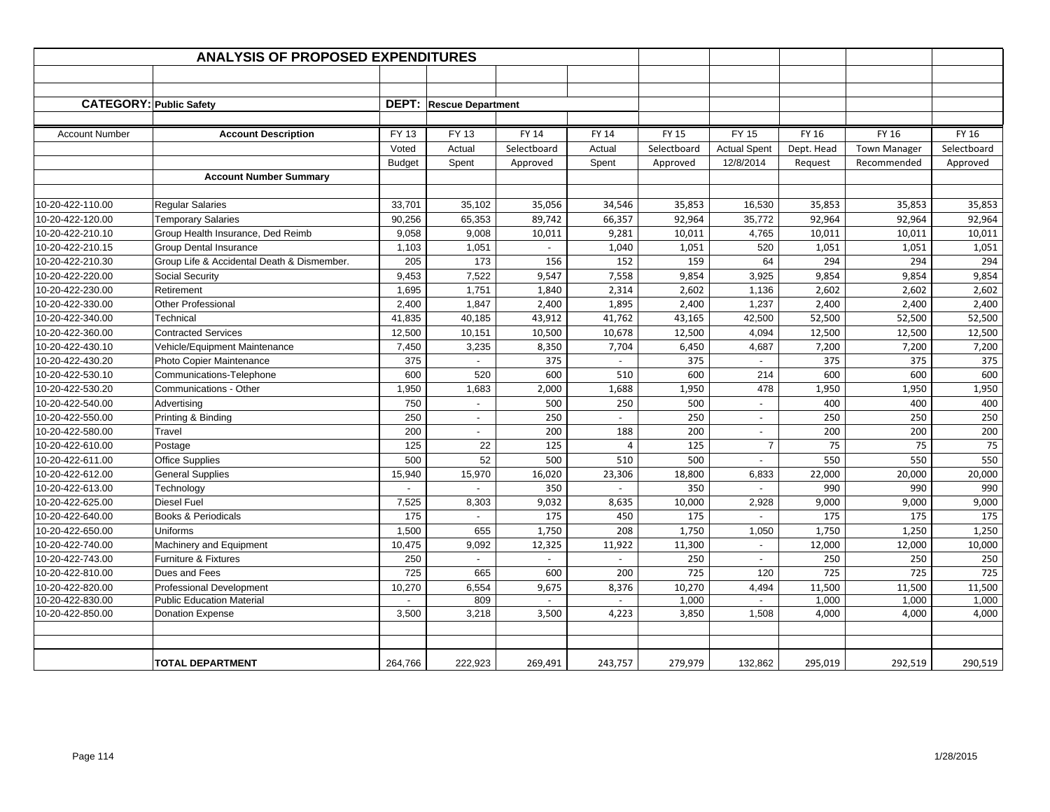|                       | <b>ANALYSIS OF PROPOSED EXPENDITURES</b>   |               |                                |              |                          |              |                          |            |                     |             |
|-----------------------|--------------------------------------------|---------------|--------------------------------|--------------|--------------------------|--------------|--------------------------|------------|---------------------|-------------|
|                       |                                            |               |                                |              |                          |              |                          |            |                     |             |
|                       |                                            |               |                                |              |                          |              |                          |            |                     |             |
|                       | <b>CATEGORY: Public Safety</b>             |               | <b>DEPT: Rescue Department</b> |              |                          |              |                          |            |                     |             |
|                       |                                            |               |                                |              |                          |              |                          |            |                     |             |
| <b>Account Number</b> | <b>Account Description</b>                 | FY 13         | FY 13                          | <b>FY 14</b> | FY 14                    | <b>FY 15</b> | <b>FY 15</b>             | FY 16      | FY 16               | FY 16       |
|                       |                                            | Voted         | Actual                         | Selectboard  | Actual                   | Selectboard  | <b>Actual Spent</b>      | Dept. Head | <b>Town Manager</b> | Selectboard |
|                       |                                            | <b>Budget</b> | Spent                          | Approved     | Spent                    | Approved     | 12/8/2014                | Request    | Recommended         | Approved    |
|                       | <b>Account Number Summary</b>              |               |                                |              |                          |              |                          |            |                     |             |
|                       |                                            |               |                                |              |                          |              |                          |            |                     |             |
| 0-20-422-110.00       | <b>Regular Salaries</b>                    | 33,701        | 35,102                         | 35,056       | 34,546                   | 35,853       | 16,530                   | 35,853     | 35,853              | 35,853      |
| 10-20-422-120.00      | <b>Temporary Salaries</b>                  | 90,256        | 65,353                         | 89,742       | 66,357                   | 92,964       | 35,772                   | 92,964     | 92,964              | 92,964      |
| 10-20-422-210.10      | Group Health Insurance, Ded Reimb          | 9,058         | 9,008                          | 10,011       | 9,281                    | 10,011       | 4,765                    | 10,011     | 10,011              | 10,011      |
| 0-20-422-210.15       | Group Dental Insurance                     | 1,103         | 1,051                          |              | 1,040                    | 1,051        | 520                      | 1,051      | 1,051               | 1,051       |
| 10-20-422-210.30      | Group Life & Accidental Death & Dismember. | 205           | 173                            | 156          | 152                      | 159          | 64                       | 294        | 294                 | 294         |
| 10-20-422-220.00      | Social Security                            | 9,453         | 7,522                          | 9,547        | 7,558                    | 9,854        | 3,925                    | 9,854      | 9,854               | 9,854       |
| 10-20-422-230.00      | Retirement                                 | 1,695         | 1,751                          | 1,840        | 2,314                    | 2,602        | 1,136                    | 2,602      | 2,602               | 2,602       |
| 10-20-422-330.00      | Other Professional                         | 2,400         | 1,847                          | 2,400        | 1,895                    | 2,400        | 1,237                    | 2,400      | 2,400               | 2,400       |
| 10-20-422-340.00      | Technical                                  | 41,835        | 40,185                         | 43,912       | 41,762                   | 43,165       | 42,500                   | 52,500     | 52,500              | 52,500      |
| 10-20-422-360.00      | <b>Contracted Services</b>                 | 12,500        | 10,151                         | 10,500       | 10,678                   | 12,500       | 4,094                    | 12,500     | 12,500              | 12,500      |
| 0-20-422-430.10       | Vehicle/Equipment Maintenance              | 7,450         | 3,235                          | 8,350        | 7,704                    | 6,450        | 4,687                    | 7,200      | 7,200               | 7,200       |
| 10-20-422-430.20      | Photo Copier Maintenance                   | 375           | $\sim$                         | 375          | $\omega$                 | 375          | $\sim$                   | 375        | 375                 | 375         |
| 10-20-422-530.10      | Communications-Telephone                   | 600           | 520                            | 600          | 510                      | 600          | 214                      | 600        | 600                 | 600         |
| 10-20-422-530.20      | Communications - Other                     | 1,950         | 1,683                          | 2,000        | 1,688                    | 1,950        | 478                      | 1,950      | 1,950               | 1,950       |
| 10-20-422-540.00      | Advertising                                | 750           | $\blacksquare$                 | 500          | 250                      | 500          | $\sim$                   | 400        | 400                 | 400         |
| 0-20-422-550.00       | Printing & Binding                         | 250           | $\blacksquare$                 | 250          | $\overline{\phantom{a}}$ | 250          | $\sim$                   | 250        | 250                 | 250         |
| 10-20-422-580.00      | Travel                                     | 200           | $\overline{\phantom{a}}$       | 200          | 188                      | 200          | $\overline{\phantom{a}}$ | 200        | 200                 | 200         |
| 10-20-422-610.00      | Postage                                    | 125           | 22                             | 125          | $\overline{4}$           | 125          | $\overline{7}$           | 75         | 75                  | 75          |
| 10-20-422-611.00      | <b>Office Supplies</b>                     | 500           | 52                             | 500          | 510                      | 500          | $\overline{\phantom{a}}$ | 550        | 550                 | 550         |
| 10-20-422-612.00      | <b>General Supplies</b>                    | 15,940        | 15,970                         | 16,020       | 23,306                   | 18,800       | 6,833                    | 22,000     | 20,000              | 20,000      |
| 10-20-422-613.00      | Technology                                 |               |                                | 350          |                          | 350          |                          | 990        | 990                 | 990         |
| 10-20-422-625.00      | Diesel Fuel                                | 7,525         | 8,303                          | 9,032        | 8,635                    | 10,000       | 2,928                    | 9,000      | 9,000               | 9,000       |
| 10-20-422-640.00      | <b>Books &amp; Periodicals</b>             | 175           |                                | 175          | 450                      | 175          |                          | 175        | 175                 | 175         |
| 10-20-422-650.00      | Uniforms                                   | 1,500         | 655                            | 1,750        | 208                      | 1,750        | 1,050                    | 1,750      | 1,250               | 1,250       |
| 0-20-422-740.00       | Machinery and Equipment                    | 10,475        | 9,092                          | 12,325       | 11,922                   | 11,300       |                          | 12,000     | 12,000              | 10,000      |
| 10-20-422-743.00      | Furniture & Fixtures                       | 250           | $\overline{\phantom{a}}$       |              | $\omega$                 | 250          | $\overline{\phantom{a}}$ | 250        | 250                 | 250         |
| 10-20-422-810.00      | Dues and Fees                              | 725           | 665                            | 600          | 200                      | 725          | 120                      | 725        | 725                 | 725         |
| 0-20-422-820.00       | <b>Professional Development</b>            | 10,270        | 6,554                          | 9,675        | 8,376                    | 10,270       | 4,494                    | 11,500     | 11,500              | 11,500      |
| 10-20-422-830.00      | <b>Public Education Material</b>           |               | 809                            |              |                          | 1,000        |                          | 1,000      | 1,000               | 1,000       |
| 10-20-422-850.00      | Donation Expense                           | 3,500         | 3,218                          | 3,500        | 4,223                    | 3,850        | 1,508                    | 4,000      | 4,000               | 4,000       |
|                       |                                            |               |                                |              |                          |              |                          |            |                     |             |
|                       |                                            |               |                                |              |                          |              |                          |            |                     |             |
|                       | <b>TOTAL DEPARTMENT</b>                    | 264,766       | 222,923                        | 269,491      | 243,757                  | 279,979      | 132,862                  | 295,019    | 292,519             | 290,519     |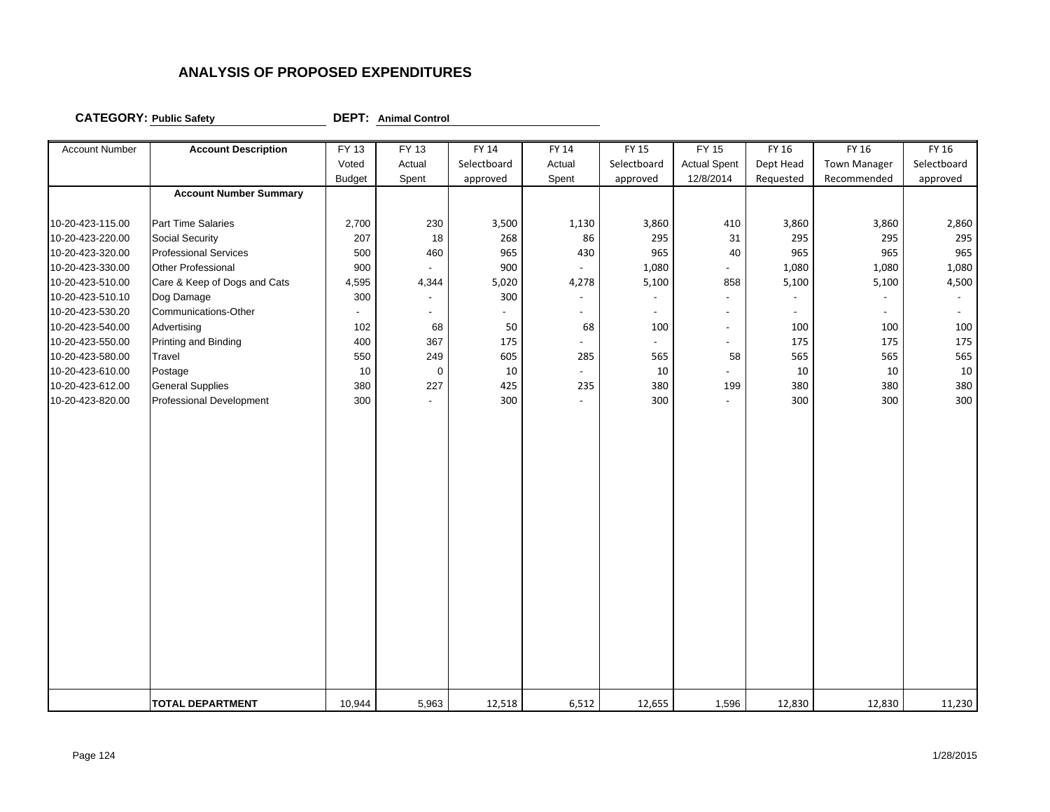**CATEGORY: Public Safety DEPT: Animal Control**

| <b>Account Number</b> | <b>Account Description</b>    | FY 13                    | FY 13          | FY 14       | FY 14          | FY 15                    | FY 15                    | FY 16                    | FY 16               | FY 16                    |
|-----------------------|-------------------------------|--------------------------|----------------|-------------|----------------|--------------------------|--------------------------|--------------------------|---------------------|--------------------------|
|                       |                               | Voted                    | Actual         | Selectboard | Actual         | Selectboard              | <b>Actual Spent</b>      | Dept Head                | <b>Town Manager</b> | Selectboard              |
|                       |                               | <b>Budget</b>            | Spent          | approved    | Spent          | approved                 | 12/8/2014                | Requested                | Recommended         | approved                 |
|                       | <b>Account Number Summary</b> |                          |                |             |                |                          |                          |                          |                     |                          |
|                       |                               |                          |                |             |                |                          |                          |                          |                     |                          |
| 10-20-423-115.00      | Part Time Salaries            | 2,700                    | 230            | 3,500       | 1,130          | 3,860                    | 410                      | 3,860                    | 3,860               | 2,860                    |
| 10-20-423-220.00      | <b>Social Security</b>        | 207                      | 18             | 268         | 86             | 295                      | 31                       | 295                      | 295                 | 295                      |
| 10-20-423-320.00      | <b>Professional Services</b>  | 500                      | 460            | 965         | 430            | 965                      | 40                       | 965                      | 965                 | 965                      |
| 10-20-423-330.00      | Other Professional            | 900                      |                | 900         |                | 1,080                    |                          | 1,080                    | 1,080               | 1,080                    |
| 10-20-423-510.00      | Care & Keep of Dogs and Cats  | 4,595                    | 4,344          | 5,020       | 4,278          | 5,100                    | 858                      | 5,100                    | 5,100               | 4,500                    |
| 10-20-423-510.10      | Dog Damage                    | 300                      |                | 300         |                |                          |                          | $\overline{\phantom{a}}$ |                     | $\overline{\phantom{a}}$ |
| 10-20-423-530.20      | Communications-Other          | $\overline{\phantom{a}}$ | $\blacksquare$ |             | $\overline{a}$ | $\overline{\phantom{a}}$ | $\overline{\phantom{0}}$ | $\overline{a}$           |                     |                          |
| 10-20-423-540.00      | Advertising                   | 102                      | 68             | 50          | 68             | 100                      | $\blacksquare$           | 100                      | 100                 | 100                      |
| 10-20-423-550.00      | Printing and Binding          | 400                      | 367            | 175         | $\overline{a}$ | $\overline{a}$           | $\blacksquare$           | 175                      | 175                 | 175                      |
| 10-20-423-580.00      | Travel                        | 550                      | 249            | 605         | 285            | 565                      | 58                       | 565                      | 565                 | 565                      |
| 10-20-423-610.00      | Postage                       | 10                       | $\mathbf 0$    | 10          |                | 10                       | $\overline{a}$           | 10                       | 10                  | $10\,$                   |
| 10-20-423-612.00      | <b>General Supplies</b>       | 380                      | 227            | 425         | 235            | 380                      | 199                      | 380                      | 380                 | 380                      |
| 10-20-423-820.00      | Professional Development      | 300                      |                | 300         |                | 300                      | ÷,                       | 300                      | 300                 | 300                      |
|                       |                               |                          |                |             |                |                          |                          |                          |                     |                          |
|                       |                               |                          |                |             |                |                          |                          |                          |                     |                          |
|                       |                               |                          |                |             |                |                          |                          |                          |                     |                          |
|                       |                               |                          |                |             |                |                          |                          |                          |                     |                          |
|                       |                               |                          |                |             |                |                          |                          |                          |                     |                          |
|                       |                               |                          |                |             |                |                          |                          |                          |                     |                          |
|                       |                               |                          |                |             |                |                          |                          |                          |                     |                          |
|                       |                               |                          |                |             |                |                          |                          |                          |                     |                          |
|                       |                               |                          |                |             |                |                          |                          |                          |                     |                          |
|                       |                               |                          |                |             |                |                          |                          |                          |                     |                          |
|                       |                               |                          |                |             |                |                          |                          |                          |                     |                          |
|                       |                               |                          |                |             |                |                          |                          |                          |                     |                          |
|                       |                               |                          |                |             |                |                          |                          |                          |                     |                          |
|                       |                               |                          |                |             |                |                          |                          |                          |                     |                          |
|                       |                               |                          |                |             |                |                          |                          |                          |                     |                          |
|                       |                               |                          |                |             |                |                          |                          |                          |                     |                          |
|                       |                               |                          |                |             |                |                          |                          |                          |                     |                          |
|                       | <b>TOTAL DEPARTMENT</b>       | 10,944                   | 5,963          | 12,518      | 6,512          | 12,655                   | 1,596                    | 12,830                   | 12,830              | 11,230                   |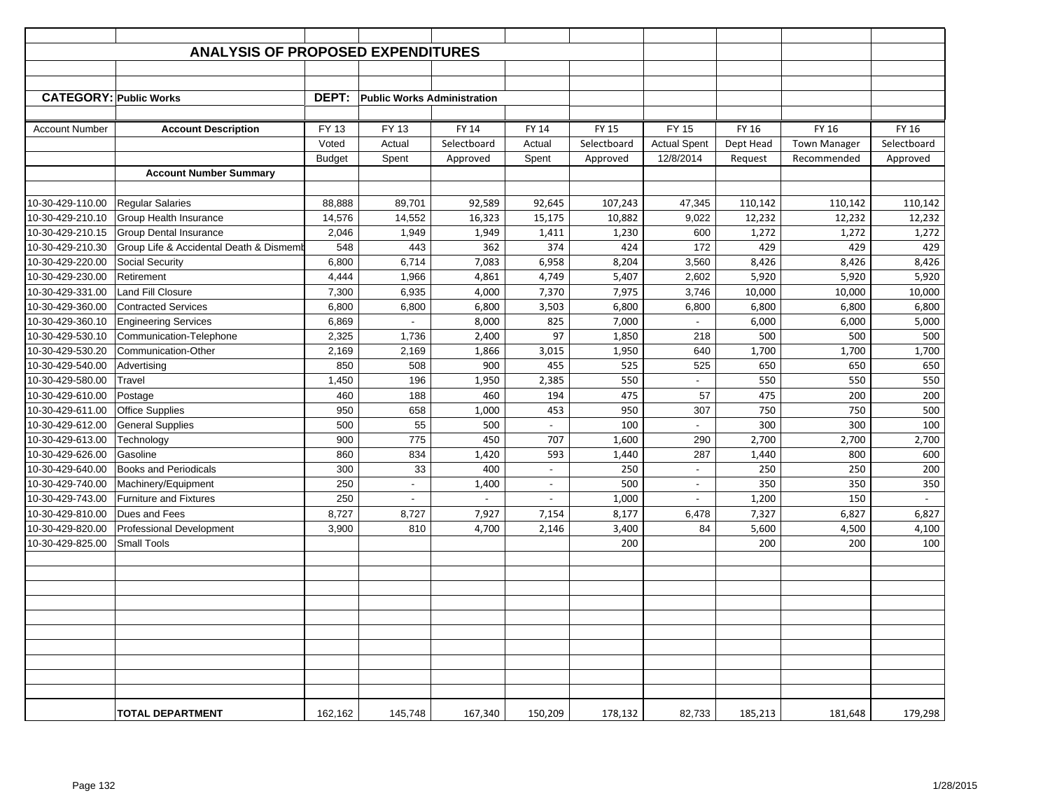|                               | <b>ANALYSIS OF PROPOSED EXPENDITURES</b> |               |                                    |                |                          |              |                                  |           |                                    |             |
|-------------------------------|------------------------------------------|---------------|------------------------------------|----------------|--------------------------|--------------|----------------------------------|-----------|------------------------------------|-------------|
|                               |                                          |               |                                    |                |                          |              |                                  |           |                                    |             |
|                               |                                          |               |                                    |                |                          |              |                                  |           |                                    |             |
| <b>CATEGORY: Public Works</b> |                                          | DEPT:         | <b>Public Works Administration</b> |                |                          |              |                                  |           |                                    |             |
|                               |                                          |               |                                    |                |                          |              |                                  |           |                                    |             |
| <b>Account Number</b>         | <b>Account Description</b>               | <b>FY 13</b>  | FY 13                              | <b>FY 14</b>   | <b>FY 14</b>             | <b>FY 15</b> | <b>FY 15</b>                     | FY 16     | FY 16                              | FY 16       |
|                               |                                          | Voted         | Actual                             | Selectboard    | Actual                   | Selectboard  | <b>Actual Spent</b><br>12/8/2014 | Dept Head | <b>Town Manager</b><br>Recommended | Selectboard |
|                               | <b>Account Number Summary</b>            | <b>Budget</b> | Spent                              | Approved       | Spent                    | Approved     |                                  | Request   |                                    | Approved    |
|                               |                                          |               |                                    |                |                          |              |                                  |           |                                    |             |
| 10-30-429-110.00              | <b>Regular Salaries</b>                  | 88,888        | 89,701                             | 92,589         | 92,645                   | 107,243      | 47,345                           | 110,142   | 110,142                            | 110,142     |
| 10-30-429-210.10              | Group Health Insurance                   | 14,576        | 14,552                             | 16,323         | 15,175                   | 10,882       | 9,022                            | 12,232    | 12,232                             | 12,232      |
| 10-30-429-210.15              | <b>Group Dental Insurance</b>            | 2,046         | 1,949                              | 1,949          | 1,411                    | 1,230        | 600                              | 1,272     | 1,272                              | 1,272       |
| 10-30-429-210.30              | Group Life & Accidental Death & Dismeml  | 548           | 443                                | 362            | 374                      | 424          | 172                              | 429       | 429                                | 429         |
| 10-30-429-220.00              | <b>Social Security</b>                   | 6,800         | 6,714                              | 7,083          | 6,958                    | 8,204        | 3,560                            | 8,426     | 8,426                              | 8,426       |
| 10-30-429-230.00              | Retirement                               | 4,444         | 1,966                              | 4,861          | 4,749                    | 5,407        | 2,602                            | 5,920     | 5,920                              | 5,920       |
| 10-30-429-331.00              | Land Fill Closure                        | 7,300         | 6,935                              | 4,000          | 7,370                    | 7,975        | 3,746                            | 10,000    | 10,000                             | 10,000      |
| 10-30-429-360.00              | <b>Contracted Services</b>               | 6,800         | 6,800                              | 6,800          | 3,503                    | 6,800        | 6,800                            | 6,800     | 6,800                              | 6,800       |
| 10-30-429-360.10              | <b>Engineering Services</b>              | 6,869         | $\sim$                             | 8,000          | 825                      | 7,000        | $\sim$                           | 6,000     | 6,000                              | 5,000       |
| 10-30-429-530.10              | Communication-Telephone                  | 2,325         | 1,736                              | 2,400          | 97                       | 1,850        | 218                              | 500       | 500                                | 500         |
| 10-30-429-530.20              | Communication-Other                      | 2,169         | 2,169                              | 1,866          | 3,015                    | 1,950        | 640                              | 1,700     | 1,700                              | 1,700       |
| 10-30-429-540.00              | Advertising                              | 850           | 508                                | 900            | 455                      | 525          | 525                              | 650       | 650                                | 650         |
| 10-30-429-580.00              | Travel                                   | 1,450         | 196                                | 1,950          | 2,385                    | 550          | $\overline{\phantom{a}}$         | 550       | 550                                | 550         |
| 10-30-429-610.00              | Postage                                  | 460           | 188                                | 460            | 194                      | 475          | 57                               | 475       | 200                                | 200         |
| 10-30-429-611.00              | <b>Office Supplies</b>                   | 950           | 658                                | 1,000          | 453                      | 950          | 307                              | 750       | 750                                | 500         |
| 10-30-429-612.00              | <b>General Supplies</b>                  | 500           | 55                                 | 500            | $\overline{\phantom{a}}$ | 100          | $\blacksquare$                   | 300       | 300                                | 100         |
| 10-30-429-613.00              | Technology                               | 900           | 775                                | 450            | 707                      | 1,600        | 290                              | 2,700     | 2,700                              | 2,700       |
| 10-30-429-626.00              | Gasoline                                 | 860           | 834                                | 1,420          | 593                      | 1,440        | 287                              | 1,440     | 800                                | 600         |
| 10-30-429-640.00              | <b>Books and Periodicals</b>             | 300           | 33                                 | 400            |                          | 250          |                                  | 250       | 250                                | 200         |
| 10-30-429-740.00              | Machinery/Equipment                      | 250           | $\blacksquare$                     | 1,400          | $\overline{\phantom{a}}$ | 500          | $\overline{\phantom{a}}$         | 350       | 350                                | 350         |
| 10-30-429-743.00              | <b>Furniture and Fixtures</b>            | 250           | $\overline{\phantom{a}}$           | $\blacksquare$ | $\blacksquare$           | 1,000        |                                  | 1,200     | 150                                | $\sim$      |
| 10-30-429-810.00              | Dues and Fees                            | 8,727         | 8,727                              | 7,927          | 7,154                    | 8,177        | 6,478                            | 7,327     | 6,827                              | 6,827       |
| 10-30-429-820.00              | Professional Development                 | 3,900         | 810                                | 4,700          | 2,146                    | 3,400        | 84                               | 5,600     | 4,500                              | 4,100       |
| 10-30-429-825.00              | <b>Small Tools</b>                       |               |                                    |                |                          | 200          |                                  | 200       | 200                                | 100         |
|                               |                                          |               |                                    |                |                          |              |                                  |           |                                    |             |
|                               |                                          |               |                                    |                |                          |              |                                  |           |                                    |             |
|                               |                                          |               |                                    |                |                          |              |                                  |           |                                    |             |
|                               |                                          |               |                                    |                |                          |              |                                  |           |                                    |             |
|                               |                                          |               |                                    |                |                          |              |                                  |           |                                    |             |
|                               |                                          |               |                                    |                |                          |              |                                  |           |                                    |             |
|                               |                                          |               |                                    |                |                          |              |                                  |           |                                    |             |
|                               |                                          |               |                                    |                |                          |              |                                  |           |                                    |             |
|                               |                                          |               |                                    |                |                          |              |                                  |           |                                    |             |
|                               |                                          |               |                                    |                |                          |              |                                  |           |                                    |             |
|                               | <b>TOTAL DEPARTMENT</b>                  | 162,162       | 145,748                            | 167,340        | 150,209                  | 178,132      | 82,733                           | 185,213   | 181,648                            | 179,298     |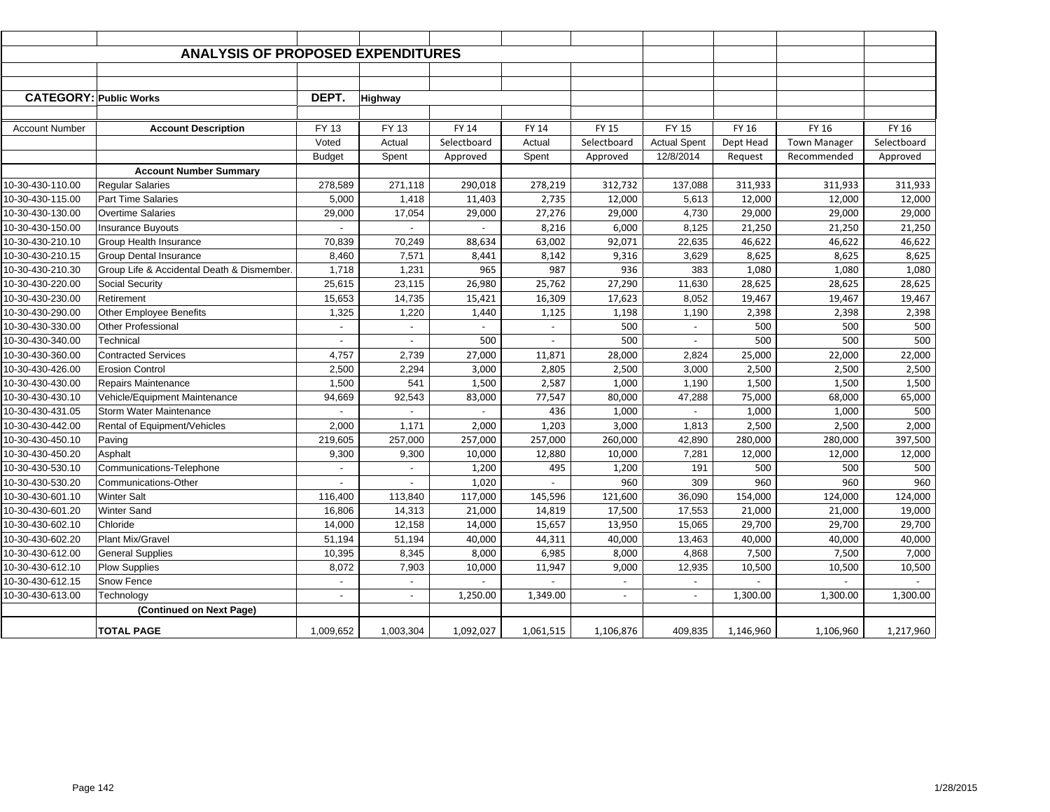|                               | <b>ANALYSIS OF PROPOSED EXPENDITURES</b>   |                          |                          |                |                             |              |                          |                |                     |             |
|-------------------------------|--------------------------------------------|--------------------------|--------------------------|----------------|-----------------------------|--------------|--------------------------|----------------|---------------------|-------------|
|                               |                                            |                          |                          |                |                             |              |                          |                |                     |             |
|                               |                                            |                          |                          |                |                             |              |                          |                |                     |             |
| <b>CATEGORY: Public Works</b> |                                            | DEPT.                    | <b>Highway</b>           |                |                             |              |                          |                |                     |             |
|                               |                                            |                          |                          |                |                             |              |                          |                |                     |             |
| <b>Account Number</b>         | <b>Account Description</b>                 | FY 13                    | FY 13                    | FY 14          | <b>FY 14</b>                | <b>FY 15</b> | <b>FY 15</b>             | FY 16          | FY 16               | FY 16       |
|                               |                                            | Voted                    | Actual                   | Selectboard    | Actual                      | Selectboard  | <b>Actual Spent</b>      | Dept Head      | <b>Town Manager</b> | Selectboard |
|                               |                                            | <b>Budget</b>            | Spent                    | Approved       | Spent                       | Approved     | 12/8/2014                | Request        | Recommended         | Approved    |
|                               | <b>Account Number Summary</b>              |                          |                          |                |                             |              |                          |                |                     |             |
| 10-30-430-110.00              | <b>Regular Salaries</b>                    | 278,589                  | 271,118                  | 290,018        | 278,219                     | 312,732      | 137,088                  | 311,933        | 311,933             | 311,933     |
| 10-30-430-115.00              | <b>Part Time Salaries</b>                  | 5,000                    | 1,418                    | 11,403         | 2,735                       | 12,000       | 5,613                    | 12,000         | 12,000              | 12,000      |
| 10-30-430-130.00              | <b>Overtime Salaries</b>                   | 29,000                   | 17,054                   | 29,000         | 27,276                      | 29,000       | 4,730                    | 29,000         | 29,000              | 29,000      |
| 10-30-430-150.00              | <b>Insurance Buyouts</b>                   | $\overline{a}$           |                          |                | 8,216                       | 6,000        | 8,125                    | 21,250         | 21,250              | 21,250      |
| 10-30-430-210.10              | Group Health Insurance                     | 70,839                   | 70,249                   | 88,634         | 63,002                      | 92,071       | 22,635                   | 46,622         | 46,622              | 46,622      |
| 10-30-430-210.15              | <b>Group Dental Insurance</b>              | 8,460                    | 7,571                    | 8,441          | 8,142                       | 9,316        | 3,629                    | 8,625          | 8,625               | 8,625       |
| 10-30-430-210.30              | Group Life & Accidental Death & Dismember. | 1,718                    | 1,231                    | 965            | 987                         | 936          | 383                      | 1,080          | 1,080               | 1,080       |
| 10-30-430-220.00              | <b>Social Security</b>                     | 25,615                   | 23,115                   | 26,980         | 25,762                      | 27,290       | 11,630                   | 28,625         | 28,625              | 28,625      |
| 10-30-430-230.00              | Retirement                                 | 15,653                   | 14,735                   | 15,421         | 16,309                      | 17,623       | 8,052                    | 19,467         | 19,467              | 19,467      |
| 10-30-430-290.00              | Other Employee Benefits                    | 1,325                    | 1,220                    | 1,440          | 1,125                       | 1,198        | 1,190                    | 2,398          | 2,398               | 2,398       |
| 10-30-430-330.00              | Other Professional                         | $\overline{\phantom{a}}$ | $\overline{\phantom{a}}$ | $\blacksquare$ | $\blacksquare$              | 500          | $\overline{\phantom{a}}$ | 500            | 500                 | 500         |
| 10-30-430-340.00              | Technical                                  | $\overline{\phantom{a}}$ | $\overline{a}$           | 500            | $\sim$                      | 500          | $\overline{a}$           | 500            | 500                 | 500         |
| 10-30-430-360.00              | <b>Contracted Services</b>                 | 4,757                    | 2,739                    | 27,000         | 11,871                      | 28,000       | 2,824                    | 25,000         | 22,000              | 22,000      |
| 10-30-430-426.00              | <b>Erosion Control</b>                     | 2,500                    | 2,294                    | 3,000          | 2,805                       | 2,500        | 3,000                    | 2,500          | 2,500               | 2,500       |
| 10-30-430-430.00              | Repairs Maintenance                        | 1,500                    | 541                      | 1,500          | 2,587                       | 1,000        | 1,190                    | 1,500          | 1,500               | 1,500       |
| 10-30-430-430.10              | Vehicle/Equipment Maintenance              | 94,669                   | 92,543                   | 83,000         | 77,547                      | 80,000       | 47,288                   | 75,000         | 68,000              | 65,000      |
| 10-30-430-431.05              | Storm Water Maintenance                    |                          |                          |                | 436                         | 1,000        |                          | 1,000          | 1,000               | 500         |
| 10-30-430-442.00              | Rental of Equipment/Vehicles               | 2,000                    | 1,171                    | 2,000          | 1,203                       | 3,000        | 1,813                    | 2,500          | 2,500               | 2,000       |
| 10-30-430-450.10              | Paving                                     | 219,605                  | 257,000                  | 257,000        | 257,000                     | 260,000      | 42,890                   | 280,000        | 280,000             | 397,500     |
| 10-30-430-450.20              | Asphalt                                    | 9,300                    | 9,300                    | 10,000         | 12,880                      | 10,000       | 7,281                    | 12,000         | 12,000              | 12,000      |
| 10-30-430-530.10              | Communications-Telephone                   | $\overline{a}$           |                          | 1,200          | 495                         | 1,200        | 191                      | 500            | 500                 | 500         |
| 10-30-430-530.20              | Communications-Other                       | $\blacksquare$           | $\sim$                   | 1,020          | $\omega$                    | 960          | 309                      | 960            | 960                 | 960         |
| 10-30-430-601.10              | <b>Winter Salt</b>                         | 116,400                  | 113,840                  | 117,000        | 145,596                     | 121,600      | 36,090                   | 154,000        | 124,000             | 124,000     |
| 10-30-430-601.20              | <b>Winter Sand</b>                         | 16,806                   | 14,313                   | 21,000         | 14,819                      | 17,500       | 17,553                   | 21,000         | 21,000              | 19,000      |
| 10-30-430-602.10              | Chloride                                   | 14,000                   | 12,158                   | 14,000         | 15,657                      | 13,950       | 15,065                   | 29,700         | 29,700              | 29,700      |
| 10-30-430-602.20              | <b>Plant Mix/Gravel</b>                    | 51,194                   | 51,194                   | 40,000         | 44,311                      | 40,000       | 13,463                   | 40,000         | 40,000              | 40,000      |
| 10-30-430-612.00              | <b>General Supplies</b>                    | 10,395                   | 8,345                    | 8,000          | 6,985                       | 8,000        | 4,868                    | 7,500          | 7,500               | 7,000       |
| 10-30-430-612.10              | <b>Plow Supplies</b>                       | 8,072                    | 7,903                    | 10,000         | 11,947                      | 9,000        | 12,935                   | 10,500         | 10,500              | 10,500      |
| 10-30-430-612.15              | Snow Fence                                 | $\overline{\phantom{a}}$ | $\sim$                   | $\overline{a}$ | $\mathcal{L}^{\mathcal{A}}$ | $\omega$     | $\blacksquare$           | $\overline{a}$ | $\mathbf{r}$        |             |
| 10-30-430-613.00              | Technology                                 | $\blacksquare$           | $\overline{\phantom{a}}$ | 1,250.00       | 1,349.00                    | $\sim$       | $\blacksquare$           | 1,300.00       | 1,300.00            | 1,300.00    |
|                               | (Continued on Next Page)                   |                          |                          |                |                             |              |                          |                |                     |             |
|                               | <b>TOTAL PAGE</b>                          | 1,009,652                | 1,003,304                | 1,092,027      | 1,061,515                   | 1,106,876    | 409,835                  | 1,146,960      | 1,106,960           | 1,217,960   |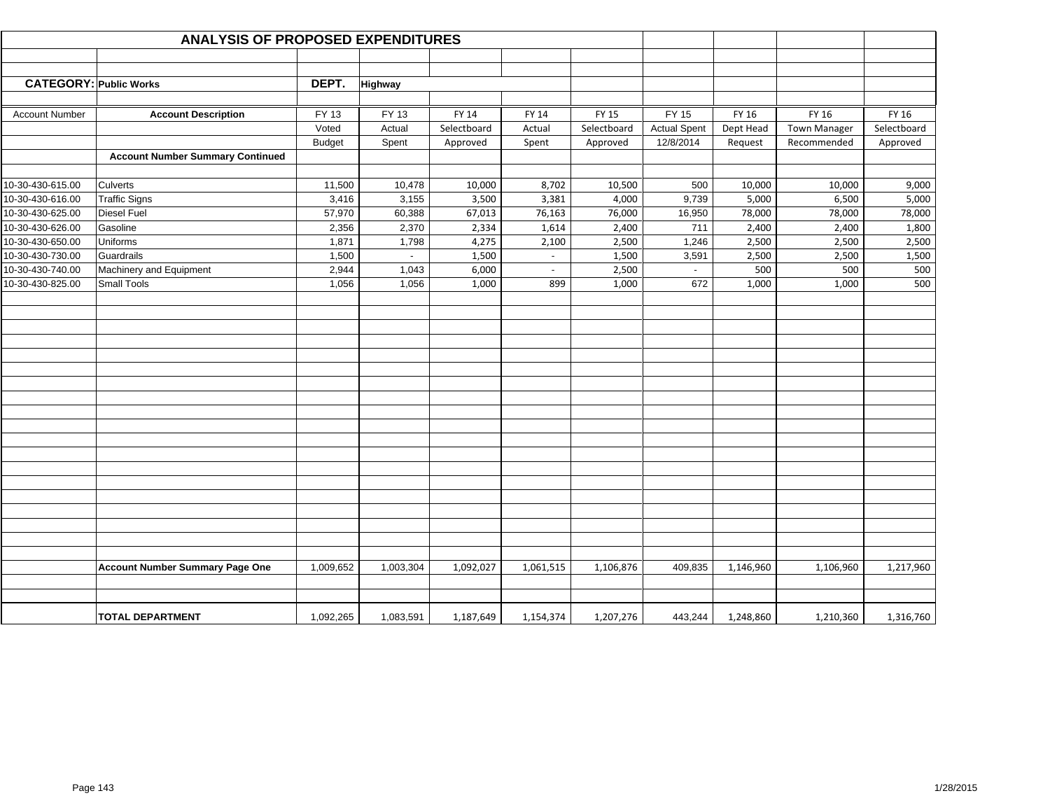|                               | <b>ANALYSIS OF PROPOSED EXPENDITURES</b> |               |                |             |              |              |                          |           |                     |             |
|-------------------------------|------------------------------------------|---------------|----------------|-------------|--------------|--------------|--------------------------|-----------|---------------------|-------------|
|                               |                                          |               |                |             |              |              |                          |           |                     |             |
|                               |                                          |               |                |             |              |              |                          |           |                     |             |
| <b>CATEGORY: Public Works</b> |                                          | DEPT.         | <b>Highway</b> |             |              |              |                          |           |                     |             |
|                               |                                          |               |                |             |              |              |                          |           |                     |             |
| <b>Account Number</b>         | <b>Account Description</b>               | FY 13         | FY 13          | FY 14       | <b>FY 14</b> | <b>FY 15</b> | <b>FY 15</b>             | FY 16     | FY 16               | FY 16       |
|                               |                                          | Voted         | Actual         | Selectboard | Actual       | Selectboard  | <b>Actual Spent</b>      | Dept Head | <b>Town Manager</b> | Selectboard |
|                               | <b>Account Number Summary Continued</b>  | <b>Budget</b> | Spent          | Approved    | Spent        | Approved     | 12/8/2014                | Request   | Recommended         | Approved    |
|                               |                                          |               |                |             |              |              |                          |           |                     |             |
| 10-30-430-615.00              | Culverts                                 | 11,500        | 10,478         | 10,000      | 8,702        | 10,500       | 500                      | 10,000    | 10,000              | 9,000       |
| 10-30-430-616.00              | <b>Traffic Signs</b>                     | 3,416         | 3,155          | 3,500       | 3,381        | 4,000        | 9,739                    | 5,000     | 6,500               | 5,000       |
| 10-30-430-625.00              | <b>Diesel Fuel</b>                       | 57,970        | 60,388         | 67,013      | 76,163       | 76,000       | 16,950                   | 78,000    | 78,000              | 78,000      |
| 10-30-430-626.00              | Gasoline                                 | 2,356         | 2,370          | 2,334       | 1,614        | 2,400        | 711                      | 2,400     | 2,400               | 1,800       |
| 10-30-430-650.00              | Uniforms                                 | 1,871         | 1,798          | 4,275       | 2,100        | 2,500        | 1,246                    | 2,500     | 2,500               | 2,500       |
| 10-30-430-730.00              | Guardrails                               | 1,500         | $\sim$         | 1,500       | $\sim$       | 1,500        | 3,591                    | 2,500     | 2,500               | 1,500       |
| 10-30-430-740.00              | Machinery and Equipment                  | 2,944         | 1,043          | 6,000       | $\sim$       | 2,500        | $\overline{\phantom{a}}$ | 500       | 500                 | 500         |
| 10-30-430-825.00              | Small Tools                              | 1,056         | 1,056          | 1,000       | 899          | 1,000        | 672                      | 1,000     | 1,000               | 500         |
|                               |                                          |               |                |             |              |              |                          |           |                     |             |
|                               |                                          |               |                |             |              |              |                          |           |                     |             |
|                               |                                          |               |                |             |              |              |                          |           |                     |             |
|                               |                                          |               |                |             |              |              |                          |           |                     |             |
|                               |                                          |               |                |             |              |              |                          |           |                     |             |
|                               |                                          |               |                |             |              |              |                          |           |                     |             |
|                               |                                          |               |                |             |              |              |                          |           |                     |             |
|                               |                                          |               |                |             |              |              |                          |           |                     |             |
|                               |                                          |               |                |             |              |              |                          |           |                     |             |
|                               |                                          |               |                |             |              |              |                          |           |                     |             |
|                               |                                          |               |                |             |              |              |                          |           |                     |             |
|                               |                                          |               |                |             |              |              |                          |           |                     |             |
|                               |                                          |               |                |             |              |              |                          |           |                     |             |
|                               |                                          |               |                |             |              |              |                          |           |                     |             |
|                               |                                          |               |                |             |              |              |                          |           |                     |             |
|                               |                                          |               |                |             |              |              |                          |           |                     |             |
|                               |                                          |               |                |             |              |              |                          |           |                     |             |
|                               |                                          |               |                |             |              |              |                          |           |                     |             |
|                               |                                          |               |                |             |              |              |                          |           |                     |             |
|                               | <b>Account Number Summary Page One</b>   | 1,009,652     | 1,003,304      | 1,092,027   | 1,061,515    | 1,106,876    | 409,835                  | 1,146,960 | 1,106,960           | 1,217,960   |
|                               |                                          |               |                |             |              |              |                          |           |                     |             |
|                               |                                          |               |                |             |              |              |                          |           |                     |             |
|                               | <b>TOTAL DEPARTMENT</b>                  | 1,092,265     | 1,083,591      | 1,187,649   | 1,154,374    | 1,207,276    | 443,244                  | 1,248,860 | 1,210,360           | 1,316,760   |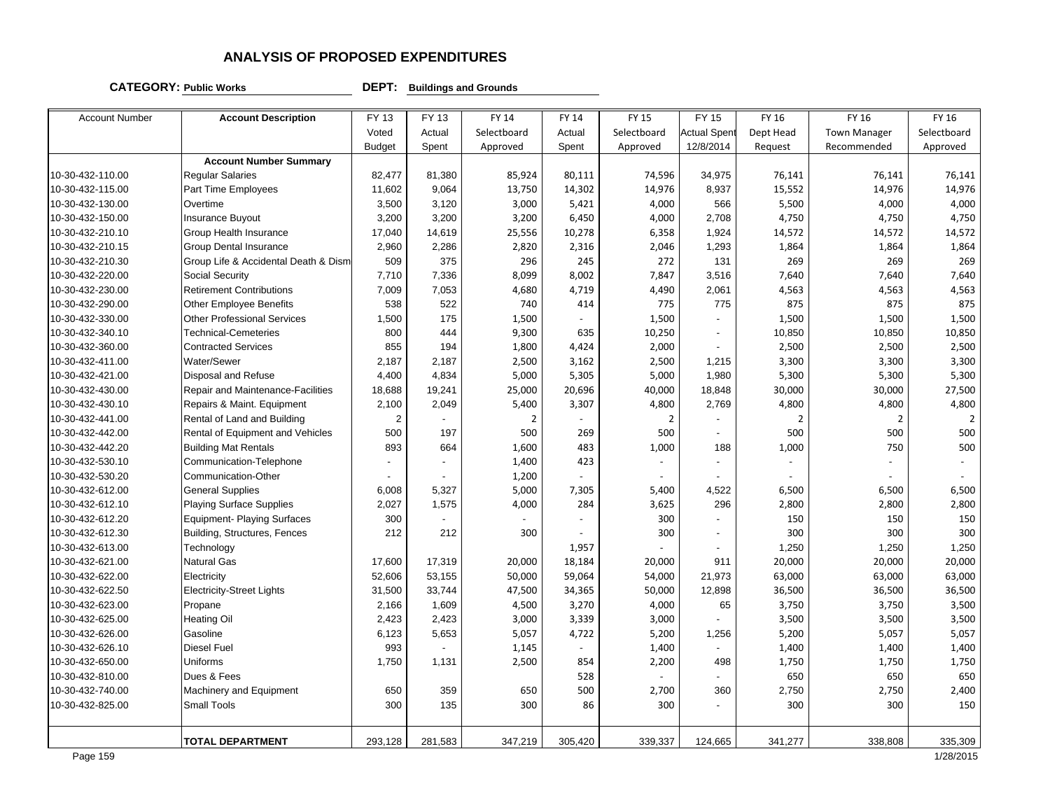#### **CATEGORY: Public Works DEPT: Buildings and Grounds**

| <b>Account Number</b> | <b>Account Description</b>           | FY 13          | FY 13   | <b>FY 14</b>   | FY 14          | <b>FY 15</b>   | <b>FY 15</b>       | FY 16          | FY 16               | FY 16       |
|-----------------------|--------------------------------------|----------------|---------|----------------|----------------|----------------|--------------------|----------------|---------------------|-------------|
|                       |                                      | Voted          | Actual  | Selectboard    | Actual         | Selectboard    | <b>Actual Spen</b> | Dept Head      | <b>Town Manager</b> | Selectboard |
|                       |                                      | <b>Budget</b>  | Spent   | Approved       | Spent          | Approved       | 12/8/2014          | Request        | Recommended         | Approved    |
|                       | <b>Account Number Summary</b>        |                |         |                |                |                |                    |                |                     |             |
| 10-30-432-110.00      | <b>Reqular Salaries</b>              | 82,477         | 81,380  | 85,924         | 80,111         | 74,596         | 34,975             | 76,141         | 76,141              | 76,141      |
| 10-30-432-115.00      | Part Time Employees                  | 11,602         | 9,064   | 13,750         | 14,302         | 14,976         | 8,937              | 15,552         | 14,976              | 14,976      |
| 10-30-432-130.00      | Overtime                             | 3,500          | 3,120   | 3,000          | 5,421          | 4,000          | 566                | 5,500          | 4,000               | 4,000       |
| 10-30-432-150.00      | Insurance Buyout                     | 3,200          | 3,200   | 3,200          | 6,450          | 4,000          | 2,708              | 4,750          | 4,750               | 4,750       |
| 10-30-432-210.10      | Group Health Insurance               | 17,040         | 14,619  | 25,556         | 10,278         | 6,358          | 1,924              | 14,572         | 14,572              | 14,572      |
| 10-30-432-210.15      | <b>Group Dental Insurance</b>        | 2,960          | 2,286   | 2,820          | 2,316          | 2,046          | 1,293              | 1,864          | 1,864               | 1,864       |
| 10-30-432-210.30      | Group Life & Accidental Death & Dism | 509            | 375     | 296            | 245            | 272            | 131                | 269            | 269                 | 269         |
| 10-30-432-220.00      | Social Security                      | 7,710          | 7,336   | 8,099          | 8,002          | 7,847          | 3,516              | 7,640          | 7,640               | 7,640       |
| 10-30-432-230.00      | <b>Retirement Contributions</b>      | 7,009          | 7,053   | 4,680          | 4,719          | 4,490          | 2,061              | 4,563          | 4,563               | 4,563       |
| 10-30-432-290.00      | <b>Other Employee Benefits</b>       | 538            | 522     | 740            | 414            | 775            | 775                | 875            | 875                 | 875         |
| 10-30-432-330.00      | <b>Other Professional Services</b>   | 1,500          | 175     | 1,500          |                | 1,500          | $\overline{a}$     | 1,500          | 1,500               | 1,500       |
| 10-30-432-340.10      | <b>Technical-Cemeteries</b>          | 800            | 444     | 9,300          | 635            | 10,250         |                    | 10,850         | 10,850              | 10,850      |
| 10-30-432-360.00      | <b>Contracted Services</b>           | 855            | 194     | 1,800          | 4,424          | 2,000          |                    | 2,500          | 2,500               | 2,500       |
| 10-30-432-411.00      | Water/Sewer                          | 2,187          | 2,187   | 2,500          | 3,162          | 2,500          | 1,215              | 3,300          | 3,300               | 3,300       |
| 10-30-432-421.00      | Disposal and Refuse                  | 4,400          | 4,834   | 5,000          | 5,305          | 5,000          | 1,980              | 5,300          | 5,300               | 5,300       |
| 10-30-432-430.00      | Repair and Maintenance-Facilities    | 18,688         | 19,241  | 25,000         | 20,696         | 40,000         | 18,848             | 30,000         | 30,000              | 27,500      |
| 10-30-432-430.10      | Repairs & Maint. Equipment           | 2,100          | 2,049   | 5,400          | 3,307          | 4,800          | 2,769              | 4,800          | 4,800               | 4,800       |
| 10-30-432-441.00      | Rental of Land and Building          | $\overline{2}$ |         | $\overline{2}$ |                | $\overline{2}$ |                    | $\overline{2}$ | $\overline{2}$      | 2           |
| 10-30-432-442.00      | Rental of Equipment and Vehicles     | 500            | 197     | 500            | 269            | 500            |                    | 500            | 500                 | 500         |
| 10-30-432-442.20      | <b>Building Mat Rentals</b>          | 893            | 664     | 1,600          | 483            | 1,000          | 188                | 1,000          | 750                 | 500         |
| 10-30-432-530.10      | Communication-Telephone              |                |         | 1,400          | 423            |                |                    |                |                     |             |
| 10-30-432-530.20      | Communication-Other                  |                |         | 1,200          |                | $\sim$         |                    |                |                     |             |
| 10-30-432-612.00      | <b>General Supplies</b>              | 6,008          | 5,327   | 5,000          | 7,305          | 5,400          | 4,522              | 6,500          | 6,500               | 6,500       |
| 10-30-432-612.10      | <b>Playing Surface Supplies</b>      | 2,027          | 1,575   | 4,000          | 284            | 3,625          | 296                | 2,800          | 2,800               | 2,800       |
| 10-30-432-612.20      | <b>Equipment- Playing Surfaces</b>   | 300            |         |                | $\overline{a}$ | 300            | $\overline{a}$     | 150            | 150                 | 150         |
| 10-30-432-612.30      | Building, Structures, Fences         | 212            | 212     | 300            |                | 300            | $\overline{a}$     | 300            | 300                 | 300         |
| 10-30-432-613.00      | Technology                           |                |         |                | 1,957          |                |                    | 1,250          | 1,250               | 1,250       |
| 10-30-432-621.00      | <b>Natural Gas</b>                   | 17,600         | 17,319  | 20,000         | 18,184         | 20,000         | 911                | 20,000         | 20,000              | 20,000      |
| 10-30-432-622.00      | Electricity                          | 52,606         | 53,155  | 50,000         | 59,064         | 54,000         | 21,973             | 63,000         | 63,000              | 63,000      |
| 10-30-432-622.50      | <b>Electricity-Street Lights</b>     | 31,500         | 33,744  | 47,500         | 34,365         | 50,000         | 12,898             | 36,500         | 36,500              | 36,500      |
| 10-30-432-623.00      | Propane                              | 2,166          | 1,609   | 4,500          | 3,270          | 4,000          | 65                 | 3,750          | 3,750               | 3,500       |
| 10-30-432-625.00      | <b>Heating Oil</b>                   | 2,423          | 2,423   | 3,000          | 3,339          | 3,000          |                    | 3,500          | 3,500               | 3,500       |
| 10-30-432-626.00      | Gasoline                             | 6,123          | 5,653   | 5,057          | 4,722          | 5,200          | 1,256              | 5,200          | 5,057               | 5,057       |
| 10-30-432-626.10      | <b>Diesel Fuel</b>                   | 993            |         | 1,145          |                | 1,400          |                    | 1,400          | 1,400               | 1,400       |
| 10-30-432-650.00      | <b>Uniforms</b>                      | 1,750          | 1,131   | 2,500          | 854            | 2,200          | 498                | 1,750          | 1,750               | 1,750       |
| 10-30-432-810.00      | Dues & Fees                          |                |         |                | 528            |                |                    | 650            | 650                 | 650         |
| 10-30-432-740.00      | Machinery and Equipment              | 650            | 359     | 650            | 500            | 2,700          | 360                | 2,750          | 2,750               | 2,400       |
| 10-30-432-825.00      | Small Tools                          | 300            | 135     | 300            | 86             | 300            |                    | 300            | 300                 | 150         |
|                       |                                      |                |         |                |                |                |                    |                |                     |             |
|                       | <b>TOTAL DEPARTMENT</b>              | 293,128        | 281,583 | 347,219        | 305,420        | 339,337        | 124,665            | 341,277        | 338,808             | 335,309     |
|                       |                                      |                |         |                |                |                |                    |                |                     |             |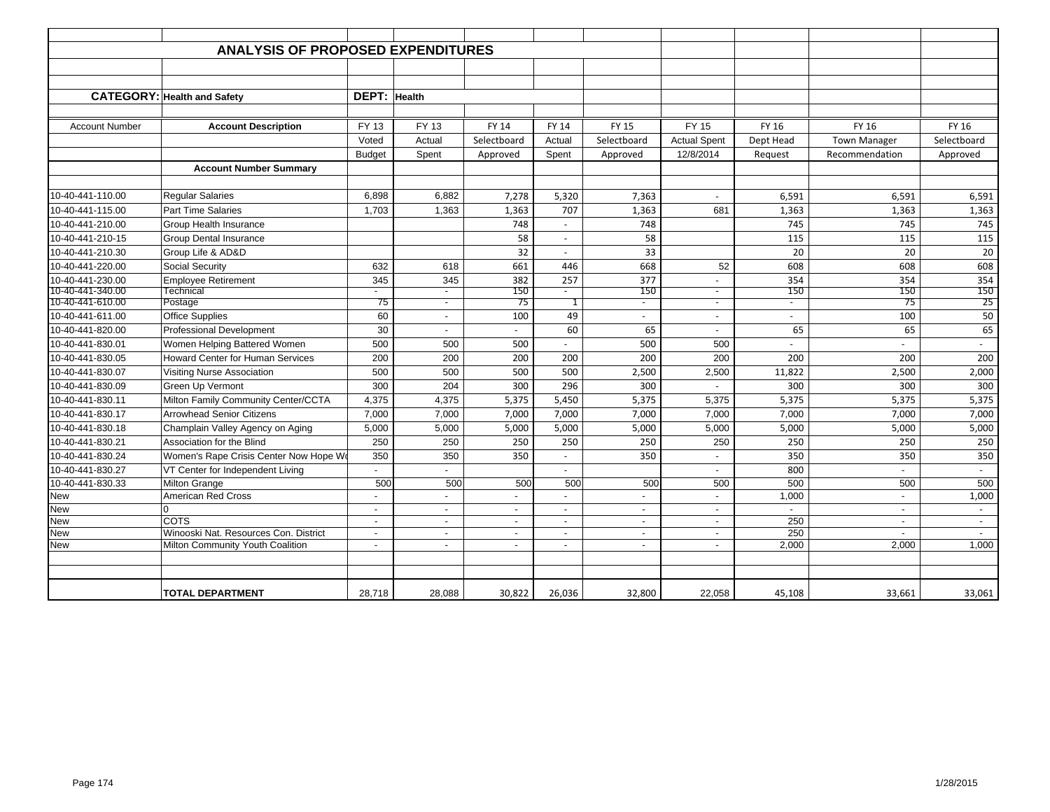|                          | <b>ANALYSIS OF PROPOSED EXPENDITURES</b>                                  |                                                      |                                    |                                            |                                            |                                    |                                    |                           |                                   |             |
|--------------------------|---------------------------------------------------------------------------|------------------------------------------------------|------------------------------------|--------------------------------------------|--------------------------------------------|------------------------------------|------------------------------------|---------------------------|-----------------------------------|-------------|
|                          |                                                                           |                                                      |                                    |                                            |                                            |                                    |                                    |                           |                                   |             |
|                          |                                                                           |                                                      |                                    |                                            |                                            |                                    |                                    |                           |                                   |             |
|                          | <b>CATEGORY: Health and Safety</b>                                        | DEPT:                                                | <b>Health</b>                      |                                            |                                            |                                    |                                    |                           |                                   |             |
|                          |                                                                           |                                                      |                                    |                                            |                                            |                                    |                                    |                           |                                   |             |
| <b>Account Number</b>    | <b>Account Description</b>                                                | FY 13                                                | <b>FY 13</b>                       | <b>FY 14</b>                               | <b>FY 14</b>                               | <b>FY 15</b>                       | <b>FY 15</b>                       | <b>FY 16</b>              | <b>FY 16</b>                      | FY 16       |
|                          |                                                                           | Voted                                                | Actual                             | Selectboard                                | Actual                                     | Selectboard                        | <b>Actual Spent</b>                | Dept Head                 | <b>Town Manager</b>               | Selectboard |
|                          |                                                                           | <b>Budget</b>                                        | Spent                              | Approved                                   | Spent                                      | Approved                           | 12/8/2014                          | Request                   | Recommendation                    | Approved    |
|                          | <b>Account Number Summary</b>                                             |                                                      |                                    |                                            |                                            |                                    |                                    |                           |                                   |             |
|                          |                                                                           |                                                      |                                    |                                            |                                            |                                    |                                    |                           |                                   |             |
| 10-40-441-110.00         | <b>Regular Salaries</b>                                                   | 6,898                                                | 6,882                              | 7,278                                      | 5,320                                      | 7,363                              |                                    | 6,591                     | 6,591                             | 6,591       |
| 10-40-441-115.00         | <b>Part Time Salaries</b>                                                 | 1,703                                                | 1,363                              | 1,363                                      | 707                                        | 1,363                              | 681                                | 1,363                     | 1,363                             | 1,363       |
| 10-40-441-210.00         | Group Health Insurance                                                    |                                                      |                                    | 748                                        | $\overline{\phantom{a}}$                   | 748                                |                                    | 745                       | 745                               | 745         |
| 10-40-441-210-15         | <b>Group Dental Insurance</b>                                             |                                                      |                                    | 58                                         | $\blacksquare$                             | 58                                 |                                    | 115                       | 115                               | 115         |
| 10-40-441-210.30         | Group Life & AD&D                                                         |                                                      |                                    | 32                                         | $\blacksquare$                             | 33                                 |                                    | 20                        | 20                                | 20          |
| 10-40-441-220.00         | Social Security                                                           | 632                                                  | 618                                | 661                                        | 446                                        | 668                                | 52                                 | 608                       | 608                               | 608         |
| 10-40-441-230.00         | <b>Employee Retirement</b>                                                | 345                                                  | 345                                | 382                                        | 257                                        | 377                                |                                    | 354                       | 354                               | 354         |
| 10-40-441-340.00         | Technical                                                                 | $\overline{\phantom{a}}$                             | $\overline{\phantom{a}}$           | 150                                        | $\overline{\phantom{a}}$                   | 150                                | $\sim$                             | 150                       | 150                               | 150         |
| 10-40-441-610.00         | Postage                                                                   | 75                                                   | $\overline{\phantom{a}}$           | 75                                         | 1                                          | $\overline{\phantom{a}}$           |                                    | $\overline{\phantom{a}}$  | 75                                | 25          |
| 10-40-441-611.00         | <b>Office Supplies</b>                                                    | 60                                                   | $\sim$                             | 100                                        | 49                                         | $\sim$                             | $\overline{\phantom{a}}$           | $\sim$                    | 100                               | 50          |
| 10-40-441-820.00         | <b>Professional Development</b>                                           | 30                                                   | $\overline{\phantom{a}}$           | $\sim$                                     | 60                                         | 65                                 | $\sim$                             | 65                        | 65                                | 65          |
| 10-40-441-830.01         | Women Helping Battered Women                                              | 500                                                  | 500                                | 500                                        | $\overline{\phantom{m}}$                   | 500                                | 500                                |                           | $\overline{\phantom{a}}$          | $\sim$      |
| 10-40-441-830.05         | <b>Howard Center for Human Services</b>                                   | 200                                                  | 200                                | 200                                        | 200                                        | 200                                | 200                                | 200                       | 200                               | 200         |
| 10-40-441-830.07         | Visiting Nurse Association                                                | 500                                                  | 500                                | 500                                        | 500                                        | 2,500                              | 2,500                              | 11,822                    | 2,500                             | 2,000       |
| 10-40-441-830.09         | <b>Green Up Vermont</b>                                                   | 300                                                  | 204                                | 300                                        | 296                                        | 300                                |                                    | 300                       | 300                               | 300         |
| 10-40-441-830.11         | Milton Family Community Center/CCTA                                       | 4,375                                                | 4,375                              | 5,375                                      | 5,450                                      | 5,375                              | 5,375                              | 5,375                     | 5,375                             | 5,375       |
| 10-40-441-830.17         | <b>Arrowhead Senior Citizens</b>                                          | 7,000                                                | 7,000                              | 7,000                                      | 7,000                                      | 7,000                              | 7,000                              | 7,000                     | 7,000                             | 7,000       |
| 10-40-441-830.18         | Champlain Valley Agency on Aging                                          | 5,000                                                | 5,000                              | 5,000                                      | 5,000                                      | 5,000                              | 5,000                              | 5,000                     | 5,000                             | 5,000       |
| 10-40-441-830.21         | Association for the Blind                                                 | 250                                                  | 250                                | 250                                        | 250                                        | 250                                | 250                                | 250                       | 250                               | 250         |
| 10-40-441-830.24         | Women's Rape Crisis Center Now Hope W                                     | 350                                                  | 350                                | 350                                        |                                            | 350                                |                                    | 350                       | 350                               | 350         |
| 10-40-441-830.27         | VT Center for Independent Living                                          |                                                      |                                    |                                            |                                            |                                    |                                    | 800                       |                                   |             |
| 10-40-441-830.33         | <b>Milton Grange</b>                                                      | 500                                                  | 500                                | 500                                        | 500                                        | 500                                | 500                                | 500                       | 500                               | 500         |
| New                      | American Red Cross                                                        | $\overline{\phantom{a}}$                             | $\blacksquare$                     | $\overline{\phantom{a}}$                   | $\overline{\phantom{a}}$                   | $\overline{\phantom{a}}$           | $\overline{\phantom{a}}$           | 1,000                     | $\sim$                            | 1,000       |
| New                      | $\Omega$                                                                  | $\blacksquare$                                       | $\sim$                             | $\blacksquare$                             | $\overline{\phantom{a}}$                   | $\overline{\phantom{a}}$           | $\overline{\phantom{a}}$           | $\sim$                    | $\sim$                            | $\sim$      |
| <b>New</b>               | <b>COTS</b>                                                               | $\blacksquare$                                       | $\overline{\phantom{a}}$           | $\blacksquare$                             | $\overline{\phantom{a}}$                   | $\sim$                             | $\overline{\phantom{a}}$           | 250                       | $\sim$                            | $\sim$      |
| <b>New</b><br><b>New</b> | Winooski Nat. Resources Con. District<br>Milton Community Youth Coalition | $\overline{\phantom{a}}$<br>$\overline{\phantom{a}}$ | $\overline{\phantom{a}}$<br>$\sim$ | $\blacksquare$<br>$\overline{\phantom{a}}$ | $\overline{\phantom{a}}$<br>$\blacksquare$ | $\overline{\phantom{a}}$<br>$\sim$ | $\overline{\phantom{a}}$<br>$\sim$ | $\overline{250}$<br>2,000 | $\overline{\phantom{a}}$<br>2,000 | 1.000       |
|                          |                                                                           |                                                      |                                    |                                            |                                            |                                    |                                    |                           |                                   |             |
|                          |                                                                           |                                                      |                                    |                                            |                                            |                                    |                                    |                           |                                   |             |
|                          | <b>TOTAL DEPARTMENT</b>                                                   | 28,718                                               | 28,088                             | 30,822                                     | 26,036                                     | 32,800                             | 22,058                             | 45,108                    | 33,661                            | 33,061      |
|                          |                                                                           |                                                      |                                    |                                            |                                            |                                    |                                    |                           |                                   |             |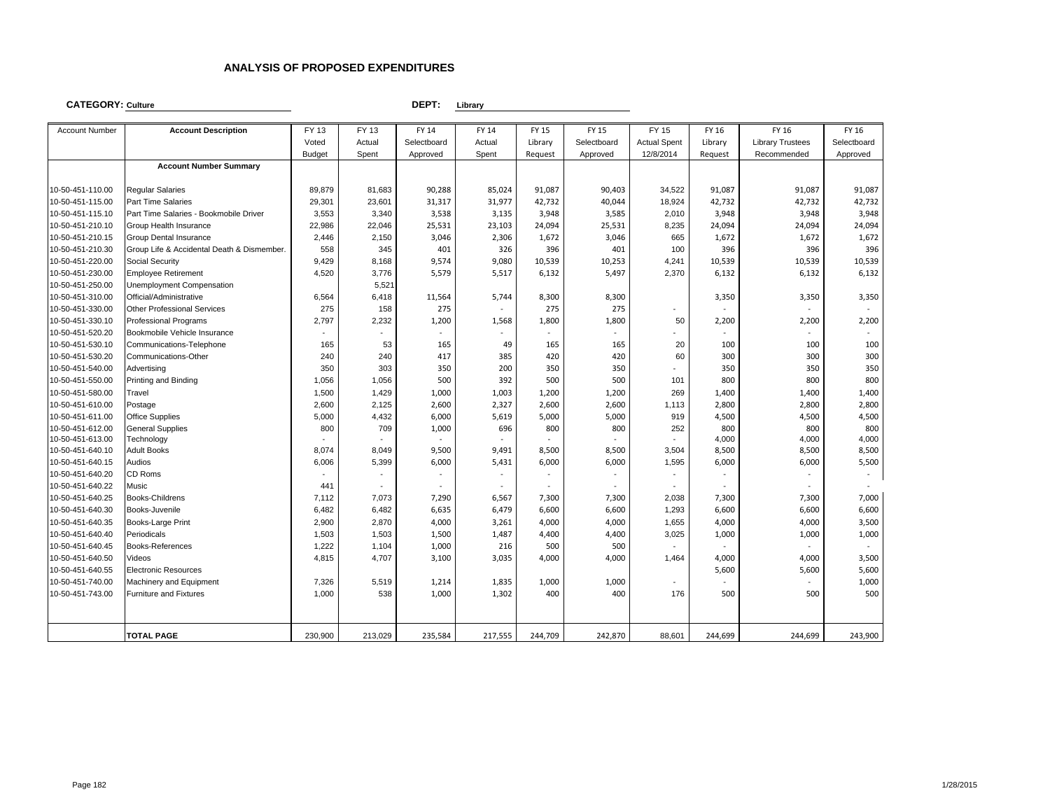#### **CATEGORY: Culture**

#### **DEPT: Library**

| <b>Account Number</b>                | <b>Account Description</b>                 | FY 13         | FY 13   | FY 14          | FY 14   | FY 15        | FY 15          | <b>FY 15</b>                    | FY 16                | FY 16                   | FY 16          |
|--------------------------------------|--------------------------------------------|---------------|---------|----------------|---------|--------------|----------------|---------------------------------|----------------------|-------------------------|----------------|
|                                      |                                            | Voted         | Actual  | Selectboard    | Actual  | Library      | Selectboard    | <b>Actual Spent</b>             | Library              | <b>Library Trustees</b> | Selectboard    |
|                                      |                                            | <b>Budget</b> | Spent   | Approved       | Spent   | Request      | Approved       | 12/8/2014                       | Request              | Recommended             | Approved       |
|                                      | <b>Account Number Summary</b>              |               |         |                |         |              |                |                                 |                      |                         |                |
|                                      |                                            |               |         |                |         |              |                |                                 |                      |                         |                |
| 10-50-451-110.00                     | <b>Reqular Salaries</b>                    | 89,879        | 81,683  | 90,288         | 85,024  | 91,087       | 90,403         | 34,522                          | 91,087               | 91,087                  | 91,087         |
| 10-50-451-115.00                     | <b>Part Time Salaries</b>                  | 29,301        | 23,601  | 31,317         | 31,977  | 42,732       | 40,044         | 18,924                          | 42,732               | 42,732                  | 42,732         |
| 10-50-451-115.10                     | Part Time Salaries - Bookmobile Driver     | 3,553         | 3,340   | 3,538          | 3,135   | 3,948        | 3,585          | 2,010                           | 3,948                | 3,948                   | 3,948          |
| 10-50-451-210.10                     | Group Health Insurance                     | 22,986        | 22,046  | 25,531         | 23,103  | 24,094       | 25,531         | 8,235                           | 24,094               | 24,094                  | 24,094         |
| 10-50-451-210.15                     | <b>Group Dental Insurance</b>              | 2,446         | 2,150   | 3,046          | 2,306   | 1,672        | 3,046          | 665                             | 1,672                | 1,672                   | 1,672          |
| 10-50-451-210.30                     | Group Life & Accidental Death & Dismember. | 558           | 345     | 401            | 326     | 396          | 401            | 100                             | 396                  | 396                     | 396            |
| 10-50-451-220.00                     | Social Security                            | 9,429         | 8,168   | 9,574          | 9,080   | 10,539       | 10,253         | 4,241                           | 10,539               | 10,539                  | 10,539         |
| 10-50-451-230.00                     | <b>Employee Retirement</b>                 | 4,520         | 3,776   | 5,579          | 5,517   | 6,132        | 5,497          | 2,370                           | 6,132                | 6,132                   | 6,132          |
| 10-50-451-250.00                     | Unemployment Compensation                  |               | 5,521   |                |         |              |                |                                 |                      |                         |                |
| 10-50-451-310.00                     | Official/Administrative                    | 6,564         | 6,418   | 11,564         | 5,744   | 8,300        | 8,300          |                                 | 3,350                | 3,350                   | 3,350          |
| 10-50-451-330.00                     | <b>Other Professional Services</b>         | 275           | 158     | 275            |         | 275          | 275            | $\overline{\phantom{a}}$        |                      |                         |                |
| 10-50-451-330.10                     | <b>Professional Programs</b>               | 2,797         | 2,232   | 1,200          | 1,568   | 1,800        | 1,800          | 50                              | 2,200                | 2,200                   | 2,200          |
| 10-50-451-520.20                     | Bookmobile Vehicle Insurance               |               |         | ÷.             |         |              |                | $\blacksquare$                  |                      |                         |                |
| 10-50-451-530.10                     | Communications-Telephone                   | 165           | 53      | 165            | 49      | 165          | 165            | 20                              | 100                  | 100                     | 100            |
| 10-50-451-530.20                     | Communications-Other                       | 240           | 240     | 417            | 385     | 420          | 420            | 60                              | 300                  | 300                     | 300            |
| 10-50-451-540.00                     | Advertising                                | 350           | 303     | 350            | 200     | 350          | 350            |                                 | 350                  | 350                     | 350            |
| 10-50-451-550.00                     | Printing and Binding                       | 1,056         | 1,056   | 500            | 392     | 500          | 500            | 101                             | 800                  | 800                     | 800            |
| 10-50-451-580.00                     | Travel                                     | 1,500         | 1,429   | 1,000          | 1,003   | 1,200        | 1,200          | 269                             | 1,400                | 1,400                   | 1,400          |
| 10-50-451-610.00                     | Postage                                    | 2,600         | 2,125   | 2,600          | 2,327   | 2,600        | 2,600          | 1,113                           | 2,800                | 2,800                   | 2,800          |
| 10-50-451-611.00                     | <b>Office Supplies</b>                     | 5,000         | 4,432   | 6,000          | 5,619   | 5,000        | 5,000          | 919                             | 4,500                | 4,500                   | 4,500          |
| 10-50-451-612.00                     | <b>General Supplies</b>                    | 800           | 709     | 1,000          | 696     | 800          | 800            | 252                             | 800                  | 800                     | 800            |
| 10-50-451-613.00                     | Technology                                 |               |         |                |         |              |                |                                 | 4,000                | 4,000                   | 4,000          |
| 10-50-451-640.10                     | <b>Adult Books</b>                         | 8,074         | 8,049   | 9,500          | 9,491   | 8,500        | 8,500          | 3,504                           | 8,500                | 8,500                   | 8,500          |
| 10-50-451-640.15                     | Audios                                     | 6,006         | 5,399   | 6,000          | 5,431   | 6,000        | 6,000          | 1,595                           | 6,000                | 6,000                   | 5,500          |
| 10-50-451-640.20                     | CD Roms                                    |               |         |                |         |              |                |                                 |                      |                         | $\bar{a}$      |
| 10-50-451-640.22                     | Music                                      | 441           |         | $\sim$         | $\sim$  |              | $\blacksquare$ | ٠                               | $\ddot{\phantom{1}}$ |                         |                |
| 10-50-451-640.25                     | <b>Books-Childrens</b>                     | 7,112         | 7,073   | 7,290          | 6,567   | 7,300        | 7,300          | 2,038                           | 7,300                | 7,300                   | 7,000          |
| 10-50-451-640.30                     | Books-Juvenile                             | 6,482         | 6,482   | 6,635          | 6,479   | 6,600        | 6,600          | 1,293                           | 6,600                | 6,600                   | 6,600          |
| 10-50-451-640.35<br>10-50-451-640.40 | Books-Large Print<br>Periodicals           | 2,900         | 2,870   | 4,000<br>1,500 | 3,261   | 4,000        | 4,000          | 1,655<br>3,025                  | 4,000                | 4,000<br>1,000          | 3,500<br>1,000 |
|                                      |                                            | 1,503         | 1,503   | 1,000          | 1,487   | 4,400<br>500 | 4,400          |                                 | 1,000                |                         |                |
| 10-50-451-640.45<br>10-50-451-640.50 | Books-References<br>Videos                 | 1,222         | 1,104   |                | 216     | 4,000        | 500<br>4,000   | 1,464                           |                      |                         |                |
| 10-50-451-640.55                     | <b>Electronic Resources</b>                | 4,815         | 4,707   | 3,100          | 3,035   |              |                |                                 | 4,000<br>5,600       | 4,000<br>5,600          | 3,500<br>5,600 |
| 10-50-451-740.00                     | Machinery and Equipment                    | 7,326         | 5,519   |                |         | 1,000        |                |                                 |                      |                         | 1,000          |
| 10-50-451-743.00                     | <b>Furniture and Fixtures</b>              | 1,000         | 538     | 1,214          | 1,835   | 400          | 1,000<br>400   | $\overline{\phantom{a}}$<br>176 | 500                  | 500                     | 500            |
|                                      |                                            |               |         | 1,000          | 1,302   |              |                |                                 |                      |                         |                |
|                                      |                                            |               |         |                |         |              |                |                                 |                      |                         |                |
|                                      | <b>TOTAL PAGE</b>                          | 230,900       | 213,029 | 235,584        | 217,555 | 244,709      | 242,870        | 88,601                          | 244,699              | 244,699                 | 243,900        |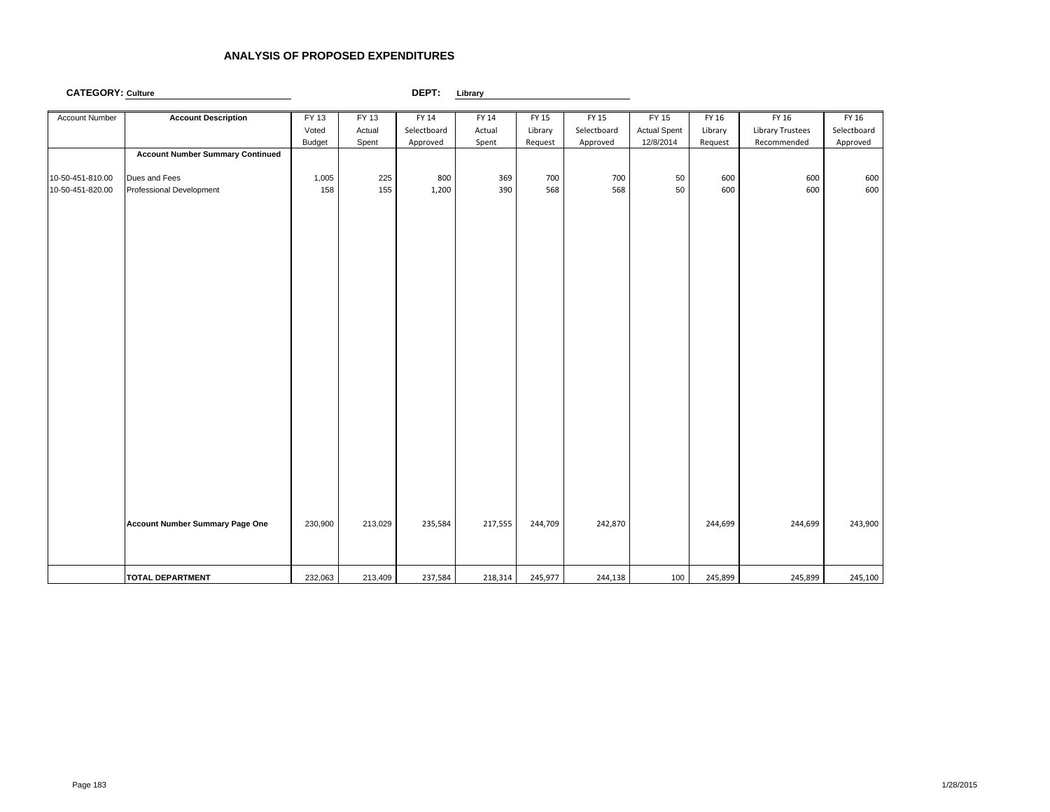| Account Number   | <b>Account Description</b>              | FY 13         | FY 13   | FY 14       | FY 14   | FY 15   | FY 15       | FY 15               | FY 16   | FY 16                   | FY 16       |
|------------------|-----------------------------------------|---------------|---------|-------------|---------|---------|-------------|---------------------|---------|-------------------------|-------------|
|                  |                                         | Voted         | Actual  | Selectboard | Actual  | Library | Selectboard | <b>Actual Spent</b> | Library | <b>Library Trustees</b> | Selectboard |
|                  |                                         | <b>Budget</b> | Spent   | Approved    | Spent   | Request | Approved    | 12/8/2014           | Request | Recommended             | Approved    |
|                  | <b>Account Number Summary Continued</b> |               |         |             |         |         |             |                     |         |                         |             |
| 10-50-451-810.00 | Dues and Fees                           | 1,005         | 225     | 800         | 369     | 700     | 700         | 50                  | 600     | 600                     | 600         |
| 10-50-451-820.00 | Professional Development                | 158           | 155     | 1,200       | 390     | 568     | 568         | 50                  | 600     | 600                     | 600         |
|                  |                                         |               |         |             |         |         |             |                     |         |                         |             |
|                  |                                         |               |         |             |         |         |             |                     |         |                         |             |
|                  |                                         |               |         |             |         |         |             |                     |         |                         |             |
|                  |                                         |               |         |             |         |         |             |                     |         |                         |             |
|                  |                                         |               |         |             |         |         |             |                     |         |                         |             |
|                  |                                         |               |         |             |         |         |             |                     |         |                         |             |
|                  |                                         |               |         |             |         |         |             |                     |         |                         |             |
|                  |                                         |               |         |             |         |         |             |                     |         |                         |             |
|                  |                                         |               |         |             |         |         |             |                     |         |                         |             |
|                  |                                         |               |         |             |         |         |             |                     |         |                         |             |
|                  |                                         |               |         |             |         |         |             |                     |         |                         |             |
|                  |                                         |               |         |             |         |         |             |                     |         |                         |             |
|                  |                                         |               |         |             |         |         |             |                     |         |                         |             |
|                  |                                         |               |         |             |         |         |             |                     |         |                         |             |
|                  |                                         |               |         |             |         |         |             |                     |         |                         |             |
|                  |                                         |               |         |             |         |         |             |                     |         |                         |             |
|                  |                                         |               |         |             |         |         |             |                     |         |                         |             |
|                  |                                         |               |         |             |         |         |             |                     |         |                         |             |
|                  |                                         |               |         |             |         |         |             |                     |         |                         |             |
|                  | Account Number Summary Page One         | 230,900       | 213,029 | 235,584     | 217,555 | 244,709 | 242,870     |                     | 244,699 | 244,699                 | 243,900     |
|                  |                                         |               |         |             |         |         |             |                     |         |                         |             |
|                  |                                         |               |         |             |         |         |             |                     |         |                         |             |
|                  | <b>TOTAL DEPARTMENT</b>                 | 232,063       | 213,409 | 237,584     | 218,314 | 245,977 | 244,138     | 100                 | 245,899 | 245,899                 | 245,100     |
|                  |                                         |               |         |             |         |         |             |                     |         |                         |             |

**CATEGORY: Culture**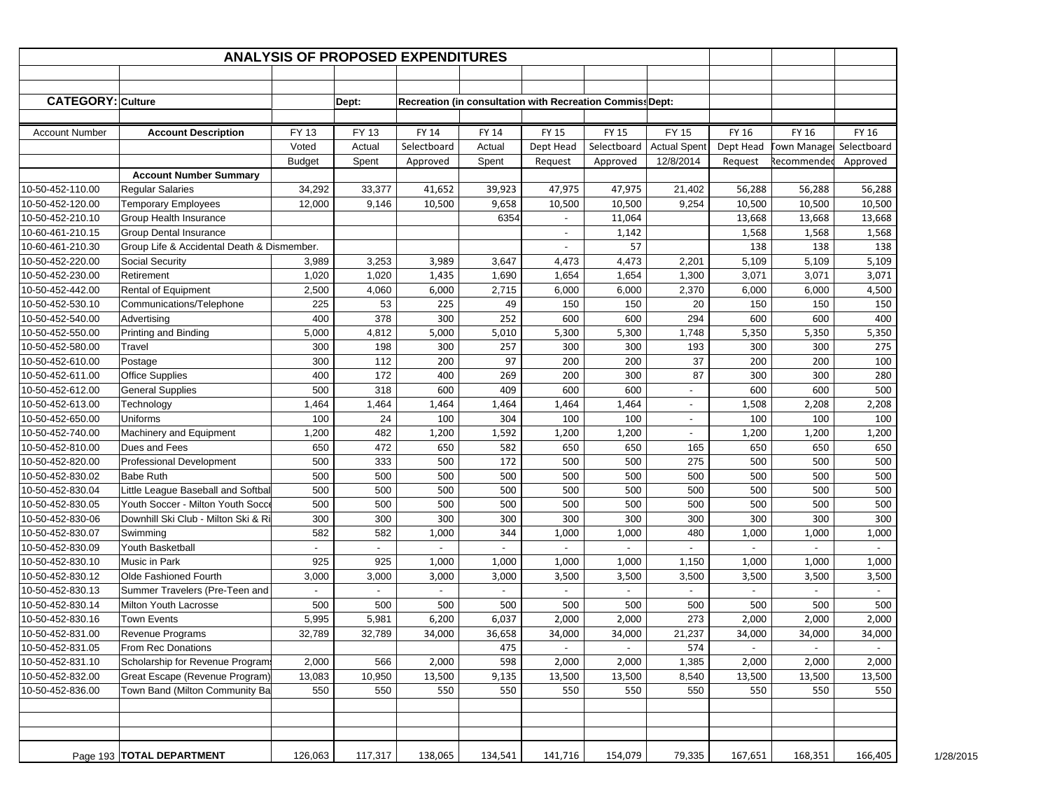|                          |                                            |               |                          | <b>ANALYSIS OF PROPOSED EXPENDITURES</b>                  |         |                          |              |                          |           |                    |             |           |
|--------------------------|--------------------------------------------|---------------|--------------------------|-----------------------------------------------------------|---------|--------------------------|--------------|--------------------------|-----------|--------------------|-------------|-----------|
|                          |                                            |               |                          |                                                           |         |                          |              |                          |           |                    |             |           |
| <b>CATEGORY: Culture</b> |                                            |               | Dept:                    | Recreation (in consultation with Recreation Commiss Dept: |         |                          |              |                          |           |                    |             |           |
|                          |                                            |               |                          |                                                           |         |                          |              |                          |           |                    |             |           |
| <b>Account Number</b>    | <b>Account Description</b>                 | FY 13         | FY 13                    | <b>FY 14</b>                                              | FY 14   | FY 15                    | <b>FY 15</b> | <b>FY 15</b>             | FY 16     | FY 16              | FY 16       |           |
|                          |                                            | Voted         | Actual                   | Selectboard                                               | Actual  | Dept Head                | Selectboard  | <b>Actual Spent</b>      | Dept Head | <b>Town Manage</b> | Selectboard |           |
|                          |                                            | <b>Budget</b> | Spent                    | Approved                                                  | Spent   | Request                  | Approved     | 12/8/2014                | Request   | Recommendec        | Approved    |           |
|                          | <b>Account Number Summary</b>              |               |                          |                                                           |         |                          |              |                          |           |                    |             |           |
| 10-50-452-110.00         | <b>Regular Salaries</b>                    | 34,292        | 33,377                   | 41,652                                                    | 39,923  | 47,975                   | 47,975       | 21,402                   | 56,288    | 56,288             | 56,288      |           |
| 10-50-452-120.00         | <b>Temporary Employees</b>                 | 12,000        | 9,146                    | 10,500                                                    | 9,658   | 10,500                   | 10,500       | 9,254                    | 10,500    | 10,500             | 10,500      |           |
| 10-50-452-210.10         | Group Health Insurance                     |               |                          |                                                           | 6354    |                          | 11,064       |                          | 13,668    | 13,668             | 13,668      |           |
| 10-60-461-210.15         | <b>Group Dental Insurance</b>              |               |                          |                                                           |         | $\overline{\phantom{a}}$ | 1,142        |                          | 1,568     | 1,568              | 1,568       |           |
| 10-60-461-210.30         | Group Life & Accidental Death & Dismember. |               |                          |                                                           |         |                          | 57           |                          | 138       | 138                | 138         |           |
| 10-50-452-220.00         | Social Security                            | 3,989         | 3,253                    | 3,989                                                     | 3,647   | 4,473                    | 4,473        | 2,201                    | 5,109     | 5,109              | 5,109       |           |
| 10-50-452-230.00         | Retirement                                 | 1,020         | 1,020                    | 1,435                                                     | 1,690   | 1,654                    | 1,654        | 1,300                    | 3,071     | 3,071              | 3,071       |           |
| 10-50-452-442.00         | <b>Rental of Equipment</b>                 | 2,500         | 4,060                    | 6,000                                                     | 2,715   | 6,000                    | 6,000        | 2,370                    | 6,000     | 6,000              | 4,500       |           |
| 10-50-452-530.10         | Communications/Telephone                   | 225           | 53                       | 225                                                       | 49      | 150                      | 150          | 20                       | 150       | 150                | 150         |           |
| 10-50-452-540.00         | Advertising                                | 400           | 378                      | 300                                                       | 252     | 600                      | 600          | 294                      | 600       | 600                | 400         |           |
| 10-50-452-550.00         | Printing and Binding                       | 5,000         | 4,812                    | 5,000                                                     | 5,010   | 5,300                    | 5,300        | 1,748                    | 5,350     | 5,350              | 5,350       |           |
| 10-50-452-580.00         | Travel                                     | 300           | 198                      | 300                                                       | 257     | 300                      | 300          | 193                      | 300       | 300                | 275         |           |
| 10-50-452-610.00         |                                            | 300           | 112                      | 200                                                       | 97      | 200                      | 200          | 37                       | 200       | 200                | 100         |           |
| 10-50-452-611.00         | Postage                                    | 400           | 172                      | 400                                                       | 269     | 200                      | 300          | 87                       | 300       | 300                | 280         |           |
|                          | <b>Office Supplies</b>                     |               |                          |                                                           |         |                          |              |                          |           |                    |             |           |
| 10-50-452-612.00         | <b>General Supplies</b>                    | 500           | 318                      | 600                                                       | 409     | 600                      | 600          | $\overline{\phantom{a}}$ | 600       | 600                | 500         |           |
| 10-50-452-613.00         | Technology                                 | 1,464         | 1,464                    | 1,464                                                     | 1,464   | 1,464                    | 1,464        | $\blacksquare$           | 1,508     | 2,208              | 2,208       |           |
| 10-50-452-650.00         | Uniforms                                   | 100           | 24                       | 100                                                       | 304     | 100                      | 100          | $\blacksquare$           | 100       | 100                | 100         |           |
| 10-50-452-740.00         | Machinery and Equipment                    | 1,200         | 482                      | 1,200                                                     | 1,592   | 1,200                    | 1,200        | $\overline{\phantom{a}}$ | 1,200     | 1,200              | 1,200       |           |
| 10-50-452-810.00         | Dues and Fees                              | 650           | 472                      | 650                                                       | 582     | 650                      | 650          | 165                      | 650       | 650                | 650         |           |
| 10-50-452-820.00         | <b>Professional Development</b>            | 500           | 333                      | 500                                                       | 172     | 500                      | 500          | 275                      | 500       | 500                | 500         |           |
| 10-50-452-830.02         | <b>Babe Ruth</b>                           | 500           | 500                      | 500                                                       | 500     | 500                      | 500          | 500                      | 500       | 500                | 500         |           |
| 10-50-452-830.04         | Little League Baseball and Softbal         | 500           | 500                      | 500                                                       | 500     | 500                      | 500          | 500                      | 500       | 500                | 500         |           |
| 10-50-452-830.05         | Youth Soccer - Milton Youth Socce          | 500           | 500                      | 500                                                       | 500     | 500                      | 500          | 500                      | 500       | 500                | 500         |           |
| 10-50-452-830-06         | Downhill Ski Club - Milton Ski & Ri        | 300           | 300                      | 300                                                       | 300     | 300                      | 300          | 300                      | 300       | 300                | 300         |           |
| 10-50-452-830.07         | Swimming                                   | 582           | 582                      | 1,000                                                     | 344     | 1,000                    | 1,000        | 480                      | 1,000     | 1,000              | 1,000       |           |
| 10-50-452-830.09         | Youth Basketball                           |               |                          |                                                           |         |                          |              |                          |           |                    |             |           |
| 10-50-452-830.10         | Music in Park                              | 925           | 925                      | 1,000                                                     | 1,000   | 1,000                    | 1,000        | 1,150                    | 1,000     | 1,000              | 1,000       |           |
| 10-50-452-830.12         | Olde Fashioned Fourth                      | 3,000         | 3,000                    | 3,000                                                     | 3,000   | 3,500                    | 3,500        | 3,500                    | 3,500     | 3,500              | 3,500       |           |
| 10-50-452-830.13         | Summer Travelers (Pre-Teen and             |               | $\overline{\phantom{a}}$ |                                                           |         |                          |              | $\overline{\phantom{a}}$ |           |                    |             |           |
| 10-50-452-830.14         | Milton Youth Lacrosse                      | 500           | 500                      | 500                                                       | 500     | 500                      | 500          | 500                      | 500       | 500                | 500         |           |
| 10-50-452-830.16         | Town Events                                | 5,995         | 5,981                    | 6,200                                                     | 6,037   | 2,000                    | 2,000        | 273                      | 2,000     | 2,000              | 2,000       |           |
| 10-50-452-831.00         | Revenue Programs                           | 32,789        | 32,789                   | 34,000                                                    | 36,658  | 34,000                   | 34,000       | 21,237                   | 34,000    | 34,000             | 34,000      |           |
| 10-50-452-831.05         | From Rec Donations                         |               |                          |                                                           | 475     | $\overline{\phantom{a}}$ | $\sim$       | 574                      | $\sim$    | $\blacksquare$     | $\sim$      |           |
| 10-50-452-831.10         | Scholarship for Revenue Programs           | 2,000         | 566                      | 2,000                                                     | 598     | 2,000                    | 2,000        | 1,385                    | 2,000     | 2,000              | 2,000       |           |
| 10-50-452-832.00         | Great Escape (Revenue Program)             | 13,083        | 10,950                   | 13,500                                                    | 9,135   | 13,500                   | 13,500       | 8,540                    | 13,500    | 13,500             | 13,500      |           |
| 10-50-452-836.00         | Town Band (Milton Community Ba             | 550           | 550                      | 550                                                       | 550     | 550                      | 550          | 550                      | 550       | 550                | 550         |           |
|                          |                                            |               |                          |                                                           |         |                          |              |                          |           |                    |             |           |
|                          |                                            |               |                          |                                                           |         |                          |              |                          |           |                    |             |           |
|                          |                                            |               |                          |                                                           |         |                          |              |                          |           |                    |             |           |
|                          | Page 193   TOTAL DEPARTMENT                | 126,063       | 117,317                  | 138,065                                                   | 134,541 | 141,716                  | 154,079      | 79,335                   | 167,651   | 168,351            | 166,405     | 1/28/2015 |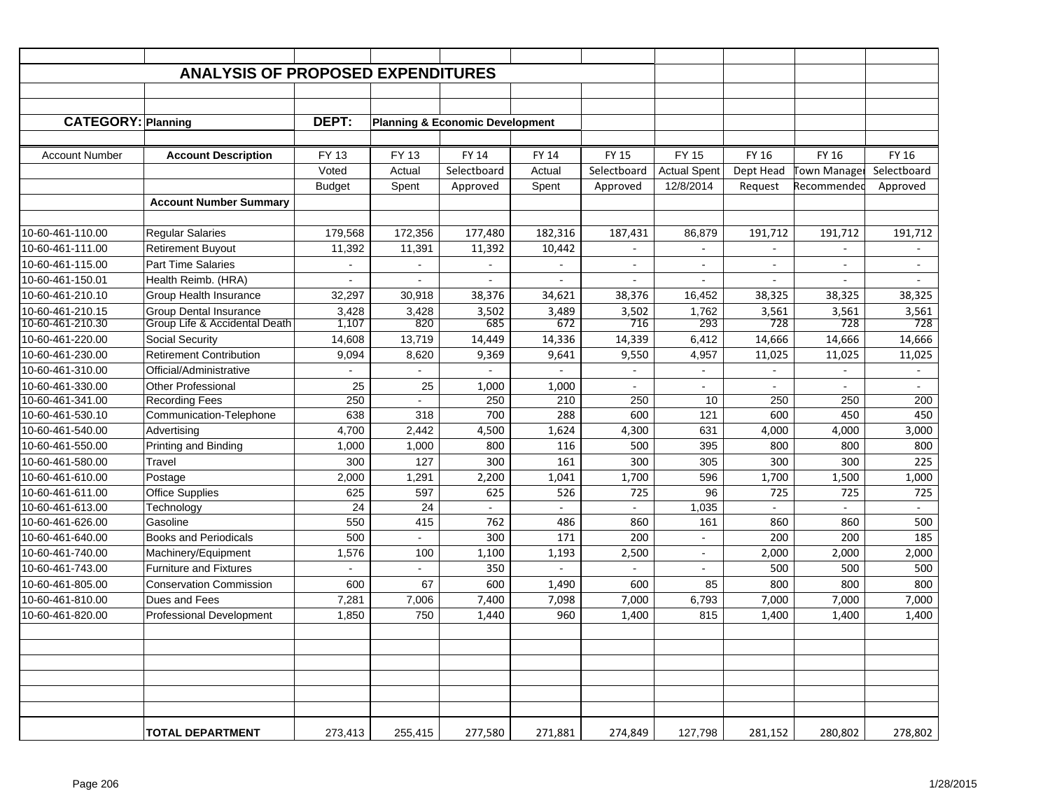|                           | <b>ANALYSIS OF PROPOSED EXPENDITURES</b> |               |              |                                            |                          |                          |                     |                          |                     |              |
|---------------------------|------------------------------------------|---------------|--------------|--------------------------------------------|--------------------------|--------------------------|---------------------|--------------------------|---------------------|--------------|
|                           |                                          |               |              |                                            |                          |                          |                     |                          |                     |              |
|                           |                                          |               |              |                                            |                          |                          |                     |                          |                     |              |
| <b>CATEGORY: Planning</b> |                                          | DEPT:         |              | <b>Planning &amp; Economic Development</b> |                          |                          |                     |                          |                     |              |
|                           |                                          |               |              |                                            |                          |                          |                     |                          |                     |              |
| <b>Account Number</b>     | <b>Account Description</b>               | FY 13         | <b>FY 13</b> | <b>FY 14</b>                               | <b>FY 14</b>             | <b>FY 15</b>             | <b>FY 15</b>        | <b>FY 16</b>             | FY 16               | <b>FY 16</b> |
|                           |                                          | Voted         | Actual       | Selectboard                                | Actual                   | Selectboard              | <b>Actual Spent</b> | Dept Head                | <b>Town Manager</b> | Selectboard  |
|                           |                                          | <b>Budget</b> | Spent        | Approved                                   | Spent                    | Approved                 | 12/8/2014           | Request                  | Recommendec         | Approved     |
|                           | <b>Account Number Summary</b>            |               |              |                                            |                          |                          |                     |                          |                     |              |
|                           |                                          |               |              |                                            |                          |                          |                     |                          |                     |              |
| 10-60-461-110.00          | <b>Regular Salaries</b>                  | 179,568       | 172.356      | 177,480                                    | 182.316                  | 187,431                  | 86,879              | 191,712                  | 191,712             | 191,712      |
| 10-60-461-111.00          | <b>Retirement Buyout</b>                 | 11,392        | 11,391       | 11,392                                     | 10,442                   | $\overline{\phantom{a}}$ |                     | $\sim$                   | $\sim$              |              |
| 10-60-461-115.00          | <b>Part Time Salaries</b>                |               |              |                                            | $\overline{\phantom{a}}$ | $\overline{\phantom{a}}$ | $\blacksquare$      | $\overline{\phantom{a}}$ | $\sim$              | $\sim$       |
| 10-60-461-150.01          | Health Reimb. (HRA)                      | $\sim$        |              | $\sim$                                     | ٠                        | $\sim$                   |                     | $\overline{\phantom{a}}$ | $\sim$              |              |
| 10-60-461-210.10          | Group Health Insurance                   | 32,297        | 30,918       | 38,376                                     | 34,621                   | 38,376                   | 16,452              | 38,325                   | 38,325              | 38,325       |
| 10-60-461-210.15          | <b>Group Dental Insurance</b>            | 3,428         | 3,428        | 3,502                                      | 3,489                    | 3,502                    | 1,762               | 3,561                    | 3,561               | 3,561        |
| 10-60-461-210.30          | Group Life & Accidental Death            | 1,107         | 820          | 685                                        | 672                      | 716                      | 293                 | 728                      | 728                 | 728          |
| 10-60-461-220.00          | Social Security                          | 14,608        | 13,719       | 14,449                                     | 14,336                   | 14,339                   | 6,412               | 14,666                   | 14,666              | 14,666       |
| 10-60-461-230.00          | <b>Retirement Contribution</b>           | 9,094         | 8,620        | 9,369                                      | 9,641                    | 9,550                    | 4,957               | 11,025                   | 11,025              | 11,025       |
| 10-60-461-310.00          | Official/Administrative                  |               |              |                                            |                          |                          |                     |                          |                     |              |
| 10-60-461-330.00          | <b>Other Professional</b>                | 25            | 25           | 1,000                                      | 1,000                    |                          |                     |                          |                     |              |
| 10-60-461-341.00          | <b>Recording Fees</b>                    | 250           | $\mathbf{r}$ | 250                                        | 210                      | 250                      | 10                  | 250                      | 250                 | 200          |
| 10-60-461-530.10          | Communication-Telephone                  | 638           | 318          | 700                                        | 288                      | 600                      | 121                 | 600                      | 450                 | 450          |
| 10-60-461-540.00          | Advertising                              | 4,700         | 2,442        | 4,500                                      | 1,624                    | 4,300                    | 631                 | 4,000                    | 4,000               | 3,000        |
| 10-60-461-550.00          | Printing and Binding                     | 1,000         | 1,000        | 800                                        | 116                      | 500                      | 395                 | 800                      | 800                 | 800          |
| 10-60-461-580.00          | Travel                                   | 300           | 127          | 300                                        | 161                      | 300                      | 305                 | 300                      | 300                 | 225          |
| 10-60-461-610.00          | Postage                                  | 2,000         | 1,291        | 2,200                                      | 1,041                    | 1,700                    | 596                 | 1,700                    | 1,500               | 1,000        |
| 10-60-461-611.00          | <b>Office Supplies</b>                   | 625           | 597          | 625                                        | 526                      | 725                      | 96                  | 725                      | 725                 | 725          |
| 10-60-461-613.00          | Technology                               | 24            | 24           |                                            | $\sim$                   | $\sim$                   | 1,035               | $\sim$                   | $\sim$              | $\sim$       |
| 10-60-461-626.00          | Gasoline                                 | 550           | 415          | 762                                        | 486                      | 860                      | 161                 | 860                      | 860                 | 500          |
| 10-60-461-640.00          | <b>Books and Periodicals</b>             | 500           |              | 300                                        | 171                      | 200                      |                     | 200                      | 200                 | 185          |
| 10-60-461-740.00          | Machinery/Equipment                      | 1,576         | 100          | 1,100                                      | 1,193                    | 2,500                    |                     | 2,000                    | 2,000               | 2,000        |
| 10-60-461-743.00          | Furniture and Fixtures                   |               |              | 350                                        |                          |                          |                     | 500                      | 500                 | 500          |
| 10-60-461-805.00          | <b>Conservation Commission</b>           | 600           | 67           | 600                                        | 1,490                    | 600                      | 85                  | 800                      | 800                 | 800          |
| 10-60-461-810.00          | Dues and Fees                            | 7,281         | 7,006        | 7,400                                      | 7,098                    | 7,000                    | 6,793               | 7,000                    | 7,000               | 7,000        |
| 10-60-461-820.00          | Professional Development                 | 1,850         | 750          | 1,440                                      | 960                      | 1,400                    | 815                 | 1,400                    | 1,400               | 1,400        |
|                           |                                          |               |              |                                            |                          |                          |                     |                          |                     |              |
|                           |                                          |               |              |                                            |                          |                          |                     |                          |                     |              |
|                           |                                          |               |              |                                            |                          |                          |                     |                          |                     |              |
|                           |                                          |               |              |                                            |                          |                          |                     |                          |                     |              |
|                           |                                          |               |              |                                            |                          |                          |                     |                          |                     |              |
|                           |                                          |               |              |                                            |                          |                          |                     |                          |                     |              |
|                           | <b>TOTAL DEPARTMENT</b>                  | 273,413       | 255,415      | 277,580                                    | 271,881                  | 274,849                  | 127,798             | 281,152                  | 280,802             | 278,802      |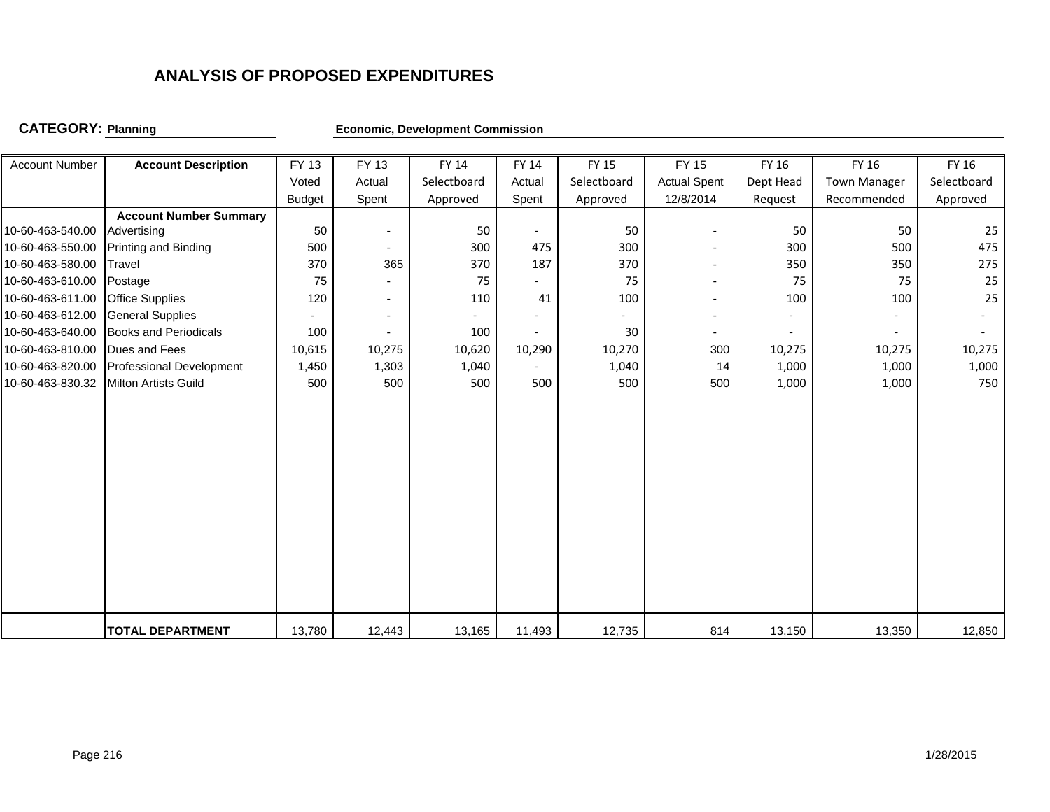## **CATEGORY:**

**Economic, Development Commission** 

| <b>Account Number</b> | <b>Account Description</b>    | FY 13         | <b>FY 13</b>             | FY 14       | <b>FY 14</b>             | <b>FY 15</b> | FY 15                    | FY 16     | FY 16               | FY 16       |
|-----------------------|-------------------------------|---------------|--------------------------|-------------|--------------------------|--------------|--------------------------|-----------|---------------------|-------------|
|                       |                               | Voted         | Actual                   | Selectboard | Actual                   | Selectboard  | <b>Actual Spent</b>      | Dept Head | <b>Town Manager</b> | Selectboard |
|                       |                               | <b>Budget</b> | Spent                    | Approved    | Spent                    | Approved     | 12/8/2014                | Request   | Recommended         | Approved    |
|                       | <b>Account Number Summary</b> |               |                          |             |                          |              |                          |           |                     |             |
| 10-60-463-540.00      | Advertising                   | 50            | $\overline{\phantom{a}}$ | 50          | $\overline{\phantom{a}}$ | 50           |                          | 50        | 50                  | 25          |
| 10-60-463-550.00      | <b>Printing and Binding</b>   | 500           | $\blacksquare$           | 300         | 475                      | 300          |                          | 300       | 500                 | 475         |
| 10-60-463-580.00      | Travel                        | 370           | 365                      | 370         | 187                      | 370          | $\overline{\phantom{a}}$ | 350       | 350                 | 275         |
| 10-60-463-610.00      | Postage                       | 75            |                          | 75          |                          | 75           |                          | 75        | 75                  | 25          |
| 10-60-463-611.00      | <b>Office Supplies</b>        | 120           | $\overline{\phantom{a}}$ | 110         | 41                       | 100          |                          | 100       | 100                 | 25          |
| 10-60-463-612.00      | <b>General Supplies</b>       |               | $\overline{\phantom{a}}$ |             |                          |              |                          |           |                     |             |
| 10-60-463-640.00      | <b>Books and Periodicals</b>  | 100           |                          | 100         |                          | 30           |                          |           |                     |             |
| 10-60-463-810.00      | Dues and Fees                 | 10,615        | 10,275                   | 10,620      | 10,290                   | 10,270       | 300                      | 10,275    | 10,275              | 10,275      |
| 10-60-463-820.00      | Professional Development      | 1,450         | 1,303                    | 1,040       |                          | 1,040        | 14                       | 1,000     | 1,000               | 1,000       |
| 10-60-463-830.32      | <b>Milton Artists Guild</b>   | 500           | 500                      | 500         | 500                      | 500          | 500                      | 1,000     | 1,000               | 750         |
|                       |                               |               |                          |             |                          |              |                          |           |                     |             |
|                       |                               |               |                          |             |                          |              |                          |           |                     |             |
|                       |                               |               |                          |             |                          |              |                          |           |                     |             |
|                       |                               |               |                          |             |                          |              |                          |           |                     |             |
|                       |                               |               |                          |             |                          |              |                          |           |                     |             |
|                       |                               |               |                          |             |                          |              |                          |           |                     |             |
|                       |                               |               |                          |             |                          |              |                          |           |                     |             |
|                       |                               |               |                          |             |                          |              |                          |           |                     |             |
|                       |                               |               |                          |             |                          |              |                          |           |                     |             |
|                       |                               |               |                          |             |                          |              |                          |           |                     |             |
|                       |                               |               |                          |             |                          |              |                          |           |                     |             |
|                       |                               |               |                          |             |                          |              |                          |           |                     |             |
|                       |                               |               |                          |             |                          |              |                          |           |                     |             |
|                       | <b>TOTAL DEPARTMENT</b>       | 13,780        | 12,443                   | 13,165      | 11,493                   | 12,735       | 814                      | 13,150    | 13,350              | 12,850      |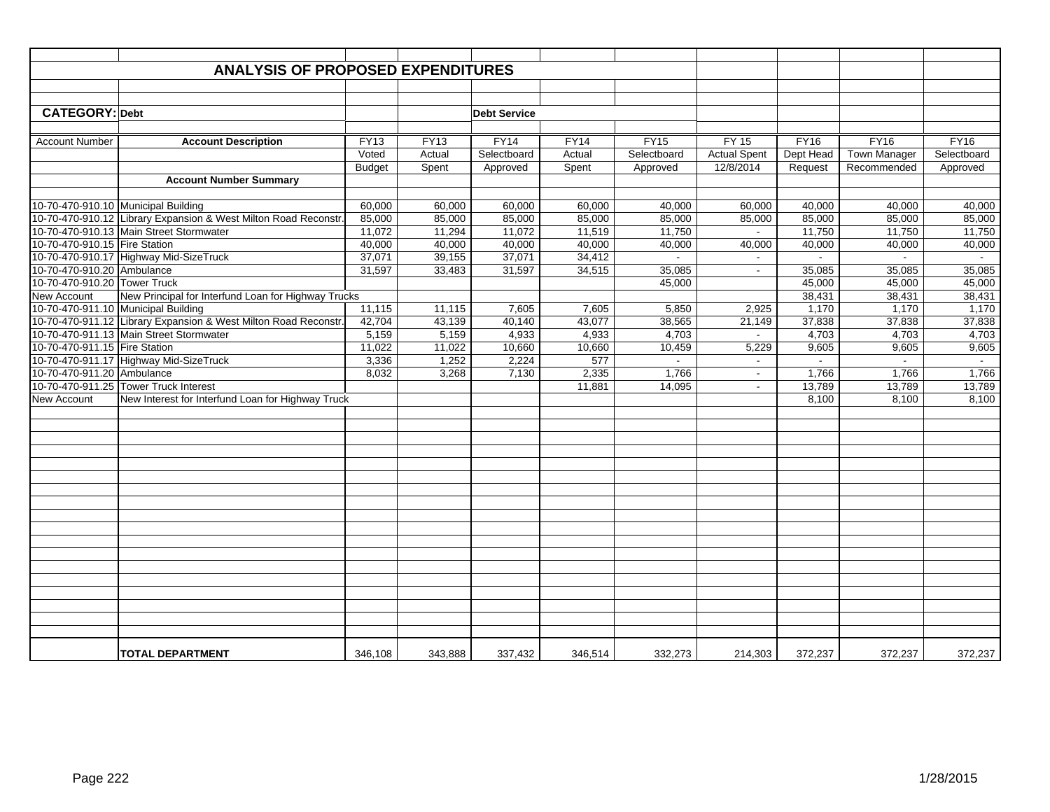|                                                            | <b>ANALYSIS OF PROPOSED EXPENDITURES</b>                       |               |             |                     |         |             |                             |                  |                     |                  |
|------------------------------------------------------------|----------------------------------------------------------------|---------------|-------------|---------------------|---------|-------------|-----------------------------|------------------|---------------------|------------------|
|                                                            |                                                                |               |             |                     |         |             |                             |                  |                     |                  |
|                                                            |                                                                |               |             |                     |         |             |                             |                  |                     |                  |
| <b>CATEGORY: Debt</b>                                      |                                                                |               |             | <b>Debt Service</b> |         |             |                             |                  |                     |                  |
|                                                            |                                                                |               |             |                     |         |             |                             |                  |                     |                  |
| <b>Account Number</b>                                      | <b>Account Description</b>                                     | <b>FY13</b>   | <b>FY13</b> | FY14                | FY14    | FY15        | $FY$ 15                     | <b>FY16</b>      | FY16                | FY16             |
|                                                            |                                                                | Voted         | Actual      | Selectboard         | Actual  | Selectboard | <b>Actual Spent</b>         | Dept Head        | <b>Town Manager</b> | Selectboard      |
|                                                            |                                                                | <b>Budget</b> | Spent       | Approved            | Spent   | Approved    | 12/8/2014                   | Request          | Recommended         | Approved         |
|                                                            | <b>Account Number Summary</b>                                  |               |             |                     |         |             |                             |                  |                     |                  |
|                                                            |                                                                |               |             |                     |         |             |                             |                  |                     |                  |
| 10-70-470-910.10 Municipal Building                        |                                                                | 60,000        | 60,000      | 60,000              | 60,000  | 40,000      | 60,000                      | 40,000           | 40,000              | 40,000           |
|                                                            | 10-70-470-910.12 Library Expansion & West Milton Road Reconstr | 85,000        | 85,000      | 85,000              | 85,000  | 85,000      | 85,000                      | 85,000           | 85,000              | 85,000           |
|                                                            | 10-70-470-910.13 Main Street Stormwater                        | 11,072        | 11,294      | 11,072              | 11,519  | 11,750      | $\blacksquare$              | 11,750           | 11,750              | 11,750           |
| 10-70-470-910.15 Fire Station                              |                                                                | 40,000        | 40,000      | 40,000              | 40,000  | 40,000      | 40,000                      | 40,000           | 40,000              | 40,000           |
|                                                            | 10-70-470-910.17 Highway Mid-SizeTruck                         | 37,071        | 39,155      | 37,071              | 34,412  | $\sim$      | $\mathcal{L}_{\mathcal{A}}$ | $\sim$           | $\blacksquare$      | $\sim$           |
| 10-70-470-910.20 Ambulance<br>10-70-470-910.20 Tower Truck |                                                                | 31,597        | 33,483      | 31,597              | 34,515  | 35,085      | $\mathcal{L}_{\mathcal{A}}$ | 35,085           | 35,085              | 35,085           |
| New Account                                                | New Principal for Interfund Loan for Highway Trucks            |               |             |                     |         | 45,000      |                             | 45,000<br>38,431 | 45,000<br>38,431    | 45,000<br>38,431 |
|                                                            | 10-70-470-911.10 Municipal Building                            | 11,115        | 11,115      | 7,605               | 7,605   | 5,850       | 2,925                       | 1,170            | 1,170               | 1,170            |
|                                                            | 10-70-470-911.12 Library Expansion & West Milton Road Reconstr | 42,704        | 43,139      | 40,140              | 43,077  | 38,565      | 21,149                      | 37.838           | 37,838              | 37,838           |
|                                                            | 10-70-470-911.13 Main Street Stormwater                        | 5,159         | 5,159       | 4,933               | 4,933   | 4,703       | $\sim$                      | 4,703            | 4,703               | 4,703            |
| 10-70-470-911.15 Fire Station                              |                                                                | 11,022        | 11,022      | 10,660              | 10,660  | 10,459      | 5,229                       | 9,605            | 9,605               | 9,605            |
|                                                            | 10-70-470-911.17 Highway Mid-SizeTruck                         | 3,336         | 1,252       | 2,224               | 577     | $\sim$      | $\sim$                      | $\sim$           | $\blacksquare$      | $\sim$           |
| 10-70-470-911.20 Ambulance                                 |                                                                | 8,032         | 3,268       | 7,130               | 2,335   | 1.766       | $\blacksquare$              | 1,766            | 1.766               | 1,766            |
|                                                            | 10-70-470-911.25 Tower Truck Interest                          |               |             |                     | 11,881  | 14,095      | $\blacksquare$              | 13,789           | 13,789              | 13,789           |
| <b>New Account</b>                                         | New Interest for Interfund Loan for Highway Truck              |               |             |                     |         |             |                             | 8,100            | 8,100               | 8,100            |
|                                                            |                                                                |               |             |                     |         |             |                             |                  |                     |                  |
|                                                            |                                                                |               |             |                     |         |             |                             |                  |                     |                  |
|                                                            |                                                                |               |             |                     |         |             |                             |                  |                     |                  |
|                                                            |                                                                |               |             |                     |         |             |                             |                  |                     |                  |
|                                                            |                                                                |               |             |                     |         |             |                             |                  |                     |                  |
|                                                            |                                                                |               |             |                     |         |             |                             |                  |                     |                  |
|                                                            |                                                                |               |             |                     |         |             |                             |                  |                     |                  |
|                                                            |                                                                |               |             |                     |         |             |                             |                  |                     |                  |
|                                                            |                                                                |               |             |                     |         |             |                             |                  |                     |                  |
|                                                            |                                                                |               |             |                     |         |             |                             |                  |                     |                  |
|                                                            |                                                                |               |             |                     |         |             |                             |                  |                     |                  |
|                                                            |                                                                |               |             |                     |         |             |                             |                  |                     |                  |
|                                                            |                                                                |               |             |                     |         |             |                             |                  |                     |                  |
|                                                            |                                                                |               |             |                     |         |             |                             |                  |                     |                  |
|                                                            |                                                                |               |             |                     |         |             |                             |                  |                     |                  |
|                                                            |                                                                |               |             |                     |         |             |                             |                  |                     |                  |
|                                                            |                                                                |               |             |                     |         |             |                             |                  |                     |                  |
|                                                            |                                                                |               |             |                     |         |             |                             |                  |                     |                  |
|                                                            | <b>TOTAL DEPARTMENT</b>                                        | 346,108       | 343.888     | 337,432             | 346,514 | 332,273     | 214.303                     | 372,237          | 372.237             | 372,237          |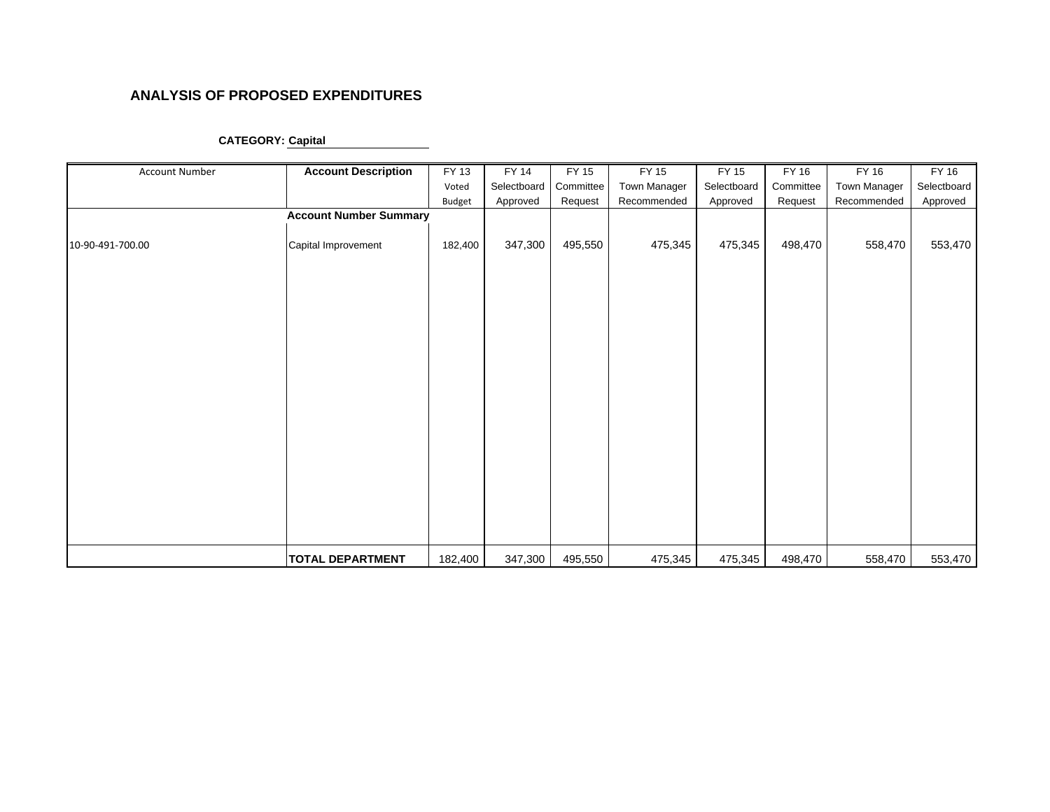| Account Number   | <b>Account Description</b>    | FY 13   | FY 14       | FY 15     | FY 15        | FY 15       | FY 16     | FY 16        | <b>FY 16</b> |
|------------------|-------------------------------|---------|-------------|-----------|--------------|-------------|-----------|--------------|--------------|
|                  |                               | Voted   | Selectboard | Committee | Town Manager | Selectboard | Committee | Town Manager | Selectboard  |
|                  |                               | Budget  | Approved    | Request   | Recommended  | Approved    | Request   | Recommended  | Approved     |
|                  | <b>Account Number Summary</b> |         |             |           |              |             |           |              |              |
| 10-90-491-700.00 | Capital Improvement           | 182,400 | 347,300     | 495,550   | 475,345      | 475,345     | 498,470   | 558,470      | 553,470      |
|                  |                               |         |             |           |              |             |           |              |              |
|                  | <b>TOTAL DEPARTMENT</b>       | 182,400 | 347,300     | 495,550   | 475,345      | 475,345     | 498,470   | 558,470      | 553,470      |

### **CATEGORY: Capital**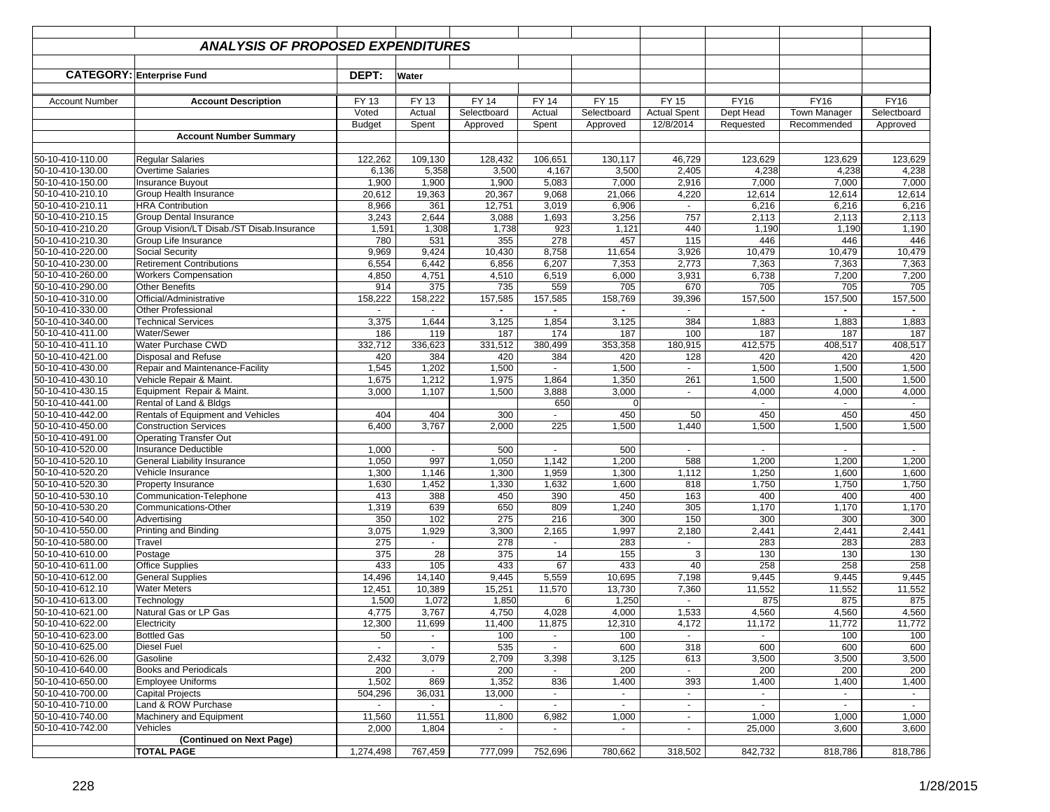|                                      | <b>ANALYSIS OF PROPOSED EXPENDITURES</b>  |               |                |                |                |                |                     |                |                     |              |
|--------------------------------------|-------------------------------------------|---------------|----------------|----------------|----------------|----------------|---------------------|----------------|---------------------|--------------|
|                                      |                                           |               |                |                |                |                |                     |                |                     |              |
|                                      | <b>CATEGORY: Enterprise Fund</b>          | DEPT:         | Water          |                |                |                |                     |                |                     |              |
| <b>Account Number</b>                | <b>Account Description</b>                | FY 13         | FY 13          | <b>FY 14</b>   | <b>FY 14</b>   | FY 15          | FY 15               | <b>FY16</b>    | FY16                | <b>FY16</b>  |
|                                      |                                           | Voted         | Actual         | Selectboard    | Actual         | Selectboard    | <b>Actual Spent</b> | Dept Head      | <b>Town Manager</b> | Selectboard  |
|                                      |                                           | <b>Budget</b> | Spent          | Approved       | Spent          | Approved       | 12/8/2014           | Requested      | Recommended         | Approved     |
|                                      | <b>Account Number Summary</b>             |               |                |                |                |                |                     |                |                     |              |
| 50-10-410-110.00                     | <b>Reqular Salaries</b>                   | 122,262       | 109,130        | 128,432        | 106,651        | 130,117        | 46,729              | 123,629        | 123,629             | 123,629      |
| 50-10-410-130.00                     | Overtime Salaries                         | 6,136         | 5,358          | 3,500          | 4,167          | 3,500          | 2,405               | 4,238          | 4,238               | 4,238        |
| 50-10-410-150.00                     | <b>Insurance Buyout</b>                   | 1,900         | 1,900          | 1,900          | 5,083          | 7,000          | 2,916               | 7,000          | 7,000               | 7,000        |
| 50-10-410-210.10                     | Group Health Insurance                    | 20,612        | 19,363         | 20,367         | 9,068          | 21,066         | 4,220               | 12,614         | 12,614              | 12,614       |
| 50-10-410-210.11                     | <b>HRA Contribution</b>                   | 8,966         | 361            | 12,751         | 3,019          | 6,906          | $\sim$              | 6,216          | 6,216               | 6,216        |
| 50-10-410-210.15                     | Group Dental Insurance                    | 3,243         | 2,644          | 3,088          | 1,693          | 3,256          | 757                 | 2,113          | 2,113               | 2,113        |
| 50-10-410-210.20                     | Group Vision/LT Disab./ST Disab.Insurance | 1,591         | 1,308          | 1,738          | 923            | 1,121          | 440                 | 1,190          | 1,190               | 1,190        |
| 50-10-410-210.30                     | Group Life Insurance                      | 780           | 531            | 355            | 278            | 457            | 115                 | 446            | 446                 | 446          |
| 50-10-410-220.00                     | <b>Social Security</b>                    | 9,969         | 9,424          | 10,430         | 8,758          | 11,654         | 3,926               | 10,479         | 10,479              | 10,479       |
| 50-10-410-230.00                     | <b>Retirement Contributions</b>           | 6,554         | 6,442          | 6,856          | 6,207          | 7,353          | 2,773               | 7,363          | 7,363               | 7,363        |
| 50-10-410-260.00                     | <b>Workers Compensation</b>               | 4,850         | 4,751          | 4,510          | 6,519          | 6,000          | 3,931               | 6,738          | 7,200               | 7,200        |
| 50-10-410-290.00                     | <b>Other Benefits</b>                     | 914           | 375            | 735            | 559            | 705            | 670                 | 705            | 705                 | 705          |
| 50-10-410-310.00                     | Official/Administrative                   | 158,222       | 158,222        | 157,585        | 157,585        | 158,769        | 39,396              | 157,500        | 157,500             | 157,500      |
| 50-10-410-330.00                     | <b>Other Professional</b>                 |               | $\sim$         | $\blacksquare$ | $\blacksquare$ | $\blacksquare$ |                     | $\blacksquare$ | $\blacksquare$      | $\sim$       |
| 50-10-410-340.00                     | <b>Technical Services</b>                 | 3,375         | 1,644          | 3,125          | 1,854          | 3,125          | 384                 | 1,883          | 1,883               | 1,883        |
| 50-10-410-411.00                     | Water/Sewer                               | 186           | 119            | 187            | 174            | 187            | 100                 | 187            | 187                 | 187          |
| 50-10-410-411.10                     | Water Purchase CWD                        | 332,712       | 336,623        | 331,512        | 380,499        | 353,358        | 180,915             | 412,575        | 408,517             | 408,517      |
| 50-10-410-421.00                     | Disposal and Refuse                       | 420           | 384            | 420            | 384            | 420            | 128                 | 420            | 420                 | 420          |
| 50-10-410-430.00                     | Repair and Maintenance-Facility           | 1,545         | 1,202          | 1,500          | ٠              | 1,500          | $\blacksquare$      | 1,500          | 1,500               | 1,500        |
| 50-10-410-430.10                     | Vehicle Repair & Maint.                   | 1,675         | 1,212          | 1,975          | 1,864          | 1,350          | 261                 | 1,500          | 1,500               | 1,500        |
| 50-10-410-430.15                     | Equipment Repair & Maint.                 | 3,000         | 1,107          | 1,500          | 3,888          | 3,000          | $\blacksquare$      | 4,000          | 4,000               | 4,000        |
| 50-10-410-441.00                     | Rental of Land & Bldgs                    |               |                |                | 650            |                |                     |                |                     | $\sim$       |
| 50-10-410-442.00                     | Rentals of Equipment and Vehicles         | 404           | 404            | 300            |                | 450            | 50                  | 450            | 450                 | 450          |
| 50-10-410-450.00                     | <b>Construction Services</b>              | 6,400         | 3,767          | 2,000          | 225            | 1,500          | 1,440               | 1,500          | 1,500               | 1,500        |
| 50-10-410-491.00                     | <b>Operating Transfer Out</b>             |               |                |                |                |                |                     |                |                     |              |
| 50-10-410-520.00                     | Insurance Deductible                      | 1,000         | $\sim$         | 500            | $\sim$         | 500            | $\mathbf{r}$        | $\sim$         | $\blacksquare$      | $\sim$       |
| 50-10-410-520.10                     | <b>General Liability Insurance</b>        | 1,050         | 997            | 1,050          | 1,142          | 1,200          | 588                 | 1,200          | 1,200               | 1,200        |
| 50-10-410-520.20                     | Vehicle Insurance                         | 1,300         | 1,146          | 1,300          | 1,959          | 1,300          | 1,112               | 1,250          | 1,600               | 1,600        |
| 50-10-410-520.30                     | Property Insurance                        | 1,630         | 1,452<br>388   | 1,330          | 1,632          | 1,600          | 818                 | 1,750          | 1,750               | 1,750        |
| 50-10-410-530.10                     | Communication-Telephone                   | 413           | 639            | 450            | 390<br>809     | 450            | 163<br>305          | 400            | 400                 | 400          |
| 50-10-410-530.20<br>50-10-410-540.00 | Communications-Other                      | 1,319<br>350  | 102            | 650<br>275     | 216            | 1,240<br>300   | 150                 | 1,170<br>300   | 1,170<br>300        | 1,170<br>300 |
| 50-10-410-550.00                     | Advertising                               |               |                |                |                |                |                     |                |                     |              |
| 50-10-410-580.00                     | Printing and Binding                      | 3,075<br>275  | 1,929          | 3,300<br>278   | 2,165<br>ä,    | 1,997          | 2,180               | 2,441<br>283   | 2,441<br>283        | 2,441<br>283 |
| 50-10-410-610.00                     | Travel<br>Postage                         | 375           | 28             | 375            | 14             | 283<br>155     | 3                   | 130            | 130                 | 130          |
| 50-10-410-611.00                     | <b>Office Supplies</b>                    | 433           | 105            | 433            | 67             | 433            | 40                  | 258            | 258                 | 258          |
| 50-10-410-612.00                     | <b>General Supplies</b>                   | 14,496        | 14,140         | 9,445          | 5,559          | 10,695         | 7,198               | 9,445          | 9,445               | 9,445        |
| 50-10-410-612.10                     | Water Meters                              | 12,451        | 10,389         | 15,251         | 11,570         | 13,730         | 7,360               | 11,552         | 11,552              | 11,552       |
| 50-10-410-613.00                     | Technoloav                                | 1,500         | 1,072          | 1,850          | 6              | 1,250          | $\mathbf{r}$        | 875            | 875                 | 875          |
| 50-10-410-621.00                     | Natural Gas or LP Gas                     | 4,775         | 3,767          | 4,750          | 4,028          | 4,000          | 1,533               | 4,560          | 4,560               | 4,560        |
| 50-10-410-622.00                     | Electricity                               | 12,300        | 11,699         | 11,400         | 11,875         | 12,310         | 4,172               | 11,172         | 11,772              | 11,772       |
| 50-10-410-623.00                     | <b>Bottled Gas</b>                        | 50            | $\sim$         | 100            | $\sim$         | 100            | $\sim$              | $\sim$         | 100                 | 100          |
| 50-10-410-625.00                     | <b>Diesel Fuel</b>                        | $\sim$        | $\sim$         | 535            | $\sim$         | 600            | 318                 | 600            | 600                 | 600          |
| 50-10-410-626.00                     | Gasoline                                  | 2,432         | 3,079          | 2,709          | 3,398          | 3,125          | 613                 | 3,500          | 3,500               | 3,500        |
| 50-10-410-640.00                     | Books and Periodicals                     | 200           | $\blacksquare$ | 200            |                | 200            |                     | 200            | 200                 | 200          |
| 50-10-410-650.00                     | <b>Employee Uniforms</b>                  | 1,502         | 869            | 1,352          | 836            | 1,400          | 393                 | 1,400          | 1,400               | 1,400        |
| 50-10-410-700.00                     | Capital Projects                          | 504,296       | 36,031         | 13,000         | $\omega$       | $\blacksquare$ | $\blacksquare$      | $\sim$         | $\Box$              | $\sim$       |
| 50-10-410-710.00                     | Land & ROW Purchase                       |               | $\blacksquare$ | $\omega$       | $\mathbf{r}$   | $\sim$         | $\blacksquare$      | $\mathbf{r}$   | $\mathcal{L}$       | $\sim$       |
| 50-10-410-740.00                     | Machinery and Equipment                   | 11,560        | 11,551         | 11,800         | 6,982          | 1,000          | $\blacksquare$      | 1,000          | 1,000               | 1,000        |
| 50-10-410-742.00                     | Vehicles                                  | 2,000         | 1,804          | $\sim$         | $\sim$         | $\sim$         | $\blacksquare$      | 25,000         | 3,600               | 3,600        |
|                                      | (Continued on Next Page)                  |               |                |                |                |                |                     |                |                     |              |
|                                      | <b>TOTAL PAGE</b>                         | 1,274,498     | 767,459        | 777,099        | 752,696        | 780,662        | 318,502             | 842,732        | 818,786             | 818,786      |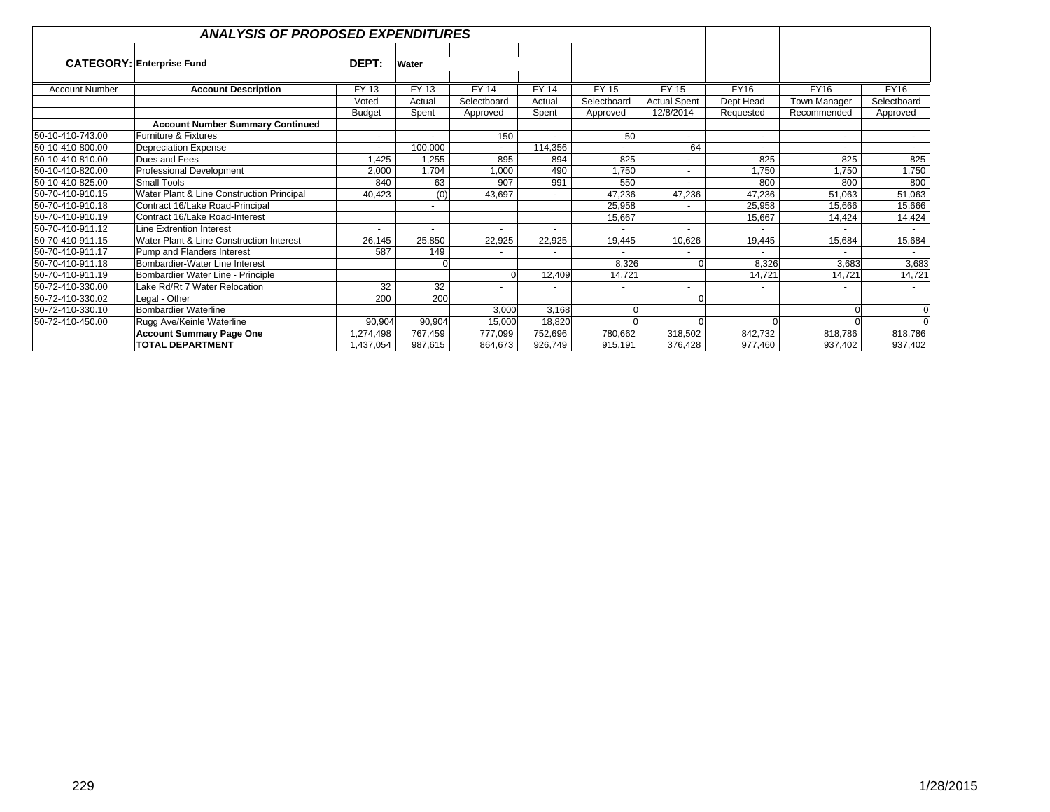|                       | <b>ANALYSIS OF PROPOSED EXPENDITURES</b>                             |               |              |              |              |                          |                     |             |              |             |
|-----------------------|----------------------------------------------------------------------|---------------|--------------|--------------|--------------|--------------------------|---------------------|-------------|--------------|-------------|
|                       |                                                                      | DEPT:         |              |              |              |                          |                     |             |              |             |
|                       | <b>CATEGORY: Enterprise Fund</b>                                     |               | Water        |              |              |                          |                     |             |              |             |
| <b>Account Number</b> | <b>Account Description</b>                                           | FY 13         | <b>FY 13</b> | <b>FY 14</b> | <b>FY 14</b> | FY 15                    | FY 15               | <b>FY16</b> | <b>FY16</b>  | <b>FY16</b> |
|                       |                                                                      | Voted         | Actual       | Selectboard  | Actual       | Selectboard              | <b>Actual Spent</b> | Dept Head   | Town Manager | Selectboard |
|                       |                                                                      | <b>Budget</b> | Spent        | Approved     | Spent        | Approved                 | 12/8/2014           | Requested   | Recommended  | Approved    |
|                       | <b>Account Number Summary Continued</b>                              |               |              |              |              |                          |                     |             |              |             |
| 50-10-410-743.00      | Furniture & Fixtures                                                 | ٠             |              | 150          |              | 50                       | $\blacksquare$      |             |              | $\sim$      |
| 50-10-410-800.00      | <b>Depreciation Expense</b>                                          | ٠             | 100,000      | $\sim$       | 114,356      |                          | 64                  |             |              |             |
| 50-10-410-810.00      | Dues and Fees                                                        | 1,425         | 1,255        | 895          | 894          | 825                      |                     | 825         | 825          | 825         |
| 50-10-410-820.00      | Professional Development                                             | 2,000         | 1,704        | 1,000        | 490          | 1,750                    |                     | 1,750       | 1,750        | 1,750       |
| 50-10-410-825.00      | Small Tools                                                          | 840           | 63           | 907          | 991          | 550                      |                     | 800         | 800          | 800         |
| 50-70-410-910.15      | Water Plant & Line Construction Principal                            | 40,423        | (0)          | 43,697       |              | 47,236                   | 47,236              | 47,236      | 51,063       | 51,063      |
| 50-70-410-910.18      | Contract 16/Lake Road-Principal                                      |               |              |              |              | 25,958                   |                     | 25,958      | 15,666       | 15,666      |
| 50-70-410-910.19      | Contract 16/Lake Road-Interest                                       |               |              |              |              | 15,667                   |                     | 15,667      | 14,424       | 14,424      |
| 50-70-410-911.12      | Line Extrention Interest                                             | ٠             |              | $\sim$       |              |                          |                     |             |              |             |
| 50-70-410-911.15      | Water Plant & Line Construction Interest                             | 26,145        | 25,850       | 22,925       | 22,925       | 19,445                   | 10,626              | 19,445      | 15,684       | 15,684      |
| 50-70-410-911.17      | Pump and Flanders Interest                                           | 587           | 149          |              |              |                          |                     |             |              |             |
| 50-70-410-911.18      | Bombardier-Water Line Interest                                       |               |              |              |              | 8,326                    |                     | 8,326       | 3.683        | 3,683       |
| 50-70-410-911.19      | Bombardier Water Line - Principle                                    |               |              |              | 12,409       | 14,721                   |                     | 14,721      | 14,721       | 14,721      |
| 50-72-410-330.00      | Lake Rd/Rt 7 Water Relocation                                        | 32            | 32           | $\sim$       |              | $\overline{\phantom{a}}$ |                     |             |              | $\sim$      |
| 50-72-410-330.02      | Legal - Other                                                        | 200           | 200          |              |              |                          |                     |             |              |             |
| 50-72-410-330.10      | <b>Bombardier Waterline</b>                                          |               |              | 3,000        | 3,168        |                          |                     |             |              | $\Omega$    |
| 50-72-410-450.00      | Rugg Ave/Keinle Waterline                                            | 90.904        | 90,904       | 15,000       | 18,820       |                          |                     |             |              | $\Omega$    |
|                       | <b>Account Summary Page One</b>                                      | 1,274,498     | 767,459      | 777,099      | 752,696      | 780,662                  | 318,502             | 842,732     | 818,786      | 818,786     |
|                       | <b>TOTAL DEPARTMENT</b><br>987,615<br>926,749<br>,437,054<br>864,673 |               |              |              |              | 915,191                  | 376,428             | 977,460     | 937,402      | 937,402     |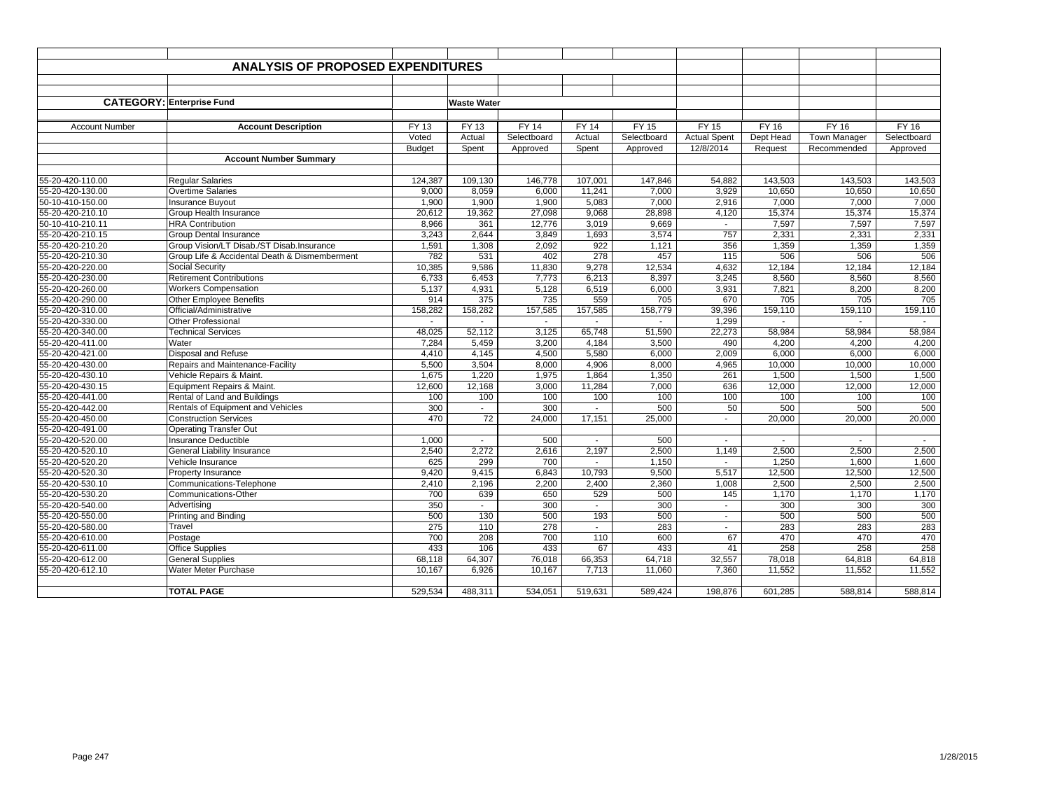|                                      | <b>ANALYSIS OF PROPOSED EXPENDITURES</b>                          |                          |                    |              |              |              |                     |              |                     |             |
|--------------------------------------|-------------------------------------------------------------------|--------------------------|--------------------|--------------|--------------|--------------|---------------------|--------------|---------------------|-------------|
|                                      |                                                                   |                          |                    |              |              |              |                     |              |                     |             |
|                                      |                                                                   |                          |                    |              |              |              |                     |              |                     |             |
|                                      | <b>CATEGORY: Enterprise Fund</b>                                  |                          | <b>Waste Water</b> |              |              |              |                     |              |                     |             |
|                                      |                                                                   |                          |                    |              |              |              |                     |              |                     |             |
| <b>Account Number</b>                | <b>Account Description</b>                                        | FY 13                    | FY 13              | <b>FY 14</b> | <b>FY 14</b> | <b>FY 15</b> | <b>FY 15</b>        | <b>FY 16</b> | FY 16               | FY 16       |
|                                      |                                                                   | Voted                    | Actual             | Selectboard  | Actual       | Selectboard  | <b>Actual Spent</b> | Dept Head    | <b>Town Manager</b> | Selectboard |
|                                      |                                                                   | <b>Budget</b>            | Spent              | Approved     | Spent        | Approved     | 12/8/2014           | Request      | Recommended         | Approved    |
|                                      | <b>Account Number Summary</b>                                     |                          |                    |              |              |              |                     |              |                     |             |
|                                      |                                                                   |                          |                    |              |              |              |                     |              |                     |             |
| 55-20-420-110.00                     | <b>Regular Salaries</b>                                           | 124,387                  | 109,130            | 146.778      | 107,001      | 147,846      | 54.882              | 143.503      | 143.503             | 143,503     |
| 55-20-420-130.00                     | <b>Overtime Salaries</b>                                          | 9,000                    | 8,059              | 6,000        | 11,241       | 7,000        | 3,929               | 10,650       | 10,650              | 10,650      |
| 50-10-410-150.00                     | <b>Insurance Buyout</b>                                           | 1,900                    | 1,900              | 1,900        | 5,083        | 7,000        | 2,916               | 7,000        | 7,000               | 7,000       |
| 55-20-420-210.10                     | Group Health Insurance                                            | 20,612                   | 19,362             | 27,098       | 9,068        | 28,898       | 4,120               | 15,374       | 15,374              | 15,374      |
| 50-10-410-210.11                     | <b>HRA Contribution</b>                                           | 8.966                    | 361                | 12,776       | 3,019        | 9.669        | $\sim$              | 7,597        | 7.597               | 7,597       |
| 55-20-420-210.15                     | Group Dental Insurance                                            | 3,243                    | 2.644              | 3.849        | 1,693        | 3,574        | 757                 | 2,331        | 2.331               | 2,331       |
| 55-20-420-210.20                     | Group Vision/LT Disab./ST Disab.Insurance                         | 1,591                    | 1,308              | 2,092        | 922          | 1,121        | 356                 | 1,359        | 1,359               | 1,359       |
| 55-20-420-210.30                     | Group Life & Accidental Death & Dismemberment                     | 782                      | 531                | 402          | 278          | 457          | 115                 | 506          | 506                 | 506         |
| 55-20-420-220.00                     | Social Security                                                   | 10,385                   | 9.586              | 11,830       | 9,278        | 12,534       | 4,632               | 12,184       | 12,184              | 12,184      |
| 55-20-420-230.00                     | <b>Retirement Contributions</b>                                   | 6,733                    | 6.453              | 7,773        | 6,213        | 8,397        | 3,245               | 8,560        | 8,560               | 8,560       |
| 55-20-420-260.00                     | <b>Workers Compensation</b>                                       | 5,137                    | 4,931              | 5,128        | 6,519        | 6,000        | 3,931               | 7,821        | 8,200               | 8,200       |
| 55-20-420-290.00                     | Other Employee Benefits                                           | 914                      | 375                | 735          | 559          | 705          | 670                 | 705          | 705                 | 705         |
| 55-20-420-310.00                     | Official/Administrative                                           | 158,282                  | 158.282            | 157,585      | 157,585      | 158.779      | 39,396              | 159.110      | 159,110             | 159,110     |
| 55-20-420-330.00                     | <b>Other Professional</b>                                         | $\overline{\phantom{a}}$ | $\sim$             | $\sim$       | $\sim$       | $\sim$       | 1,299               | $\sim$       | $\sim$              | $\sim$      |
| 55-20-420-340.00                     | <b>Technical Services</b>                                         | 48,025                   | 52,112             | 3,125        | 65,748       | 51,590       | 22,273              | 58,984       | 58,984              | 58,984      |
| 55-20-420-411.00                     | Water                                                             | 7,284                    | 5,459              | 3,200        | 4,184        | 3,500        | 490                 | 4,200        | 4,200               | 4,200       |
| 55-20-420-421.00                     | Disposal and Refuse                                               | 4,410                    | 4,145              | 4,500        | 5,580        | 6,000        | 2,009               | 6,000        | 6,000               | 6,000       |
| 55-20-420-430.00                     | Repairs and Maintenance-Facility                                  | 5.500                    | 3.504              | 8,000        | 4,906        | 8,000        | 4,965               | 10.000       | 10,000              | 10,000      |
| 55-20-420-430.10                     | Vehicle Repairs & Maint.                                          | 1,675                    | 1,220              | 1,975        | 1,864        | 1,350        | 261                 | 1,500        | 1,500               | 1,500       |
| 55-20-420-430.15                     | Equipment Repairs & Maint.                                        | 12,600                   | 12,168             | 3,000        | 11,284       | 7,000        | 636                 | 12,000       | 12,000              | 12,000      |
| 55-20-420-441.00                     | Rental of Land and Buildings                                      | 100                      | 100                | 100          | 100          | 100          | 100                 | 100          | 100                 | 100         |
| 55-20-420-442.00                     | Rentals of Equipment and Vehicles                                 | 300                      | $\sim$             | 300          |              | 500          | 50                  | 500          | 500                 | 500         |
| 55-20-420-450.00                     | <b>Construction Services</b>                                      | 470                      | 72                 | 24,000       | 17,151       | 25,000       | $\sim$              | 20,000       | 20,000              | 20,000      |
| 55-20-420-491.00                     | <b>Operating Transfer Out</b>                                     |                          | $\sim$             |              | $\sim$       |              | $\sim$              |              | $\sim$              |             |
| 55-20-420-520.00<br>55-20-420-520.10 | <b>Insurance Deductible</b><br><b>General Liability Insurance</b> | 1,000<br>2,540           | 2.272              | 500<br>2,616 | 2,197        | 500<br>2,500 | 1,149               | 2,500        | 2.500               | 2,500       |
| 55-20-420-520.20                     | Vehicle Insurance                                                 | 625                      | 299                | 700          | $\mathbf{r}$ | 1,150        | $\sim$              | 1.250        | 1,600               | 1,600       |
| 55-20-420-520.30                     | Property Insurance                                                | 9,420                    | 9,415              | 6,843        | 10,793       | 9,500        | 5,517               | 12,500       | 12,500              | 12,500      |
| 55-20-420-530.10                     | Communications-Telephone                                          | 2,410                    | 2.196              | 2,200        | 2,400        | 2,360        | 1,008               | 2,500        | 2,500               | 2,500       |
| 55-20-420-530.20                     | Communications-Other                                              | 700                      | 639                | 650          | 529          | 500          | 145                 | 1,170        | 1,170               | 1,170       |
| 55-20-420-540.00                     | Advertising                                                       | 350                      | $\sim$             | 300          | $\sim$       | 300          | $\sim$              | 300          | 300                 | 300         |
| 55-20-420-550.00                     | Printing and Binding                                              | 500                      | 130                | 500          | 193          | 500          | $\sim$              | 500          | 500                 | 500         |
| 55-20-420-580.00                     | Travel                                                            | 275                      | 110                | 278          | $\sim$       | 283          | $\sim$              | 283          | 283                 | 283         |
| 55-20-420-610.00                     | Postage                                                           | 700                      | 208                | 700          | 110          | 600          | 67                  | 470          | 470                 | 470         |
| 55-20-420-611.00                     | <b>Office Supplies</b>                                            | 433                      | 106                | 433          | 67           | 433          | 41                  | 258          | 258                 | 258         |
| 55-20-420-612.00                     | <b>General Supplies</b>                                           | 68,118                   | 64,307             | 76,018       | 66,353       | 64,718       | 32,557              | 78,018       | 64,818              | 64,818      |
| 55-20-420-612.10                     | Water Meter Purchase                                              | 10,167                   | 6,926              | 10,167       | 7,713        | 11,060       | 7,360               | 11,552       | 11,552              | 11,552      |
|                                      |                                                                   |                          |                    |              |              |              |                     |              |                     |             |
|                                      | <b>TOTAL PAGE</b>                                                 | 529,534                  | 488,311            | 534,051      | 519,631      | 589,424      | 198,876             | 601,285      | 588,814             | 588,814     |
|                                      |                                                                   |                          |                    |              |              |              |                     |              |                     |             |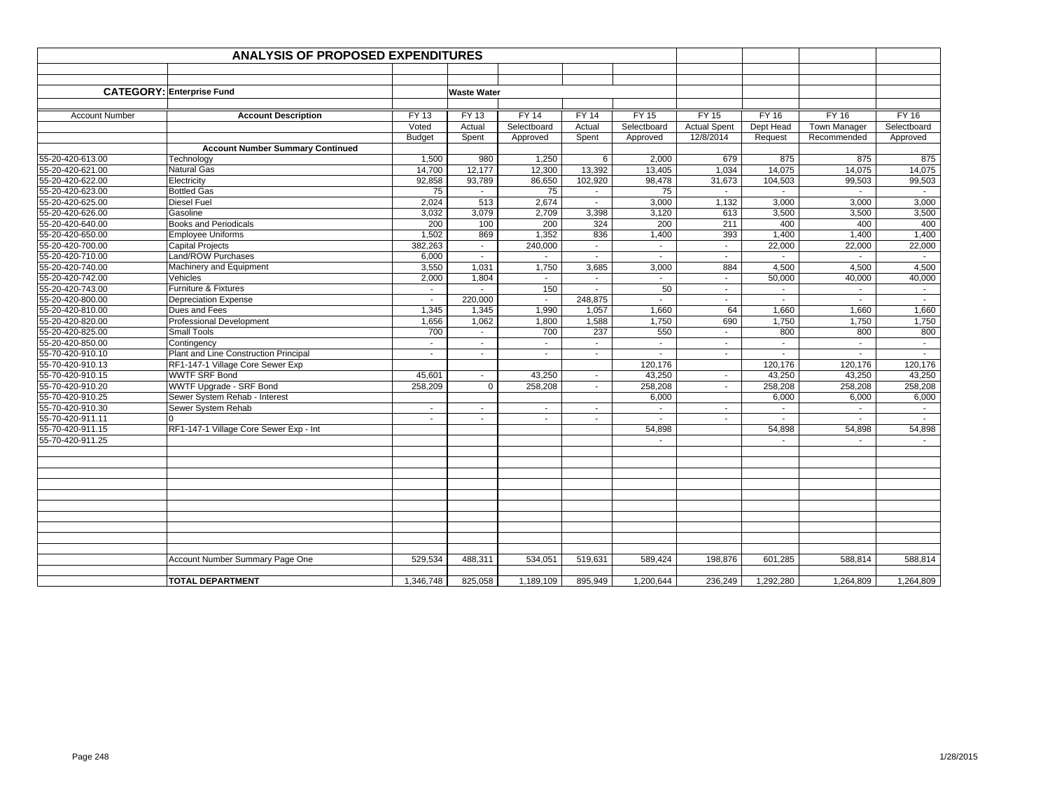|                                      | <b>ANALYSIS OF PROPOSED EXPENDITURES</b>      |                          |                          |                  |                                            |                |                     |                 |                     |                |
|--------------------------------------|-----------------------------------------------|--------------------------|--------------------------|------------------|--------------------------------------------|----------------|---------------------|-----------------|---------------------|----------------|
|                                      |                                               |                          |                          |                  |                                            |                |                     |                 |                     |                |
|                                      |                                               |                          |                          |                  |                                            |                |                     |                 |                     |                |
|                                      | <b>CATEGORY: Enterprise Fund</b>              |                          | <b>Waste Water</b>       |                  |                                            |                |                     |                 |                     |                |
|                                      |                                               |                          |                          |                  |                                            |                |                     |                 |                     |                |
| <b>Account Number</b>                | <b>Account Description</b>                    | <b>FY 13</b>             | <b>FY 13</b>             | <b>FY 14</b>     | <b>FY 14</b>                               | <b>FY 15</b>   | <b>FY 15</b>        | <b>FY 16</b>    | <b>FY 16</b>        | <b>FY 16</b>   |
|                                      |                                               | Voted                    | Actual                   | Selectboard      | Actual                                     | Selectboard    | <b>Actual Spent</b> | Dept Head       | <b>Town Manager</b> | Selectboard    |
|                                      |                                               | <b>Budget</b>            | Spent                    | Approved         | Spent                                      | Approved       | 12/8/2014           | Request         | Recommended         | Approved       |
|                                      | <b>Account Number Summary Continued</b>       |                          |                          |                  |                                            |                |                     |                 |                     |                |
| 55-20-420-613.00                     | Technology                                    | 1,500                    | 980                      | 1,250            | 6                                          | 2,000          | 679                 | 875             | 875                 | 875            |
| 55-20-420-621.00                     | <b>Natural Gas</b>                            | 14,700                   | 12,177                   | 12,300           | 13,392                                     | 13,405         | 1,034               | 14,075          | 14,075              | 14,075         |
| 55-20-420-622.00                     | Electricity                                   | 92,858                   | 93,789                   | 86,650           | 102,920                                    | 98,478         | 31,673              | 104,503         | 99,503              | 99,503         |
| 55-20-420-623.00                     | <b>Bottled Gas</b>                            | 75                       |                          | 75               |                                            | 75             |                     |                 |                     |                |
| 55-20-420-625.00                     | <b>Diesel Fuel</b>                            | 2,024                    | 513                      | 2,674            | $\blacksquare$                             | 3,000          | 1,132               | 3,000           | 3,000               | 3,000          |
| 55-20-420-626.00                     | Gasoline                                      | 3,032                    | 3,079                    | 2,709            | 3,398                                      | 3,120          | 613                 | 3,500           | 3,500               | 3,500          |
| 55-20-420-640.00                     | <b>Books and Periodicals</b>                  | 200                      | 100                      | 200              | 324                                        | 200            | 211                 | 400             | 400                 | 400            |
| 55-20-420-650.00<br>55-20-420-700.00 | <b>Employee Uniforms</b>                      | 1,502<br>382,263         | 869                      | 1,352<br>240,000 | 836                                        | 1,400          | 393                 | 1,400<br>22,000 | 1,400<br>22,000     | 1,400          |
| 55-20-420-710.00                     | <b>Capital Projects</b><br>Land/ROW Purchases | 6,000                    | $\overline{\phantom{a}}$ |                  | $\overline{\phantom{a}}$<br>$\overline{a}$ | $\blacksquare$ | $\sim$              |                 |                     | 22,000         |
| 55-20-420-740.00                     | Machinery and Equipment                       | 3,550                    | 1,031                    | 1,750            | 3,685                                      | 3,000          | 884                 | 4,500           | 4,500               | 4,500          |
| 55-20-420-742.00                     | Vehicles                                      | 2,000                    | 1,804                    | $\blacksquare$   |                                            |                | $\sim$              | 50,000          | 40,000              | 40,000         |
| 55-20-420-743.00                     | Furniture & Fixtures                          | $\sim$                   |                          | 150              |                                            | 50             | $\sim$              | $\sim$          | $\sim$              | $\sim$         |
| 55-20-420-800.00                     | <b>Depreciation Expense</b>                   | $\sim$                   | 220,000                  | $\mathbf{r}$     | 248,875                                    |                | $\sim$              |                 | $\sim$              | $\mathbf{r}$   |
| 55-20-420-810.00                     | Dues and Fees                                 | 1,345                    | 1,345                    | 1,990            | 1,057                                      | 1,660          | 64                  | 1,660           | 1,660               | 1,660          |
| 55-20-420-820.00                     | <b>Professional Development</b>               | 1,656                    | 1,062                    | 1,800            | 1,588                                      | 1,750          | 690                 | 1,750           | 1,750               | 1,750          |
| 55-20-420-825.00                     | <b>Small Tools</b>                            | 700                      | $\blacksquare$           | 700              | 237                                        | 550            | $\sim$              | 800             | 800                 | 800            |
| 55-20-420-850.00                     | Contingency                                   | $\blacksquare$           | $\mathbf{r}$             | $\sim$           | $\sim$                                     |                | $\sim$              |                 | $\sim$              | $\sim$         |
| 55-70-420-910.10                     | Plant and Line Construction Principal         | $\overline{\phantom{a}}$ | $\mathbf{r}$             | $\sim$           | $\sim$                                     | $\blacksquare$ | $\sim$              | $\sim$          | $\sim$              | $\blacksquare$ |
| 55-70-420-910.13                     | RF1-147-1 Village Core Sewer Exp              |                          |                          |                  |                                            | 120,176        |                     | 120,176         | 120,176             | 120,176        |
| 55-70-420-910.15                     | <b>WWTF SRF Bond</b>                          | 45,601                   | $\sim$                   | 43,250           | $\sim$                                     | 43,250         | $\sim$              | 43,250          | 43,250              | 43,250         |
| 55-70-420-910.20                     | <b>WWTF Upgrade - SRF Bond</b>                | 258,209                  | $\Omega$                 | 258,208          | $\sim$                                     | 258,208        | $\sim$              | 258,208         | 258,208             | 258,208        |
| 55-70-420-910.25                     | Sewer System Rehab - Interest                 |                          |                          |                  |                                            | 6,000          |                     | 6,000           | 6,000               | 6,000          |
| 55-70-420-910.30                     | Sewer System Rehab                            | $\blacksquare$           | $\blacksquare$           | $\blacksquare$   | $\overline{\phantom{a}}$                   | $\blacksquare$ | $\sim$              | $\blacksquare$  | $\sim$              | $\sim$         |
| 55-70-420-911.11                     |                                               | $\sim$                   | $\overline{a}$           | $\sim$           | $\sim$                                     | $\sim$         | $\sim$              | $\sim$          | $\sim$              | $\sim$         |
| 55-70-420-911.15                     | RF1-147-1 Village Core Sewer Exp - Int        |                          |                          |                  |                                            | 54,898         |                     | 54,898          | 54,898              | 54,898         |
| 55-70-420-911.25                     |                                               |                          |                          |                  |                                            | $\sim$         |                     | $\sim$          | $\sim$              |                |
|                                      |                                               |                          |                          |                  |                                            |                |                     |                 |                     |                |
|                                      |                                               |                          |                          |                  |                                            |                |                     |                 |                     |                |
|                                      |                                               |                          |                          |                  |                                            |                |                     |                 |                     |                |
|                                      |                                               |                          |                          |                  |                                            |                |                     |                 |                     |                |
|                                      |                                               |                          |                          |                  |                                            |                |                     |                 |                     |                |
|                                      |                                               |                          |                          |                  |                                            |                |                     |                 |                     |                |
|                                      |                                               |                          |                          |                  |                                            |                |                     |                 |                     |                |
|                                      |                                               |                          |                          |                  |                                            |                |                     |                 |                     |                |
|                                      |                                               |                          |                          |                  |                                            |                |                     |                 |                     |                |
|                                      | Account Number Summary Page One               | 529,534                  | 488,311                  | 534,051          | 519,631                                    | 589,424        | 198,876             | 601,285         | 588,814             | 588,814        |
|                                      |                                               |                          |                          |                  |                                            |                |                     |                 |                     |                |
|                                      | <b>TOTAL DEPARTMENT</b>                       | 1,346,748                | 825,058                  | 1,189,109        | 895,949                                    | 1,200,644      | 236,249             | 1,292,280       | 1,264,809           | 1,264,809      |
|                                      |                                               |                          |                          |                  |                                            |                |                     |                 |                     |                |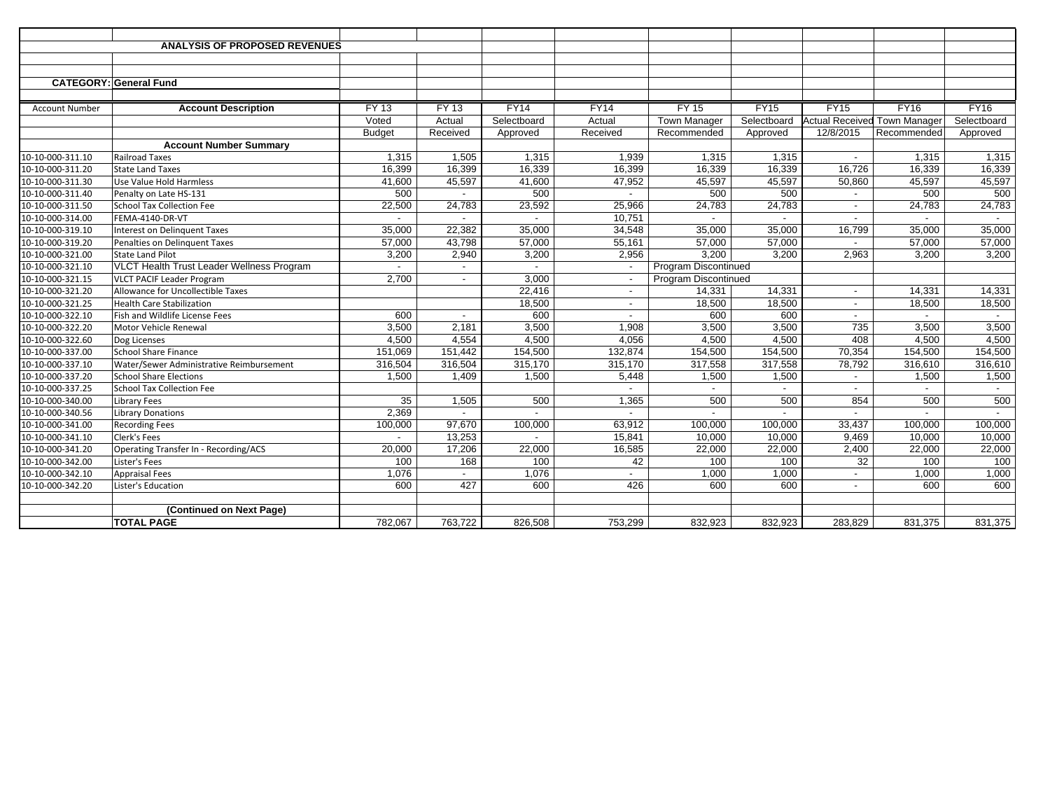|                       | <b>ANALYSIS OF PROPOSED REVENUES</b>      |                |                          |                          |                          |                      |             |                          |                                     |             |
|-----------------------|-------------------------------------------|----------------|--------------------------|--------------------------|--------------------------|----------------------|-------------|--------------------------|-------------------------------------|-------------|
|                       |                                           |                |                          |                          |                          |                      |             |                          |                                     |             |
|                       |                                           |                |                          |                          |                          |                      |             |                          |                                     |             |
|                       | <b>CATEGORY: General Fund</b>             |                |                          |                          |                          |                      |             |                          |                                     |             |
|                       |                                           |                |                          |                          |                          |                      |             |                          |                                     |             |
| <b>Account Number</b> | <b>Account Description</b>                | $FY$ 13        | $FY$ 13                  | FY14                     | FY14                     | <b>FY 15</b>         | FY15        | <b>FY15</b>              | <b>FY16</b>                         | <b>FY16</b> |
|                       |                                           | Voted          | Actual                   | Selectboard              | Actual                   | <b>Town Manager</b>  | Selectboard |                          | <b>Actual Received Town Manager</b> | Selectboard |
|                       |                                           | <b>Budget</b>  | Received                 | Approved                 | Received                 | Recommended          | Approved    | 12/8/2015                | Recommended                         | Approved    |
|                       | <b>Account Number Summary</b>             |                |                          |                          |                          |                      |             |                          |                                     |             |
| 10-10-000-311.10      | <b>Railroad Taxes</b>                     | 1.315          | 1.505                    | 1,315                    | 1.939                    | 1,315                | 1,315       | $\overline{\phantom{a}}$ | 1.315                               | 1,315       |
| 10-10-000-311.20      | <b>State Land Taxes</b>                   | 16,399         | 16,399                   | 16,339                   | 16,399                   | 16,339               | 16,339      | 16,726                   | 16,339                              | 16,339      |
| 10-10-000-311.30      | Use Value Hold Harmless                   | 41,600         | 45,597                   | 41,600                   | 47,952                   | 45,597               | 45,597      | 50,860                   | 45,597                              | 45,597      |
| 10-10-000-311.40      | Penalty on Late HS-131                    | 500            |                          | 500                      |                          | 500                  | 500         |                          | 500                                 | 500         |
| 10-10-000-311.50      | <b>School Tax Collection Fee</b>          | 22,500         | 24,783                   | 23,592                   | 25,966                   | 24,783               | 24,783      | $\overline{a}$           | 24,783                              | 24,783      |
| 10-10-000-314.00      | FEMA-4140-DR-VT                           | $\blacksquare$ | $\overline{\phantom{a}}$ | $\overline{\phantom{0}}$ | 10.751                   |                      | $\sim$      | $\overline{\phantom{a}}$ | $\overline{a}$                      | $\sim$      |
| 10-10-000-319.10      | <b>Interest on Delinquent Taxes</b>       | 35,000         | 22,382                   | 35,000                   | 34,548                   | 35,000               | 35,000      | 16,799                   | 35,000                              | 35,000      |
| 10-10-000-319.20      | Penalties on Delinguent Taxes             | 57,000         | 43,798                   | 57,000                   | 55,161                   | 57,000               | 57,000      | $\overline{\phantom{a}}$ | 57,000                              | 57,000      |
| 10-10-000-321.00      | <b>State Land Pilot</b>                   | 3,200          | 2,940                    | 3,200                    | 2,956                    | 3.200                | 3,200       | 2,963                    | 3,200                               | 3,200       |
| 10-10-000-321.10      | VLCT Health Trust Leader Wellness Program |                |                          |                          |                          | Program Discontinued |             |                          |                                     |             |
| 10-10-000-321.15      | <b>VLCT PACIF Leader Program</b>          | 2.700          | $\sim$                   | 3.000                    |                          | Program Discontinued |             |                          |                                     |             |
| 10-10-000-321.20      | Allowance for Uncollectible Taxes         |                |                          | 22,416                   | $\overline{\phantom{a}}$ | 14,331               | 14,331      | $\overline{\phantom{a}}$ | 14,331                              | 14,331      |
| 10-10-000-321.25      | <b>Health Care Stabilization</b>          |                |                          | 18,500                   | $\blacksquare$           | 18,500               | 18,500      | $\blacksquare$           | 18,500                              | 18,500      |
| 10-10-000-322.10      | Fish and Wildlife License Fees            | 600            |                          | 600                      |                          | 600                  | 600         |                          |                                     |             |
| 10-10-000-322.20      | Motor Vehicle Renewal                     | 3,500          | 2,181                    | 3,500                    | 1,908                    | 3,500                | 3,500       | 735                      | 3,500                               | 3,500       |
| 10-10-000-322.60      | Dog Licenses                              | 4.500          | 4,554                    | 4,500                    | 4,056                    | 4.500                | 4,500       | 408                      | 4.500                               | 4,500       |
| 10-10-000-337.00      | <b>School Share Finance</b>               | 151,069        | 151,442                  | 154,500                  | 132,874                  | 154,500              | 154,500     | 70,354                   | 154,500                             | 154,500     |
| 10-10-000-337.10      | Water/Sewer Administrative Reimbursement  | 316,504        | 316,504                  | 315,170                  | 315,170                  | 317,558              | 317,558     | 78,792                   | 316,610                             | 316,610     |
| 10-10-000-337.20      | <b>School Share Elections</b>             | 1.500          | 1.409                    | 1,500                    | 5.448                    | 1,500                | 1,500       |                          | 1,500                               | 1,500       |
| 10-10-000-337.25      | <b>School Tax Collection Fee</b>          |                |                          |                          |                          |                      |             |                          |                                     |             |
| 10-10-000-340.00      | <b>Library Fees</b>                       | 35             | 1,505                    | 500                      | 1,365                    | 500                  | 500         | 854                      | 500                                 | 500         |
| 10-10-000-340.56      | <b>Library Donations</b>                  | 2,369          |                          |                          |                          |                      |             | $\blacksquare$           | $\overline{\phantom{a}}$            | $\sim$      |
| 10-10-000-341.00      | <b>Recording Fees</b>                     | 100,000        | 97,670                   | 100,000                  | 63,912                   | 100.000              | 100,000     | 33,437                   | 100.000                             | 100,000     |
| 10-10-000-341.10      | Clerk's Fees                              |                | 13,253                   |                          | 15,841                   | 10.000               | 10,000      | 9.469                    | 10.000                              | 10,000      |
| 10-10-000-341.20      | Operating Transfer In - Recording/ACS     | 20,000         | 17,206                   | 22,000                   | 16,585                   | 22,000               | 22,000      | 2,400                    | 22,000                              | 22,000      |
| 10-10-000-342.00      | Lister's Fees                             | 100            | 168                      | 100                      | 42                       | 100                  | 100         | 32                       | 100                                 | 100         |
| 10-10-000-342.10      | <b>Appraisal Fees</b>                     | 1,076          | $\overline{\phantom{a}}$ | 1,076                    |                          | 1,000                | 1,000       | $\blacksquare$           | 1,000                               | 1,000       |
| 10-10-000-342.20      | Lister's Education                        | 600            | 427                      | 600                      | 426                      | 600                  | 600         |                          | 600                                 | 600         |
|                       |                                           |                |                          |                          |                          |                      |             |                          |                                     |             |
|                       | (Continued on Next Page)                  |                |                          |                          |                          |                      |             |                          |                                     |             |
|                       | <b>TOTAL PAGE</b>                         | 782,067        | 763,722                  | 826,508                  | 753,299                  | 832,923              | 832,923     | 283,829                  | 831,375                             | 831,375     |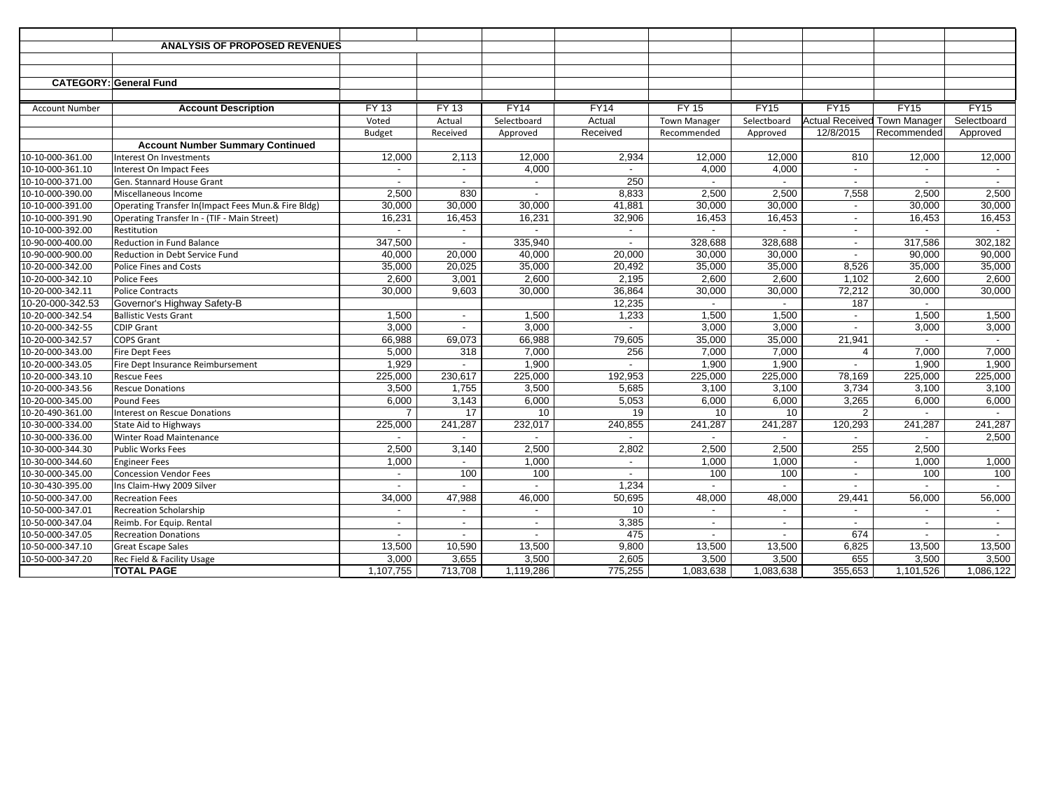|                       | <b>ANALYSIS OF PROPOSED REVENUES</b>               |                          |                          |                          |                          |                          |                          |                          |                                     |             |
|-----------------------|----------------------------------------------------|--------------------------|--------------------------|--------------------------|--------------------------|--------------------------|--------------------------|--------------------------|-------------------------------------|-------------|
|                       |                                                    |                          |                          |                          |                          |                          |                          |                          |                                     |             |
|                       |                                                    |                          |                          |                          |                          |                          |                          |                          |                                     |             |
|                       | <b>CATEGORY: General Fund</b>                      |                          |                          |                          |                          |                          |                          |                          |                                     |             |
|                       |                                                    |                          |                          |                          |                          |                          |                          |                          |                                     |             |
| <b>Account Number</b> | <b>Account Description</b>                         | <b>FY 13</b>             | <b>FY 13</b>             | <b>FY14</b>              | <b>FY14</b>              | <b>FY 15</b>             | <b>FY15</b>              | <b>FY15</b>              | <b>FY15</b>                         | <b>FY15</b> |
|                       |                                                    | Voted                    | Actual                   | Selectboard              | Actual                   | <b>Town Manager</b>      | Selectboard              |                          | <b>Actual Received Town Manager</b> | Selectboard |
|                       |                                                    | Budget                   | Received                 | Approved                 | Received                 | Recommended              | Approved                 | 12/8/2015                | Recommended                         | Approved    |
|                       | <b>Account Number Summary Continued</b>            |                          |                          |                          |                          |                          |                          |                          |                                     |             |
| 10-10-000-361.00      | Interest On Investments                            | 12,000                   | 2,113                    | 12,000                   | 2,934                    | 12,000                   | 12,000                   | 810                      | 12,000                              | 12,000      |
| 10-10-000-361.10      | Interest On Impact Fees                            | $\sim$                   | $\mathbf{r}$             | 4,000                    |                          | 4,000                    | 4,000                    | $\blacksquare$           | $\sim$                              |             |
| 10-10-000-371.00      | Gen. Stannard House Grant                          |                          | $\overline{\phantom{a}}$ |                          | 250                      |                          | $\overline{\phantom{a}}$ |                          |                                     | $\sim$      |
| 10-10-000-390.00      | Miscellaneous Income                               | 2,500                    | 830                      | $\sim$                   | 8,833                    | 2,500                    | 2,500                    | 7,558                    | 2,500                               | 2,500       |
| 10-10-000-391.00      | Operating Transfer In(Impact Fees Mun.& Fire Bldg) | 30,000                   | 30,000                   | 30,000                   | 41,881                   | 30,000                   | 30,000                   | $\blacksquare$           | 30,000                              | 30,000      |
| 10-10-000-391.90      | Operating Transfer In - (TIF - Main Street)        | 16,231                   | 16,453                   | 16,231                   | 32,906                   | 16,453                   | 16,453                   | $\blacksquare$           | 16,453                              | 16,453      |
| 10-10-000-392.00      | Restitution                                        | $\sim$                   | $\sim$                   |                          | $\overline{\phantom{a}}$ | $\overline{\phantom{a}}$ | $\overline{a}$           | $\overline{\phantom{a}}$ | $\sim$                              | $\sim$      |
| 10-90-000-400.00      | <b>Reduction in Fund Balance</b>                   | 347,500                  | $\overline{\phantom{a}}$ | 335,940                  | $\overline{\phantom{a}}$ | 328,688                  | 328,688                  | $\overline{a}$           | 317,586                             | 302,182     |
| 10-90-000-900.00      | Reduction in Debt Service Fund                     | 40,000                   | 20,000                   | 40,000                   | 20,000                   | 30,000                   | 30,000                   |                          | 90,000                              | 90,000      |
| 10-20-000-342.00      | <b>Police Fines and Costs</b>                      | 35,000                   | 20,025                   | 35,000                   | 20,492                   | 35,000                   | 35,000                   | 8,526                    | 35,000                              | 35,000      |
| 10-20-000-342.10      | <b>Police Fees</b>                                 | 2,600                    | 3,001                    | 2,600                    | 2,195                    | 2,600                    | 2,600                    | 1,102                    | 2,600                               | 2,600       |
| 10-20-000-342.11      | <b>Police Contracts</b>                            | 30.000                   | 9,603                    | 30,000                   | 36,864                   | 30,000                   | 30,000                   | 72,212                   | 30,000                              | 30,000      |
| 10-20-000-342.53      | Governor's Highway Safety-B                        |                          |                          |                          | 12,235                   |                          |                          | 187                      |                                     |             |
| 10-20-000-342.54      | <b>Ballistic Vests Grant</b>                       | 1,500                    | $\sim$                   | 1,500                    | 1.233                    | 1,500                    | 1,500                    | $\overline{\phantom{a}}$ | 1,500                               | 1,500       |
| 10-20-000-342-55      | <b>CDIP Grant</b>                                  | 3,000                    | $\overline{\phantom{a}}$ | 3,000                    |                          | 3,000                    | 3,000                    |                          | 3,000                               | 3,000       |
| 10-20-000-342.57      | <b>COPS Grant</b>                                  | 66,988                   | 69,073                   | 66,988                   | 79,605                   | 35,000                   | 35,000                   | 21,941                   |                                     | $\sim$      |
| 10-20-000-343.00      | <b>Fire Dept Fees</b>                              | 5,000                    | 318                      | 7,000                    | 256                      | 7,000                    | 7,000                    | $\overline{4}$           | 7,000                               | 7,000       |
| 10-20-000-343.05      | Fire Dept Insurance Reimbursement                  | 1,929                    | $\overline{\phantom{a}}$ | 1,900                    | $\overline{a}$           | 1,900                    | 1,900                    | $\sim$                   | 1,900                               | 1,900       |
| 10-20-000-343.10      | <b>Rescue Fees</b>                                 | 225,000                  | 230,617                  | 225,000                  | 192,953                  | 225,000                  | 225,000                  | 78,169                   | 225,000                             | 225,000     |
| 10-20-000-343.56      | <b>Rescue Donations</b>                            | 3,500                    | 1,755                    | 3,500                    | 5,685                    | 3,100                    | 3,100                    | 3,734                    | 3,100                               | 3,100       |
| 10-20-000-345.00      | <b>Pound Fees</b>                                  | 6,000                    | 3,143                    | 6,000                    | 5,053                    | 6,000                    | 6,000                    | 3,265                    | 6,000                               | 6,000       |
| 10-20-490-361.00      | <b>Interest on Rescue Donations</b>                | 7                        | 17                       | 10                       | 19                       | 10                       | 10                       | 2                        |                                     | $\sim$      |
| 10-30-000-334.00      | <b>State Aid to Highways</b>                       | 225,000                  | 241,287                  | 232,017                  | 240,855                  | 241,287                  | 241,287                  | 120,293                  | 241,287                             | 241,287     |
| 10-30-000-336.00      | <b>Winter Road Maintenance</b>                     | $\overline{\phantom{a}}$ | $\sim$                   | $\sim$                   | $\overline{\phantom{a}}$ | $\sim$                   | $\sim$                   | $\sim$                   | $\sim$                              | 2,500       |
| 10-30-000-344.30      | <b>Public Works Fees</b>                           | 2,500                    | 3,140                    | 2,500                    | 2,802                    | 2,500                    | 2,500                    | 255                      | 2,500                               |             |
| 10-30-000-344.60      | <b>Engineer Fees</b>                               | 1,000                    |                          | 1,000                    |                          | 1,000                    | 1,000                    | $\overline{a}$           | 1,000                               | 1,000       |
| 10-30-000-345.00      | <b>Concession Vendor Fees</b>                      | $\overline{\phantom{a}}$ | 100                      | 100                      | $\overline{\phantom{a}}$ | 100                      | 100                      | $\overline{\phantom{a}}$ | 100                                 | 100         |
| 10-30-430-395.00      | Ins Claim-Hwy 2009 Silver                          |                          | $\overline{a}$           | $\overline{a}$           | 1,234                    | $\sim$                   | $\overline{a}$           | $\overline{a}$           | $\sim$                              | $\sim$      |
| 10-50-000-347.00      | <b>Recreation Fees</b>                             | 34,000                   | 47,988                   | 46,000                   | 50,695                   | 48,000                   | 48,000                   | 29,441                   | 56,000                              | 56,000      |
| 10-50-000-347.01      | <b>Recreation Scholarship</b>                      | $\overline{\phantom{a}}$ | $\overline{\phantom{a}}$ | $\overline{\phantom{a}}$ | 10                       | $\sim$                   | $\overline{\phantom{a}}$ | $\overline{\phantom{a}}$ | $\sim$                              | $\sim$      |
| 10-50-000-347.04      | Reimb. For Equip. Rental                           |                          | $\blacksquare$           |                          | 3,385                    | $\overline{a}$           | $\blacksquare$           | $\overline{\phantom{a}}$ | $\sim$                              | $\sim$      |
| 10-50-000-347.05      | <b>Recreation Donations</b>                        |                          |                          |                          | 475                      |                          |                          | 674                      |                                     |             |
| 10-50-000-347.10      | <b>Great Escape Sales</b>                          | 13,500                   | 10,590                   | 13,500                   | 9,800                    | 13,500                   | 13,500                   | 6,825                    | 13,500                              | 13,500      |
| 10-50-000-347.20      | Rec Field & Facility Usage                         | 3,000                    | 3,655                    | 3,500                    | 2,605                    | 3,500                    | 3,500                    | 655                      | 3,500                               | 3,500       |
|                       | <b>TOTAL PAGE</b>                                  | 1,107,755                | 713,708                  | 1,119,286                | 775,255                  | 1,083,638                | 1,083,638                | 355,653                  | 1,101,526                           | 1,086,122   |